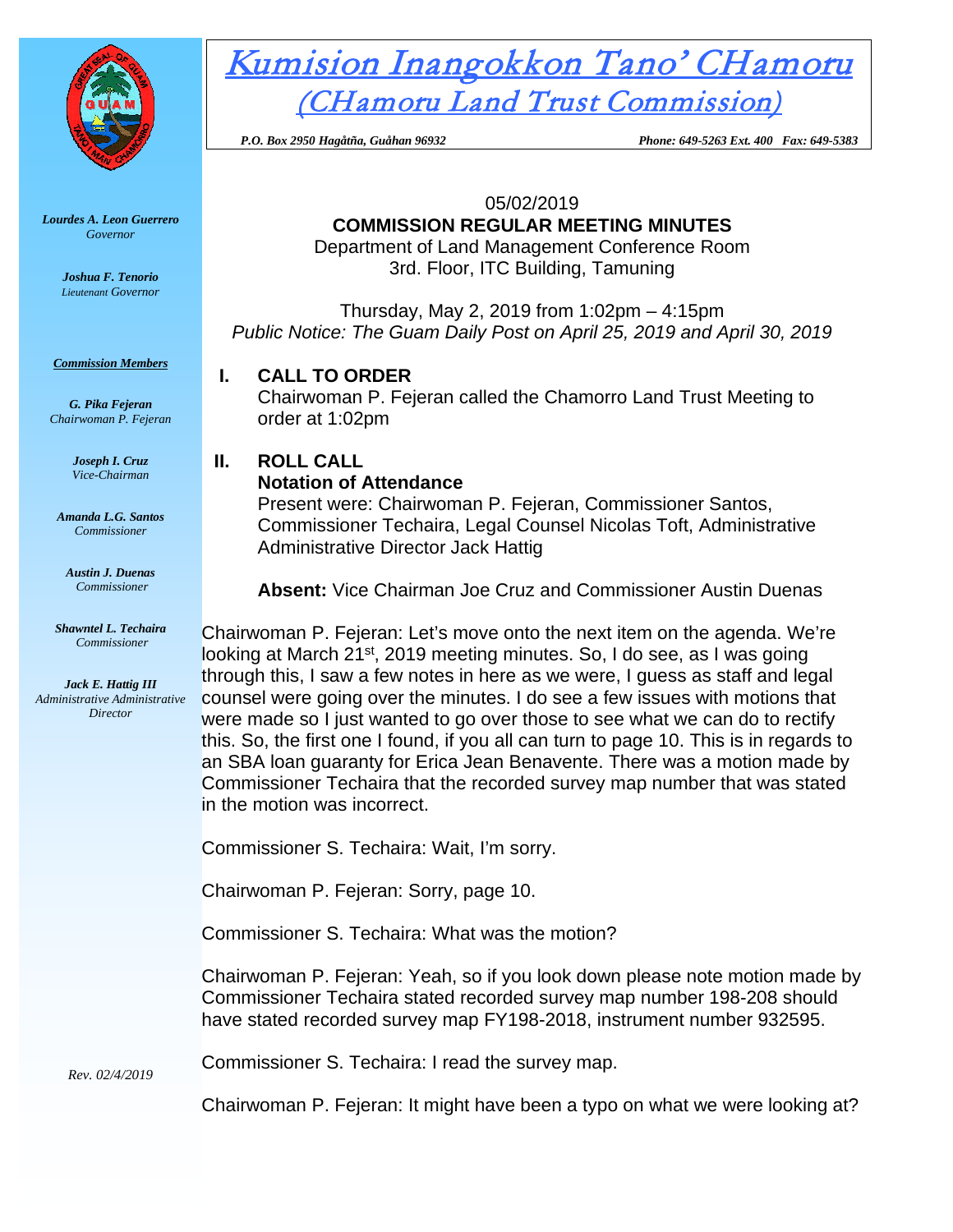

*Lourdes A. Leon Guerrero Governor* 

> *Joshua F. Tenorio Lieutenant Governor*

*Commission Members*

*G. Pika Fejeran Chairwoman P. Fejeran*

> *Joseph I. Cruz Vice-Chairman*

*Amanda L.G. Santos Commissioner*

*Austin J. Duenas Commissioner*

*Shawntel L. Techaira Commissioner*

*Jack E. Hattig III Administrative Administrative Director*

# Kumision Inangokkon Tano' CHamoru (CHamoru Land Trust Commission)

 *P.O. Box 2950 Hagåtña, Guåhan 96932 Phone: 649-5263 Ext. 400 Fax: 649-5383*

05/02/2019

# **COMMISSION REGULAR MEETING MINUTES**

Department of Land Management Conference Room 3rd. Floor, ITC Building, Tamuning

Thursday, May 2, 2019 from 1:02pm – 4:15pm *Public Notice: The Guam Daily Post on April 25, 2019 and April 30, 2019*

### **I. CALL TO ORDER**

Chairwoman P. Fejeran called the Chamorro Land Trust Meeting to order at 1:02pm

# **II. ROLL CALL**

#### **Notation of Attendance**

Present were: Chairwoman P. Fejeran, Commissioner Santos, Commissioner Techaira, Legal Counsel Nicolas Toft, Administrative Administrative Director Jack Hattig

**Absent:** Vice Chairman Joe Cruz and Commissioner Austin Duenas

Chairwoman P. Fejeran: Let's move onto the next item on the agenda. We're looking at March 21<sup>st</sup>, 2019 meeting minutes. So, I do see, as I was going through this, I saw a few notes in here as we were, I guess as staff and legal counsel were going over the minutes. I do see a few issues with motions that were made so I just wanted to go over those to see what we can do to rectify this. So, the first one I found, if you all can turn to page 10. This is in regards to an SBA loan guaranty for Erica Jean Benavente. There was a motion made by Commissioner Techaira that the recorded survey map number that was stated in the motion was incorrect.

Commissioner S. Techaira: Wait, I'm sorry.

Chairwoman P. Fejeran: Sorry, page 10.

Commissioner S. Techaira: What was the motion?

Chairwoman P. Fejeran: Yeah, so if you look down please note motion made by Commissioner Techaira stated recorded survey map number 198-208 should have stated recorded survey map FY198-2018, instrument number 932595.

*Rev. 02/4/2019* Commissioner S. Techaira: I read the survey map.

Chairwoman P. Fejeran: It might have been a typo on what we were looking at?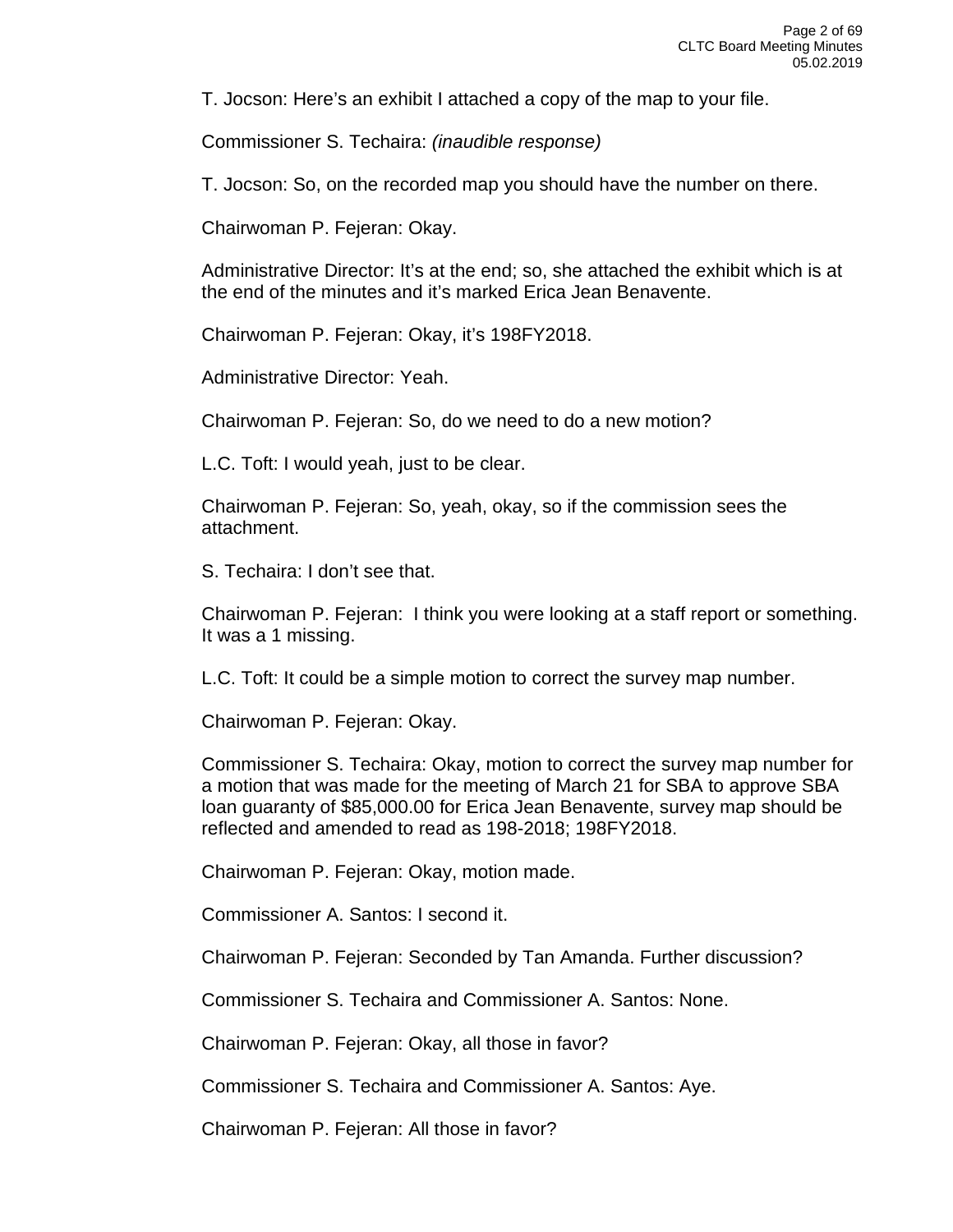T. Jocson: Here's an exhibit I attached a copy of the map to your file.

Commissioner S. Techaira: *(inaudible response)*

T. Jocson: So, on the recorded map you should have the number on there.

Chairwoman P. Fejeran: Okay.

Administrative Director: It's at the end; so, she attached the exhibit which is at the end of the minutes and it's marked Erica Jean Benavente.

Chairwoman P. Fejeran: Okay, it's 198FY2018.

Administrative Director: Yeah.

Chairwoman P. Fejeran: So, do we need to do a new motion?

L.C. Toft: I would yeah, just to be clear.

Chairwoman P. Fejeran: So, yeah, okay, so if the commission sees the attachment.

S. Techaira: I don't see that.

Chairwoman P. Fejeran: I think you were looking at a staff report or something. It was a 1 missing.

L.C. Toft: It could be a simple motion to correct the survey map number.

Chairwoman P. Fejeran: Okay.

Commissioner S. Techaira: Okay, motion to correct the survey map number for a motion that was made for the meeting of March 21 for SBA to approve SBA loan guaranty of \$85,000.00 for Erica Jean Benavente, survey map should be reflected and amended to read as 198-2018; 198FY2018.

Chairwoman P. Fejeran: Okay, motion made.

Commissioner A. Santos: I second it.

Chairwoman P. Fejeran: Seconded by Tan Amanda. Further discussion?

Commissioner S. Techaira and Commissioner A. Santos: None.

Chairwoman P. Fejeran: Okay, all those in favor?

Commissioner S. Techaira and Commissioner A. Santos: Aye.

Chairwoman P. Fejeran: All those in favor?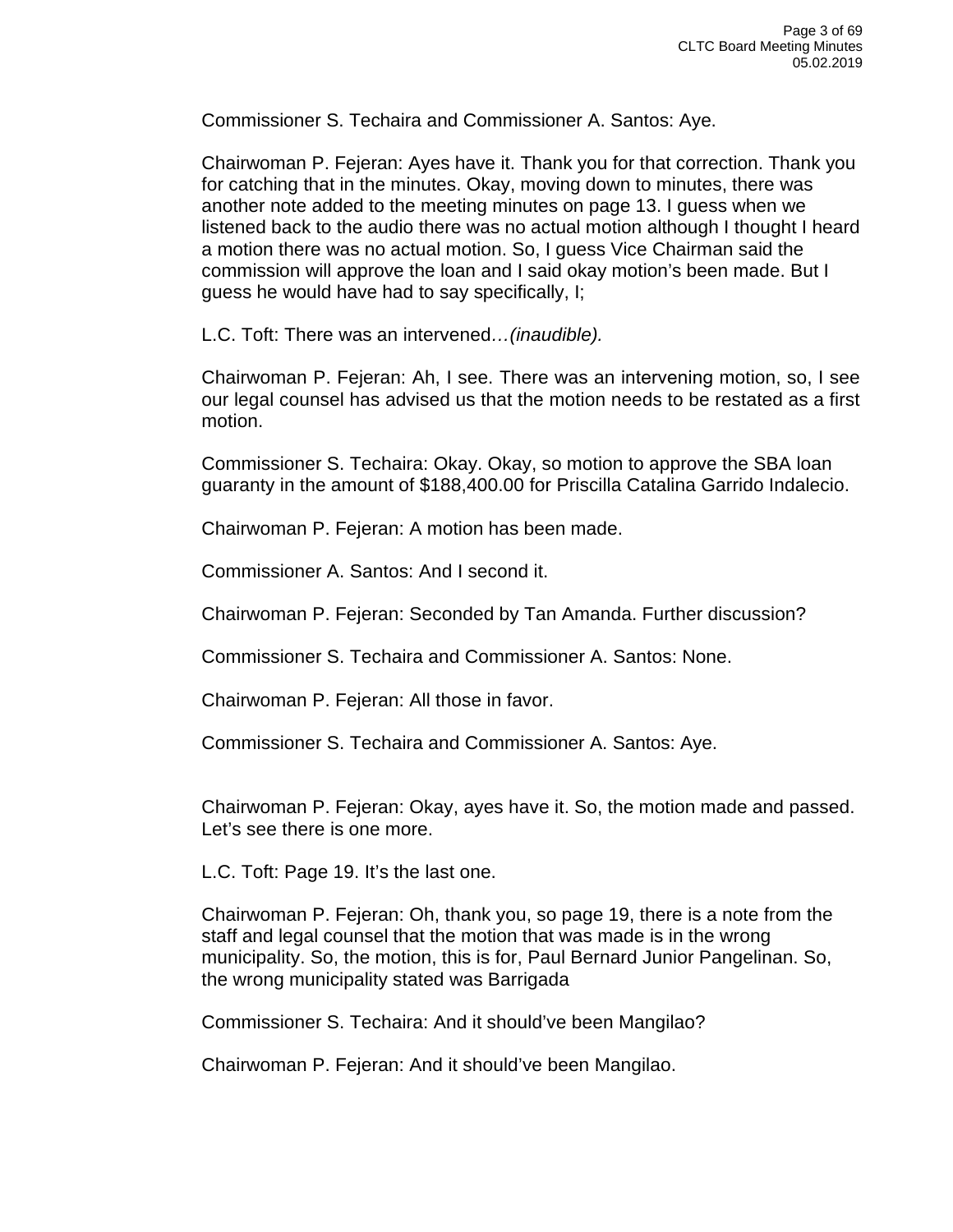Commissioner S. Techaira and Commissioner A. Santos: Aye.

Chairwoman P. Fejeran: Ayes have it. Thank you for that correction. Thank you for catching that in the minutes. Okay, moving down to minutes, there was another note added to the meeting minutes on page 13. I guess when we listened back to the audio there was no actual motion although I thought I heard a motion there was no actual motion. So, I guess Vice Chairman said the commission will approve the loan and I said okay motion's been made. But I guess he would have had to say specifically, I;

L.C. Toft: There was an intervened*…(inaudible).*

Chairwoman P. Fejeran: Ah, I see. There was an intervening motion, so, I see our legal counsel has advised us that the motion needs to be restated as a first motion.

Commissioner S. Techaira: Okay. Okay, so motion to approve the SBA loan guaranty in the amount of \$188,400.00 for Priscilla Catalina Garrido Indalecio.

Chairwoman P. Fejeran: A motion has been made.

Commissioner A. Santos: And I second it.

Chairwoman P. Fejeran: Seconded by Tan Amanda. Further discussion?

Commissioner S. Techaira and Commissioner A. Santos: None.

Chairwoman P. Fejeran: All those in favor.

Commissioner S. Techaira and Commissioner A. Santos: Aye.

Chairwoman P. Fejeran: Okay, ayes have it. So, the motion made and passed. Let's see there is one more.

L.C. Toft: Page 19. It's the last one.

Chairwoman P. Fejeran: Oh, thank you, so page 19, there is a note from the staff and legal counsel that the motion that was made is in the wrong municipality. So, the motion, this is for, Paul Bernard Junior Pangelinan. So, the wrong municipality stated was Barrigada

Commissioner S. Techaira: And it should've been Mangilao?

Chairwoman P. Fejeran: And it should've been Mangilao.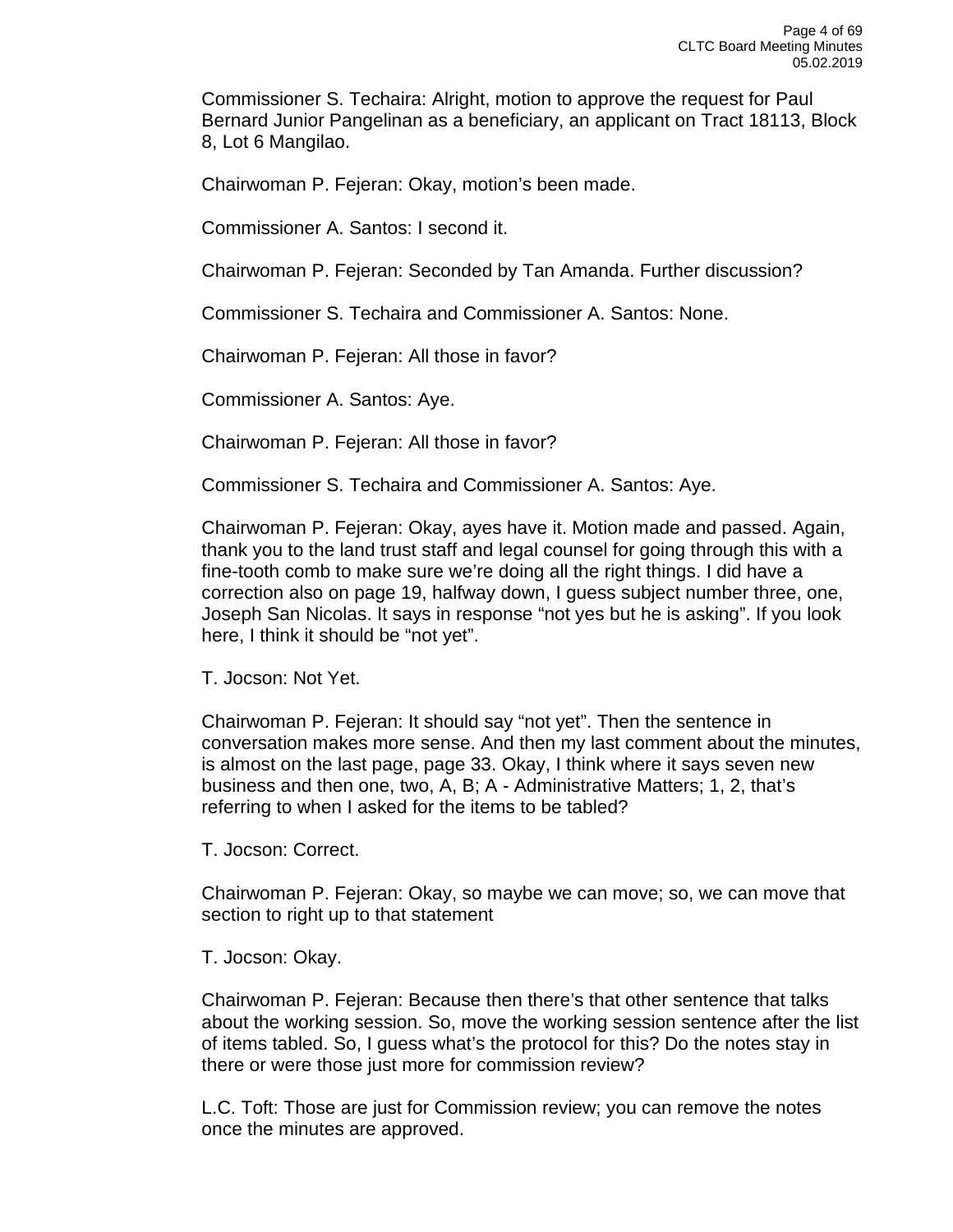Commissioner S. Techaira: Alright, motion to approve the request for Paul Bernard Junior Pangelinan as a beneficiary, an applicant on Tract 18113, Block 8, Lot 6 Mangilao.

Chairwoman P. Fejeran: Okay, motion's been made.

Commissioner A. Santos: I second it.

Chairwoman P. Fejeran: Seconded by Tan Amanda. Further discussion?

Commissioner S. Techaira and Commissioner A. Santos: None.

Chairwoman P. Fejeran: All those in favor?

Commissioner A. Santos: Aye.

Chairwoman P. Fejeran: All those in favor?

Commissioner S. Techaira and Commissioner A. Santos: Aye.

Chairwoman P. Fejeran: Okay, ayes have it. Motion made and passed. Again, thank you to the land trust staff and legal counsel for going through this with a fine-tooth comb to make sure we're doing all the right things. I did have a correction also on page 19, halfway down, I guess subject number three, one, Joseph San Nicolas. It says in response "not yes but he is asking". If you look here, I think it should be "not yet".

T. Jocson: Not Yet.

Chairwoman P. Fejeran: It should say "not yet". Then the sentence in conversation makes more sense. And then my last comment about the minutes, is almost on the last page, page 33. Okay, I think where it says seven new business and then one, two, A, B; A - Administrative Matters; 1, 2, that's referring to when I asked for the items to be tabled?

T. Jocson: Correct.

Chairwoman P. Fejeran: Okay, so maybe we can move; so, we can move that section to right up to that statement

T. Jocson: Okay.

Chairwoman P. Fejeran: Because then there's that other sentence that talks about the working session. So, move the working session sentence after the list of items tabled. So, I guess what's the protocol for this? Do the notes stay in there or were those just more for commission review?

L.C. Toft: Those are just for Commission review; you can remove the notes once the minutes are approved.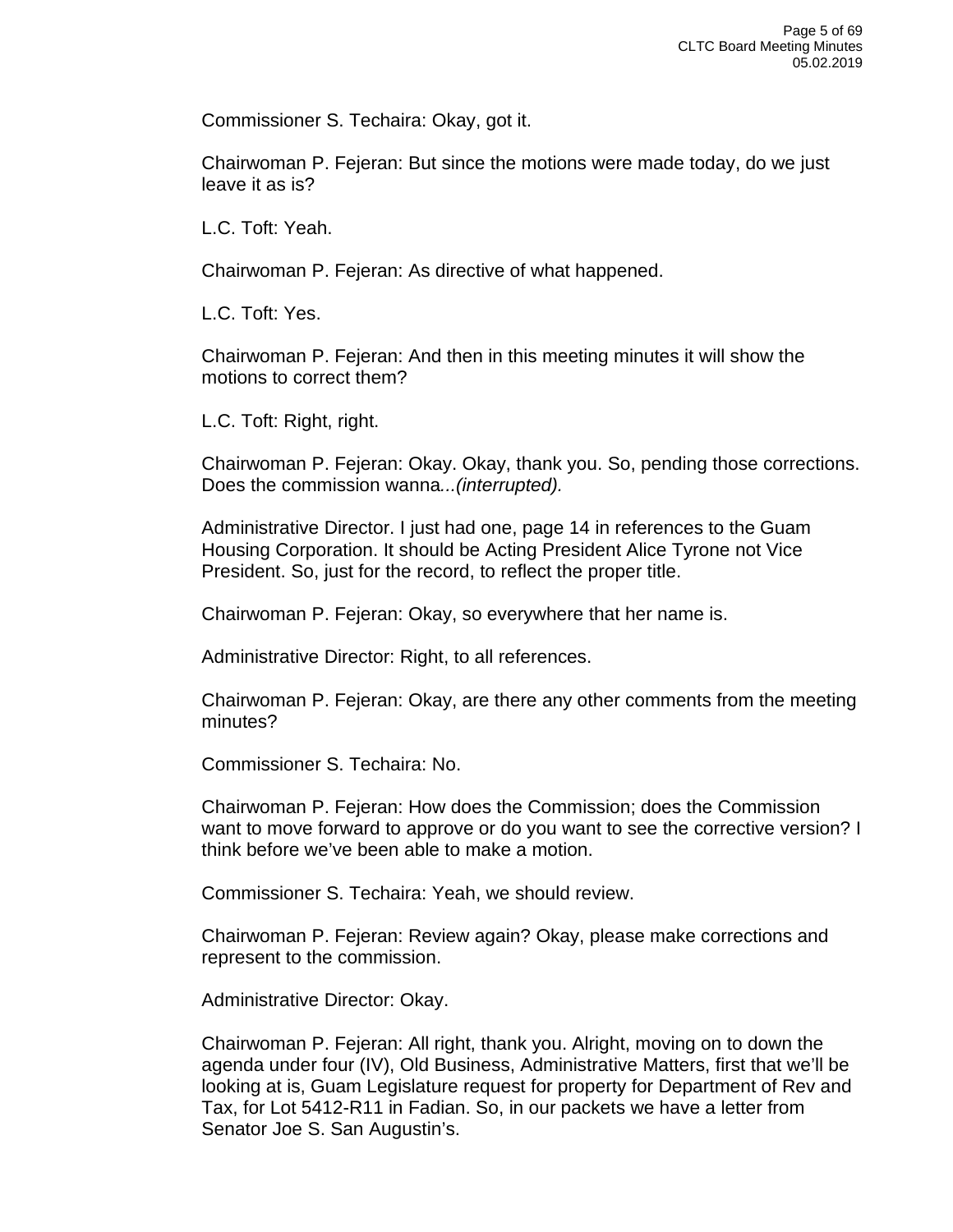Commissioner S. Techaira: Okay, got it.

Chairwoman P. Fejeran: But since the motions were made today, do we just leave it as is?

L.C. Toft: Yeah.

Chairwoman P. Fejeran: As directive of what happened.

L.C. Toft: Yes.

Chairwoman P. Fejeran: And then in this meeting minutes it will show the motions to correct them?

L.C. Toft: Right, right.

Chairwoman P. Fejeran: Okay. Okay, thank you. So, pending those corrections. Does the commission wanna*...(interrupted).*

Administrative Director. I just had one, page 14 in references to the Guam Housing Corporation. It should be Acting President Alice Tyrone not Vice President. So, just for the record, to reflect the proper title.

Chairwoman P. Fejeran: Okay, so everywhere that her name is.

Administrative Director: Right, to all references.

Chairwoman P. Fejeran: Okay, are there any other comments from the meeting minutes?

Commissioner S. Techaira: No.

Chairwoman P. Fejeran: How does the Commission; does the Commission want to move forward to approve or do you want to see the corrective version? I think before we've been able to make a motion.

Commissioner S. Techaira: Yeah, we should review.

Chairwoman P. Fejeran: Review again? Okay, please make corrections and represent to the commission.

Administrative Director: Okay.

Chairwoman P. Fejeran: All right, thank you. Alright, moving on to down the agenda under four (IV), Old Business, Administrative Matters, first that we'll be looking at is, Guam Legislature request for property for Department of Rev and Tax, for Lot 5412-R11 in Fadian. So, in our packets we have a letter from Senator Joe S. San Augustin's.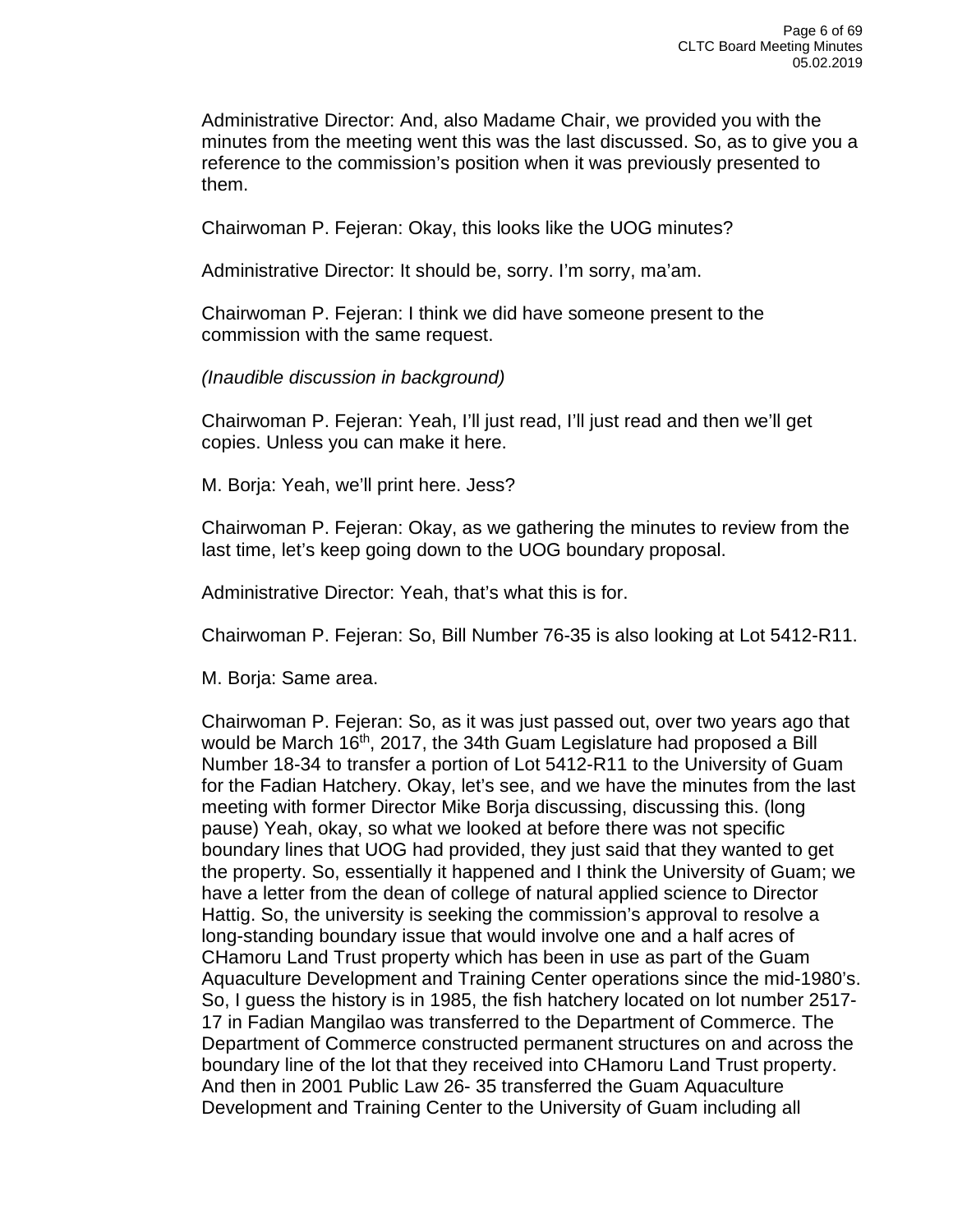Administrative Director: And, also Madame Chair, we provided you with the minutes from the meeting went this was the last discussed. So, as to give you a reference to the commission's position when it was previously presented to them.

Chairwoman P. Fejeran: Okay, this looks like the UOG minutes?

Administrative Director: It should be, sorry. I'm sorry, ma'am.

Chairwoman P. Fejeran: I think we did have someone present to the commission with the same request.

*(Inaudible discussion in background)*

Chairwoman P. Fejeran: Yeah, I'll just read, I'll just read and then we'll get copies. Unless you can make it here.

M. Borja: Yeah, we'll print here. Jess?

Chairwoman P. Fejeran: Okay, as we gathering the minutes to review from the last time, let's keep going down to the UOG boundary proposal.

Administrative Director: Yeah, that's what this is for.

Chairwoman P. Fejeran: So, Bill Number 76-35 is also looking at Lot 5412-R11.

M. Borja: Same area.

Chairwoman P. Fejeran: So, as it was just passed out, over two years ago that would be March 16<sup>th</sup>, 2017, the 34th Guam Legislature had proposed a Bill Number 18-34 to transfer a portion of Lot 5412-R11 to the University of Guam for the Fadian Hatchery. Okay, let's see, and we have the minutes from the last meeting with former Director Mike Borja discussing, discussing this. (long pause) Yeah, okay, so what we looked at before there was not specific boundary lines that UOG had provided, they just said that they wanted to get the property. So, essentially it happened and I think the University of Guam; we have a letter from the dean of college of natural applied science to Director Hattig. So, the university is seeking the commission's approval to resolve a long-standing boundary issue that would involve one and a half acres of CHamoru Land Trust property which has been in use as part of the Guam Aquaculture Development and Training Center operations since the mid-1980's. So, I guess the history is in 1985, the fish hatchery located on lot number 2517- 17 in Fadian Mangilao was transferred to the Department of Commerce. The Department of Commerce constructed permanent structures on and across the boundary line of the lot that they received into CHamoru Land Trust property. And then in 2001 Public Law 26- 35 transferred the Guam Aquaculture Development and Training Center to the University of Guam including all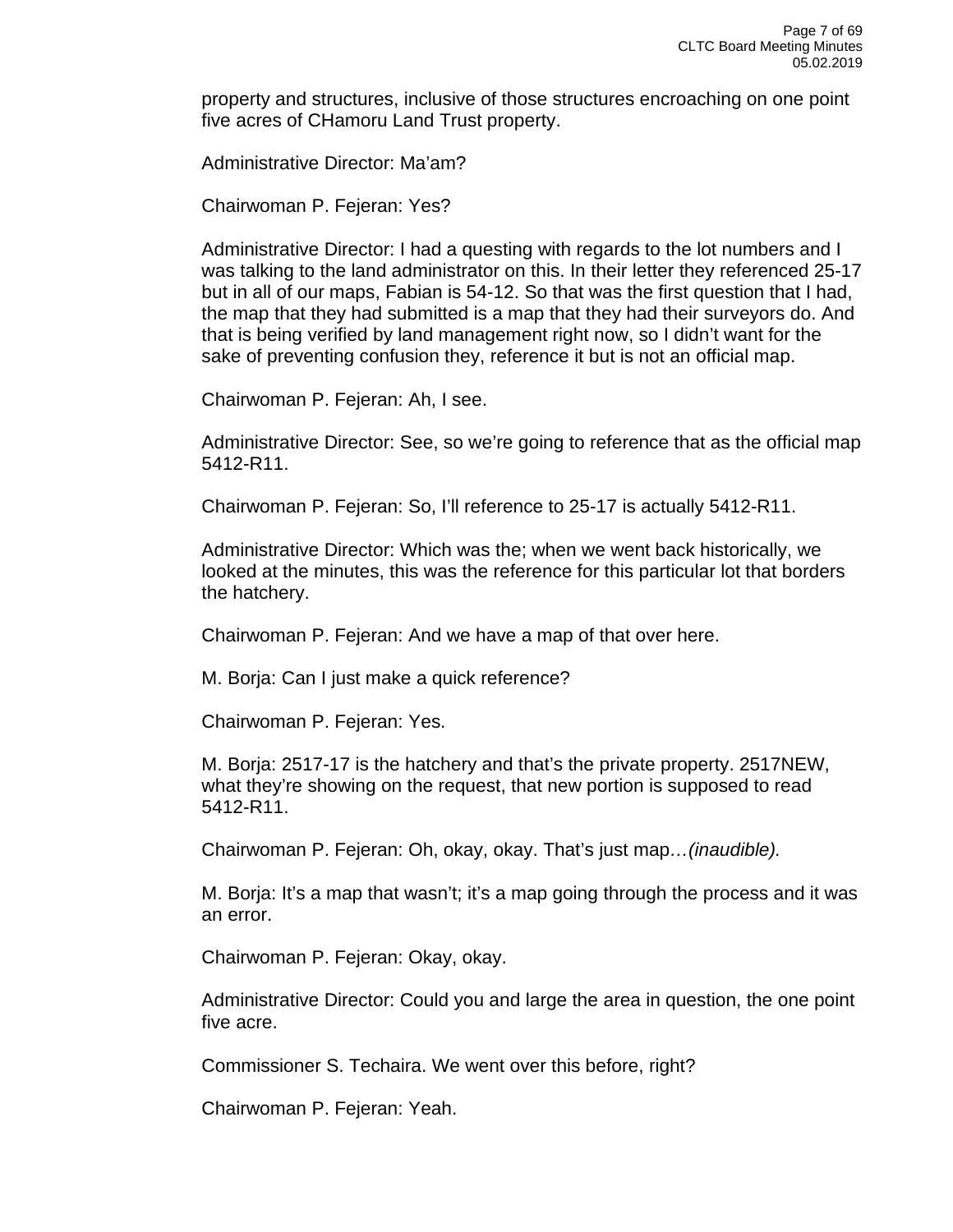property and structures, inclusive of those structures encroaching on one point five acres of CHamoru Land Trust property.

Administrative Director: Ma'am?

Chairwoman P. Fejeran: Yes?

Administrative Director: I had a questing with regards to the lot numbers and I was talking to the land administrator on this. In their letter they referenced 25-17 but in all of our maps, Fabian is 54-12. So that was the first question that I had, the map that they had submitted is a map that they had their surveyors do. And that is being verified by land management right now, so I didn't want for the sake of preventing confusion they, reference it but is not an official map.

Chairwoman P. Fejeran: Ah, I see.

Administrative Director: See, so we're going to reference that as the official map 5412-R11.

Chairwoman P. Fejeran: So, I'll reference to 25-17 is actually 5412-R11.

Administrative Director: Which was the; when we went back historically, we looked at the minutes, this was the reference for this particular lot that borders the hatchery.

Chairwoman P. Fejeran: And we have a map of that over here.

M. Borja: Can I just make a quick reference?

Chairwoman P. Fejeran: Yes.

M. Borja: 2517-17 is the hatchery and that's the private property. 2517NEW, what they're showing on the request, that new portion is supposed to read 5412-R11.

Chairwoman P. Fejeran: Oh, okay, okay. That's just map*…(inaudible).*

M. Borja: It's a map that wasn't; it's a map going through the process and it was an error.

Chairwoman P. Fejeran: Okay, okay.

Administrative Director: Could you and large the area in question, the one point five acre.

Commissioner S. Techaira. We went over this before, right?

Chairwoman P. Fejeran: Yeah.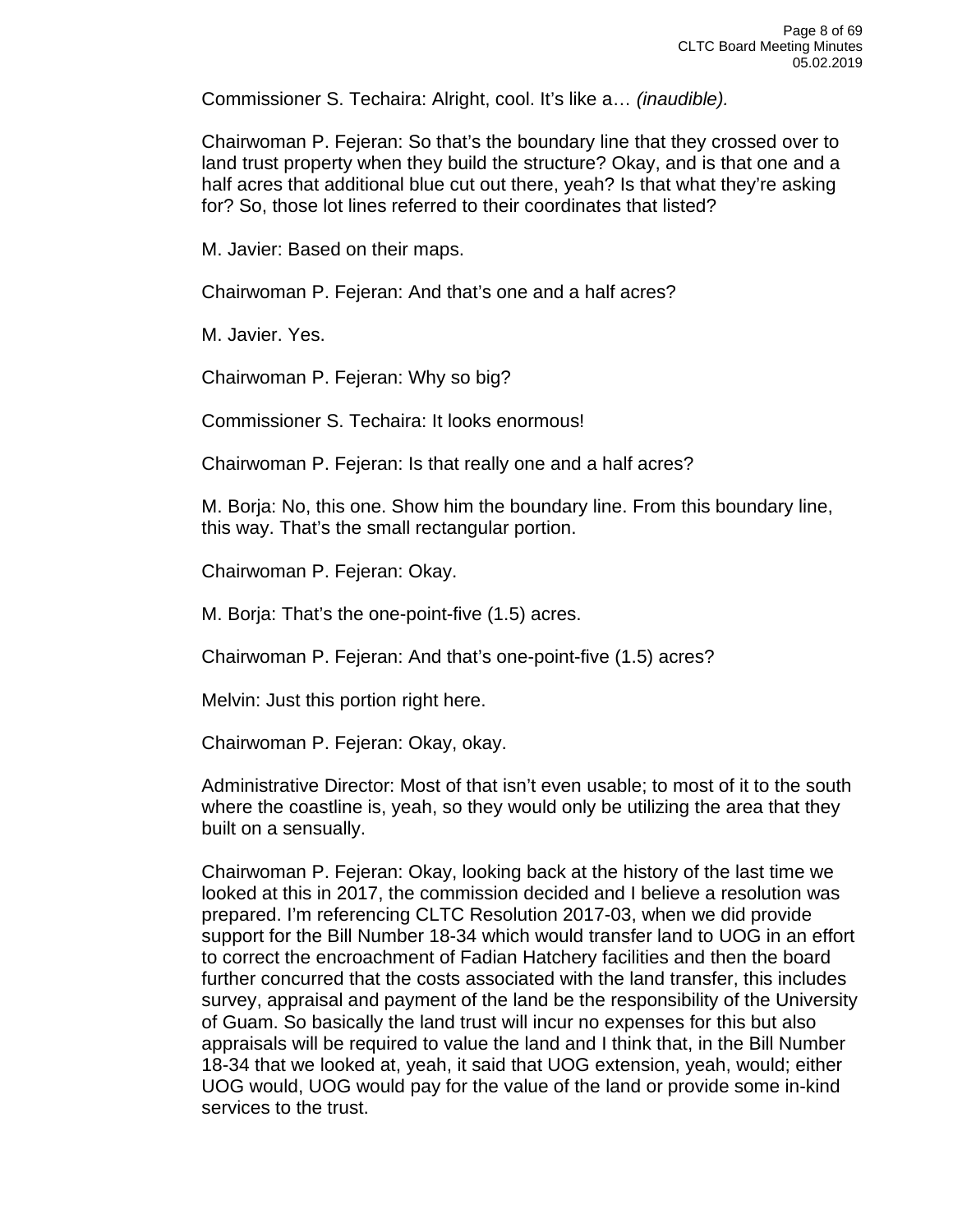Commissioner S. Techaira: Alright, cool. It's like a… *(inaudible).*

Chairwoman P. Fejeran: So that's the boundary line that they crossed over to land trust property when they build the structure? Okay, and is that one and a half acres that additional blue cut out there, yeah? Is that what they're asking for? So, those lot lines referred to their coordinates that listed?

M. Javier: Based on their maps.

Chairwoman P. Fejeran: And that's one and a half acres?

M. Javier. Yes.

Chairwoman P. Fejeran: Why so big?

Commissioner S. Techaira: It looks enormous!

Chairwoman P. Fejeran: Is that really one and a half acres?

M. Borja: No, this one. Show him the boundary line. From this boundary line, this way. That's the small rectangular portion.

Chairwoman P. Fejeran: Okay.

M. Borja: That's the one-point-five (1.5) acres.

Chairwoman P. Fejeran: And that's one-point-five (1.5) acres?

Melvin: Just this portion right here.

Chairwoman P. Fejeran: Okay, okay.

Administrative Director: Most of that isn't even usable; to most of it to the south where the coastline is, yeah, so they would only be utilizing the area that they built on a sensually.

Chairwoman P. Fejeran: Okay, looking back at the history of the last time we looked at this in 2017, the commission decided and I believe a resolution was prepared. I'm referencing CLTC Resolution 2017-03, when we did provide support for the Bill Number 18-34 which would transfer land to UOG in an effort to correct the encroachment of Fadian Hatchery facilities and then the board further concurred that the costs associated with the land transfer, this includes survey, appraisal and payment of the land be the responsibility of the University of Guam. So basically the land trust will incur no expenses for this but also appraisals will be required to value the land and I think that, in the Bill Number 18-34 that we looked at, yeah, it said that UOG extension, yeah, would; either UOG would, UOG would pay for the value of the land or provide some in-kind services to the trust.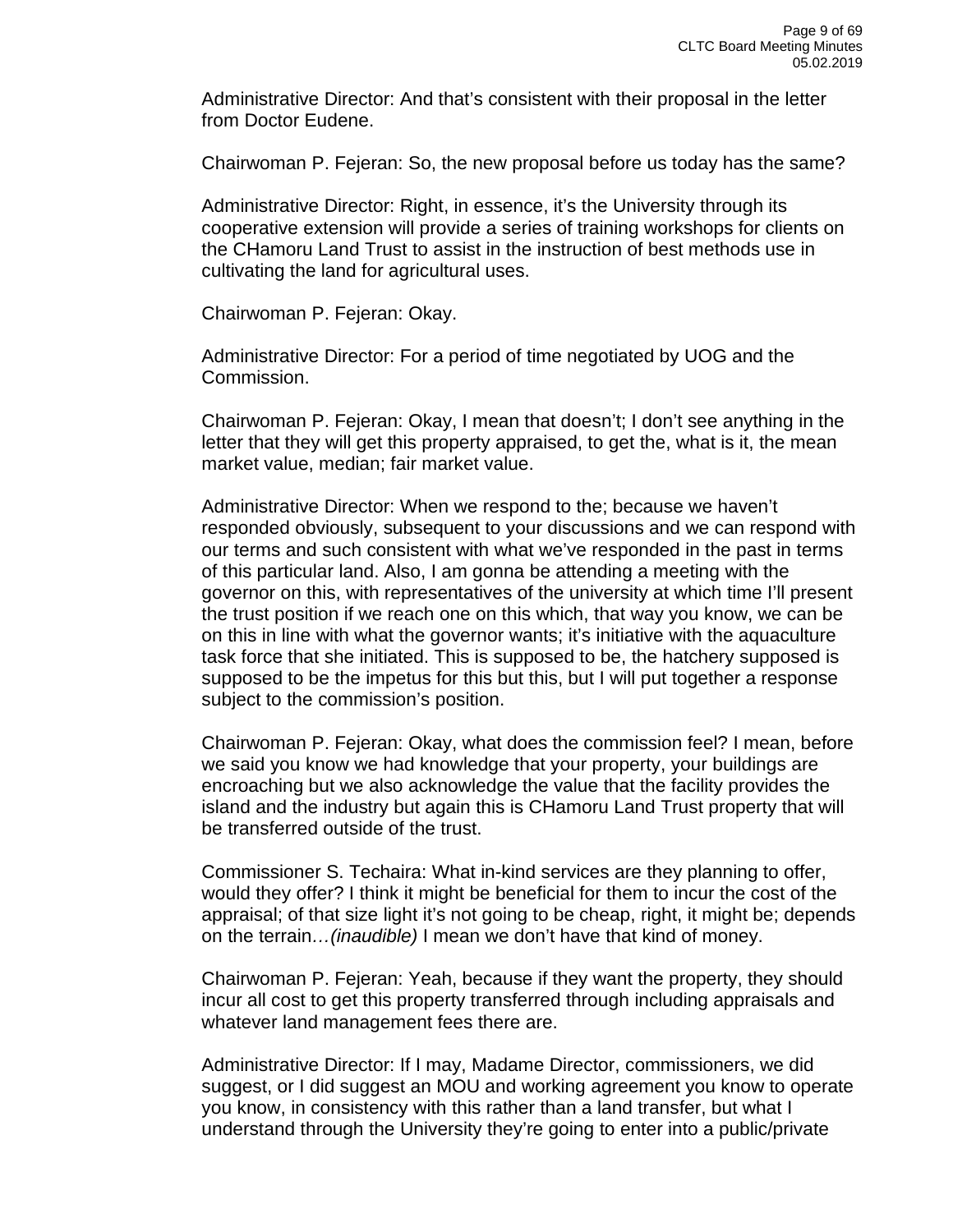Administrative Director: And that's consistent with their proposal in the letter from Doctor Eudene.

Chairwoman P. Fejeran: So, the new proposal before us today has the same?

Administrative Director: Right, in essence, it's the University through its cooperative extension will provide a series of training workshops for clients on the CHamoru Land Trust to assist in the instruction of best methods use in cultivating the land for agricultural uses.

Chairwoman P. Fejeran: Okay.

Administrative Director: For a period of time negotiated by UOG and the Commission.

Chairwoman P. Fejeran: Okay, I mean that doesn't; I don't see anything in the letter that they will get this property appraised, to get the, what is it, the mean market value, median; fair market value.

Administrative Director: When we respond to the; because we haven't responded obviously, subsequent to your discussions and we can respond with our terms and such consistent with what we've responded in the past in terms of this particular land. Also, I am gonna be attending a meeting with the governor on this, with representatives of the university at which time I'll present the trust position if we reach one on this which, that way you know, we can be on this in line with what the governor wants; it's initiative with the aquaculture task force that she initiated. This is supposed to be, the hatchery supposed is supposed to be the impetus for this but this, but I will put together a response subject to the commission's position.

Chairwoman P. Fejeran: Okay, what does the commission feel? I mean, before we said you know we had knowledge that your property, your buildings are encroaching but we also acknowledge the value that the facility provides the island and the industry but again this is CHamoru Land Trust property that will be transferred outside of the trust.

Commissioner S. Techaira: What in-kind services are they planning to offer, would they offer? I think it might be beneficial for them to incur the cost of the appraisal; of that size light it's not going to be cheap, right, it might be; depends on the terrain*…(inaudible)* I mean we don't have that kind of money.

Chairwoman P. Fejeran: Yeah, because if they want the property, they should incur all cost to get this property transferred through including appraisals and whatever land management fees there are.

Administrative Director: If I may, Madame Director, commissioners, we did suggest, or I did suggest an MOU and working agreement you know to operate you know, in consistency with this rather than a land transfer, but what I understand through the University they're going to enter into a public/private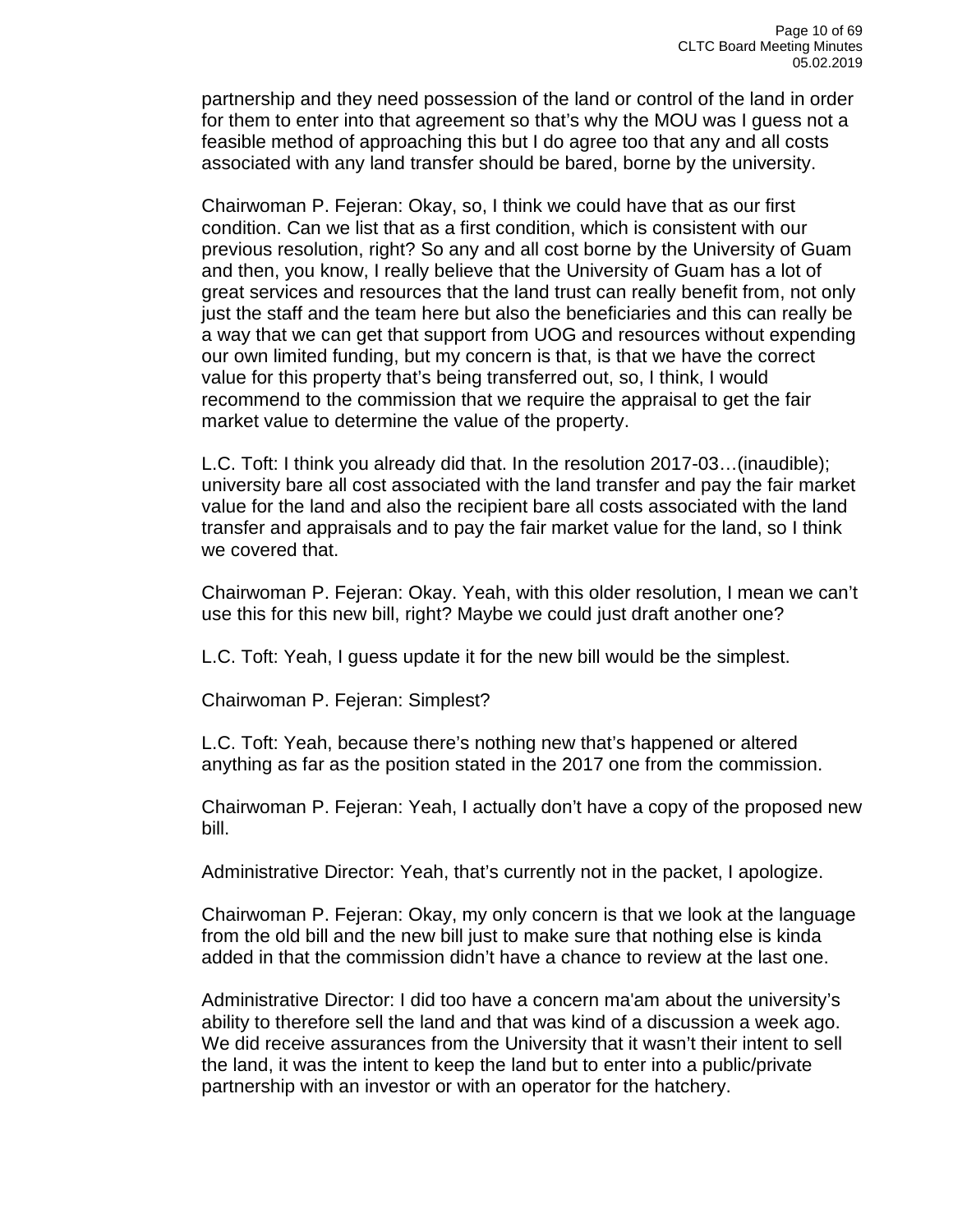partnership and they need possession of the land or control of the land in order for them to enter into that agreement so that's why the MOU was I guess not a feasible method of approaching this but I do agree too that any and all costs associated with any land transfer should be bared, borne by the university.

Chairwoman P. Fejeran: Okay, so, I think we could have that as our first condition. Can we list that as a first condition, which is consistent with our previous resolution, right? So any and all cost borne by the University of Guam and then, you know, I really believe that the University of Guam has a lot of great services and resources that the land trust can really benefit from, not only just the staff and the team here but also the beneficiaries and this can really be a way that we can get that support from UOG and resources without expending our own limited funding, but my concern is that, is that we have the correct value for this property that's being transferred out, so, I think, I would recommend to the commission that we require the appraisal to get the fair market value to determine the value of the property.

L.C. Toft: I think you already did that. In the resolution 2017-03…(inaudible); university bare all cost associated with the land transfer and pay the fair market value for the land and also the recipient bare all costs associated with the land transfer and appraisals and to pay the fair market value for the land, so I think we covered that.

Chairwoman P. Fejeran: Okay. Yeah, with this older resolution, I mean we can't use this for this new bill, right? Maybe we could just draft another one?

L.C. Toft: Yeah, I guess update it for the new bill would be the simplest.

Chairwoman P. Fejeran: Simplest?

L.C. Toft: Yeah, because there's nothing new that's happened or altered anything as far as the position stated in the 2017 one from the commission.

Chairwoman P. Fejeran: Yeah, I actually don't have a copy of the proposed new bill.

Administrative Director: Yeah, that's currently not in the packet, I apologize.

Chairwoman P. Fejeran: Okay, my only concern is that we look at the language from the old bill and the new bill just to make sure that nothing else is kinda added in that the commission didn't have a chance to review at the last one.

Administrative Director: I did too have a concern ma'am about the university's ability to therefore sell the land and that was kind of a discussion a week ago. We did receive assurances from the University that it wasn't their intent to sell the land, it was the intent to keep the land but to enter into a public/private partnership with an investor or with an operator for the hatchery.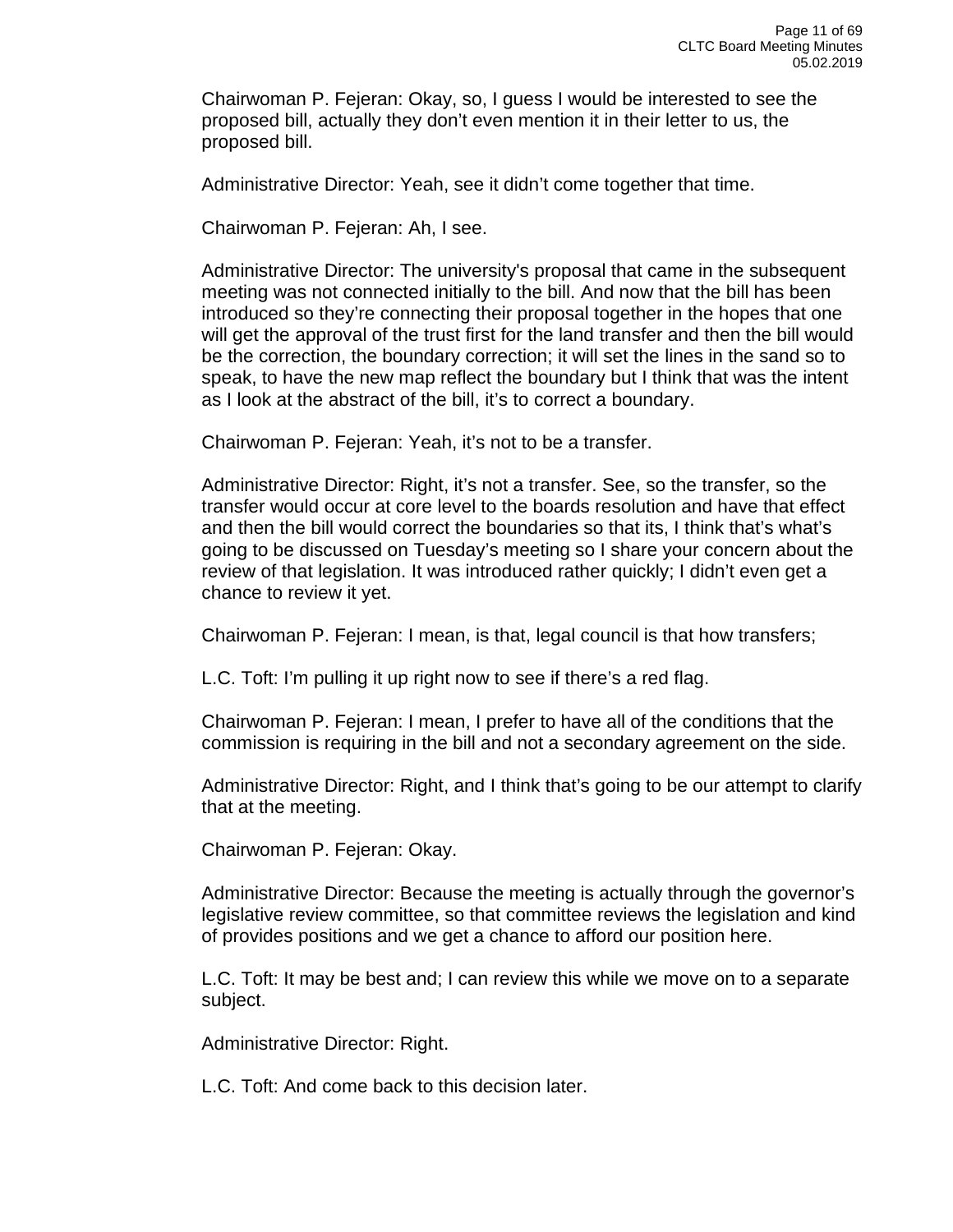Chairwoman P. Fejeran: Okay, so, I guess I would be interested to see the proposed bill, actually they don't even mention it in their letter to us, the proposed bill.

Administrative Director: Yeah, see it didn't come together that time.

Chairwoman P. Fejeran: Ah, I see.

Administrative Director: The university's proposal that came in the subsequent meeting was not connected initially to the bill. And now that the bill has been introduced so they're connecting their proposal together in the hopes that one will get the approval of the trust first for the land transfer and then the bill would be the correction, the boundary correction; it will set the lines in the sand so to speak, to have the new map reflect the boundary but I think that was the intent as I look at the abstract of the bill, it's to correct a boundary.

Chairwoman P. Fejeran: Yeah, it's not to be a transfer.

Administrative Director: Right, it's not a transfer. See, so the transfer, so the transfer would occur at core level to the boards resolution and have that effect and then the bill would correct the boundaries so that its, I think that's what's going to be discussed on Tuesday's meeting so I share your concern about the review of that legislation. It was introduced rather quickly; I didn't even get a chance to review it yet.

Chairwoman P. Fejeran: I mean, is that, legal council is that how transfers;

L.C. Toft: I'm pulling it up right now to see if there's a red flag.

Chairwoman P. Fejeran: I mean, I prefer to have all of the conditions that the commission is requiring in the bill and not a secondary agreement on the side.

Administrative Director: Right, and I think that's going to be our attempt to clarify that at the meeting.

Chairwoman P. Fejeran: Okay.

Administrative Director: Because the meeting is actually through the governor's legislative review committee, so that committee reviews the legislation and kind of provides positions and we get a chance to afford our position here.

L.C. Toft: It may be best and; I can review this while we move on to a separate subject.

Administrative Director: Right.

L.C. Toft: And come back to this decision later.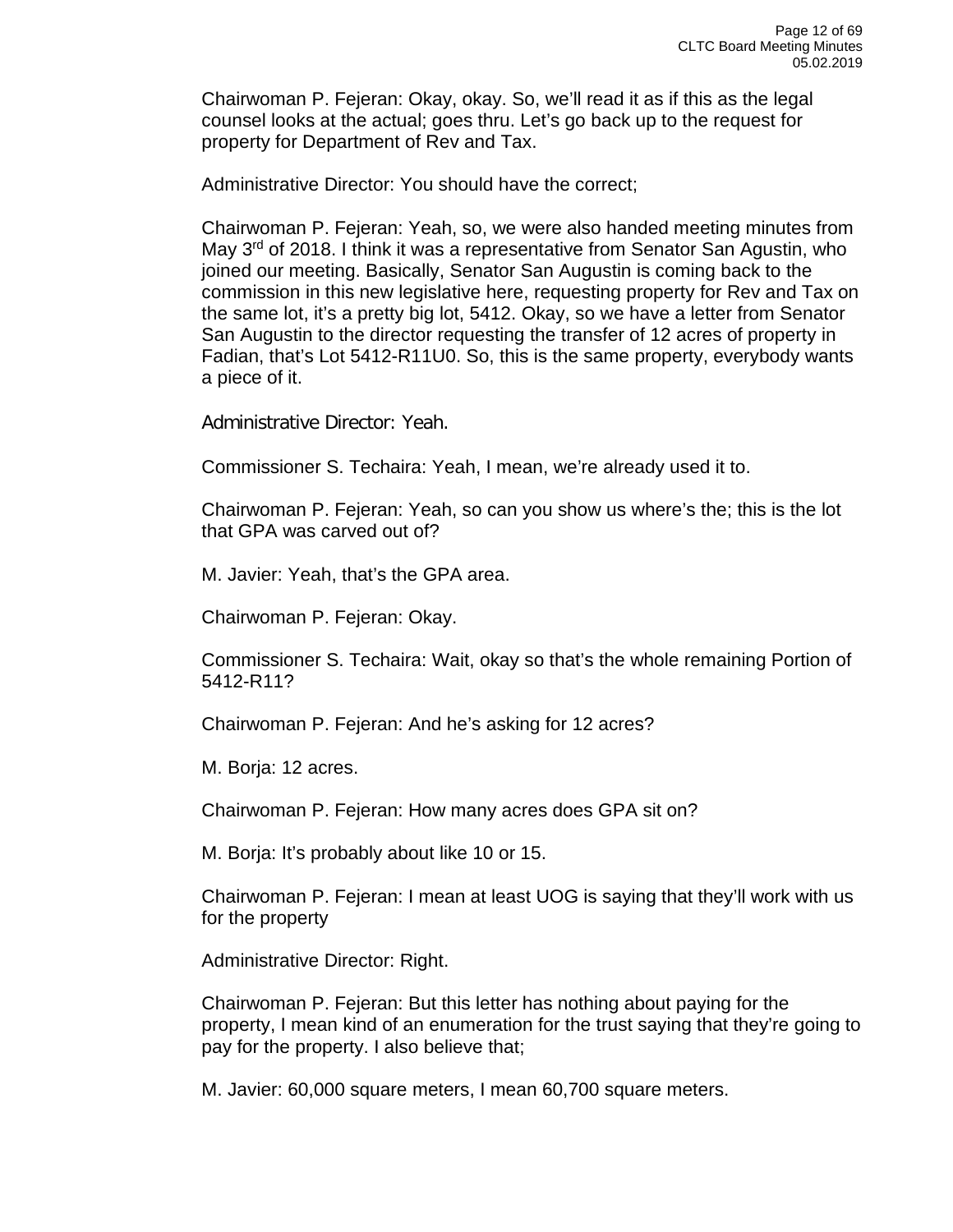Chairwoman P. Fejeran: Okay, okay. So, we'll read it as if this as the legal counsel looks at the actual; goes thru. Let's go back up to the request for property for Department of Rev and Tax.

Administrative Director: You should have the correct;

Chairwoman P. Fejeran: Yeah, so, we were also handed meeting minutes from May 3<sup>rd</sup> of 2018. I think it was a representative from Senator San Agustin, who joined our meeting. Basically, Senator San Augustin is coming back to the commission in this new legislative here, requesting property for Rev and Tax on the same lot, it's a pretty big lot, 5412. Okay, so we have a letter from Senator San Augustin to the director requesting the transfer of 12 acres of property in Fadian, that's Lot 5412-R11U0. So, this is the same property, everybody wants a piece of it.

Administrative Director: Yeah.

Commissioner S. Techaira: Yeah, I mean, we're already used it to.

Chairwoman P. Fejeran: Yeah, so can you show us where's the; this is the lot that GPA was carved out of?

M. Javier: Yeah, that's the GPA area.

Chairwoman P. Fejeran: Okay.

Commissioner S. Techaira: Wait, okay so that's the whole remaining Portion of 5412-R11?

Chairwoman P. Fejeran: And he's asking for 12 acres?

M. Borja: 12 acres.

Chairwoman P. Fejeran: How many acres does GPA sit on?

M. Borja: It's probably about like 10 or 15.

Chairwoman P. Fejeran: I mean at least UOG is saying that they'll work with us for the property

Administrative Director: Right.

Chairwoman P. Fejeran: But this letter has nothing about paying for the property, I mean kind of an enumeration for the trust saying that they're going to pay for the property. I also believe that;

M. Javier: 60,000 square meters, I mean 60,700 square meters.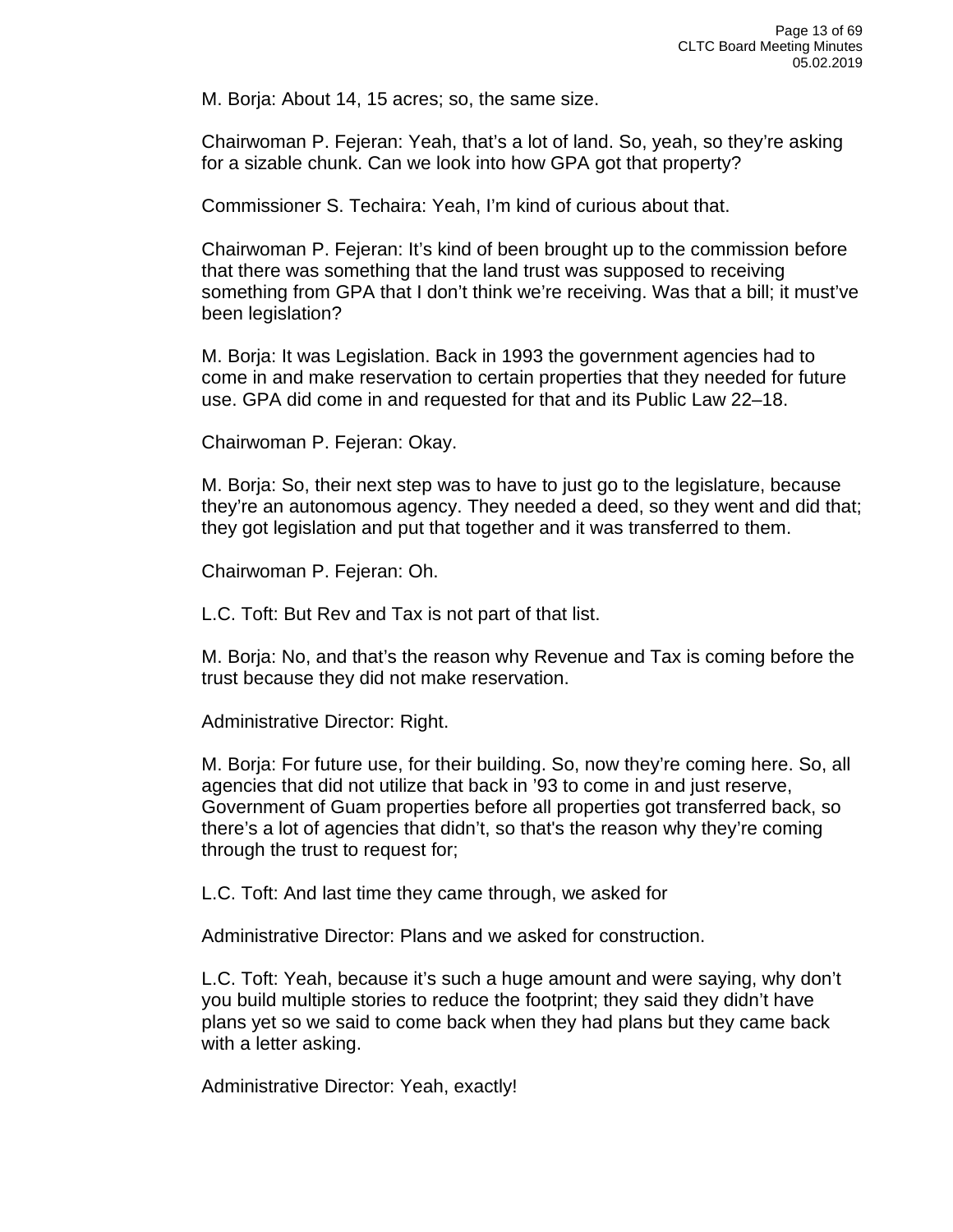M. Borja: About 14, 15 acres; so, the same size.

Chairwoman P. Fejeran: Yeah, that's a lot of land. So, yeah, so they're asking for a sizable chunk. Can we look into how GPA got that property?

Commissioner S. Techaira: Yeah, I'm kind of curious about that.

Chairwoman P. Fejeran: It's kind of been brought up to the commission before that there was something that the land trust was supposed to receiving something from GPA that I don't think we're receiving. Was that a bill; it must've been legislation?

M. Borja: It was Legislation. Back in 1993 the government agencies had to come in and make reservation to certain properties that they needed for future use. GPA did come in and requested for that and its Public Law 22–18.

Chairwoman P. Fejeran: Okay.

M. Borja: So, their next step was to have to just go to the legislature, because they're an autonomous agency. They needed a deed, so they went and did that; they got legislation and put that together and it was transferred to them.

Chairwoman P. Fejeran: Oh.

L.C. Toft: But Rev and Tax is not part of that list.

M. Borja: No, and that's the reason why Revenue and Tax is coming before the trust because they did not make reservation.

Administrative Director: Right.

M. Borja: For future use, for their building. So, now they're coming here. So, all agencies that did not utilize that back in '93 to come in and just reserve, Government of Guam properties before all properties got transferred back, so there's a lot of agencies that didn't, so that's the reason why they're coming through the trust to request for;

L.C. Toft: And last time they came through, we asked for

Administrative Director: Plans and we asked for construction.

L.C. Toft: Yeah, because it's such a huge amount and were saying, why don't you build multiple stories to reduce the footprint; they said they didn't have plans yet so we said to come back when they had plans but they came back with a letter asking.

Administrative Director: Yeah, exactly!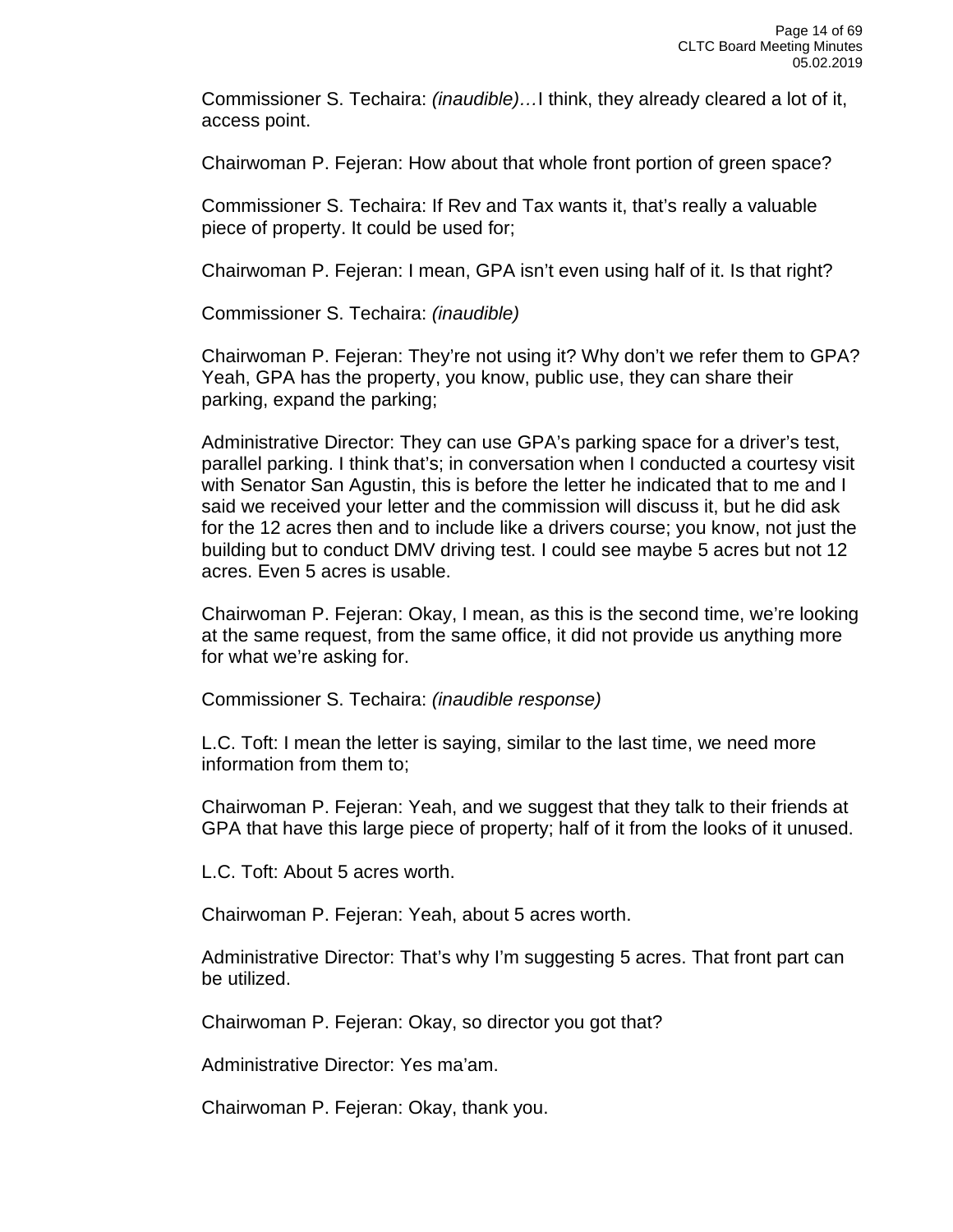Commissioner S. Techaira: *(inaudible)…*I think, they already cleared a lot of it, access point.

Chairwoman P. Fejeran: How about that whole front portion of green space?

Commissioner S. Techaira: If Rev and Tax wants it, that's really a valuable piece of property. It could be used for;

Chairwoman P. Fejeran: I mean, GPA isn't even using half of it. Is that right?

Commissioner S. Techaira: *(inaudible)*

Chairwoman P. Fejeran: They're not using it? Why don't we refer them to GPA? Yeah, GPA has the property, you know, public use, they can share their parking, expand the parking;

Administrative Director: They can use GPA's parking space for a driver's test, parallel parking. I think that's; in conversation when I conducted a courtesy visit with Senator San Agustin, this is before the letter he indicated that to me and I said we received your letter and the commission will discuss it, but he did ask for the 12 acres then and to include like a drivers course; you know, not just the building but to conduct DMV driving test. I could see maybe 5 acres but not 12 acres. Even 5 acres is usable.

Chairwoman P. Fejeran: Okay, I mean, as this is the second time, we're looking at the same request, from the same office, it did not provide us anything more for what we're asking for.

Commissioner S. Techaira: *(inaudible response)*

L.C. Toft: I mean the letter is saying, similar to the last time, we need more information from them to;

Chairwoman P. Fejeran: Yeah, and we suggest that they talk to their friends at GPA that have this large piece of property; half of it from the looks of it unused.

L.C. Toft: About 5 acres worth.

Chairwoman P. Fejeran: Yeah, about 5 acres worth.

Administrative Director: That's why I'm suggesting 5 acres. That front part can be utilized.

Chairwoman P. Fejeran: Okay, so director you got that?

Administrative Director: Yes ma'am.

Chairwoman P. Fejeran: Okay, thank you.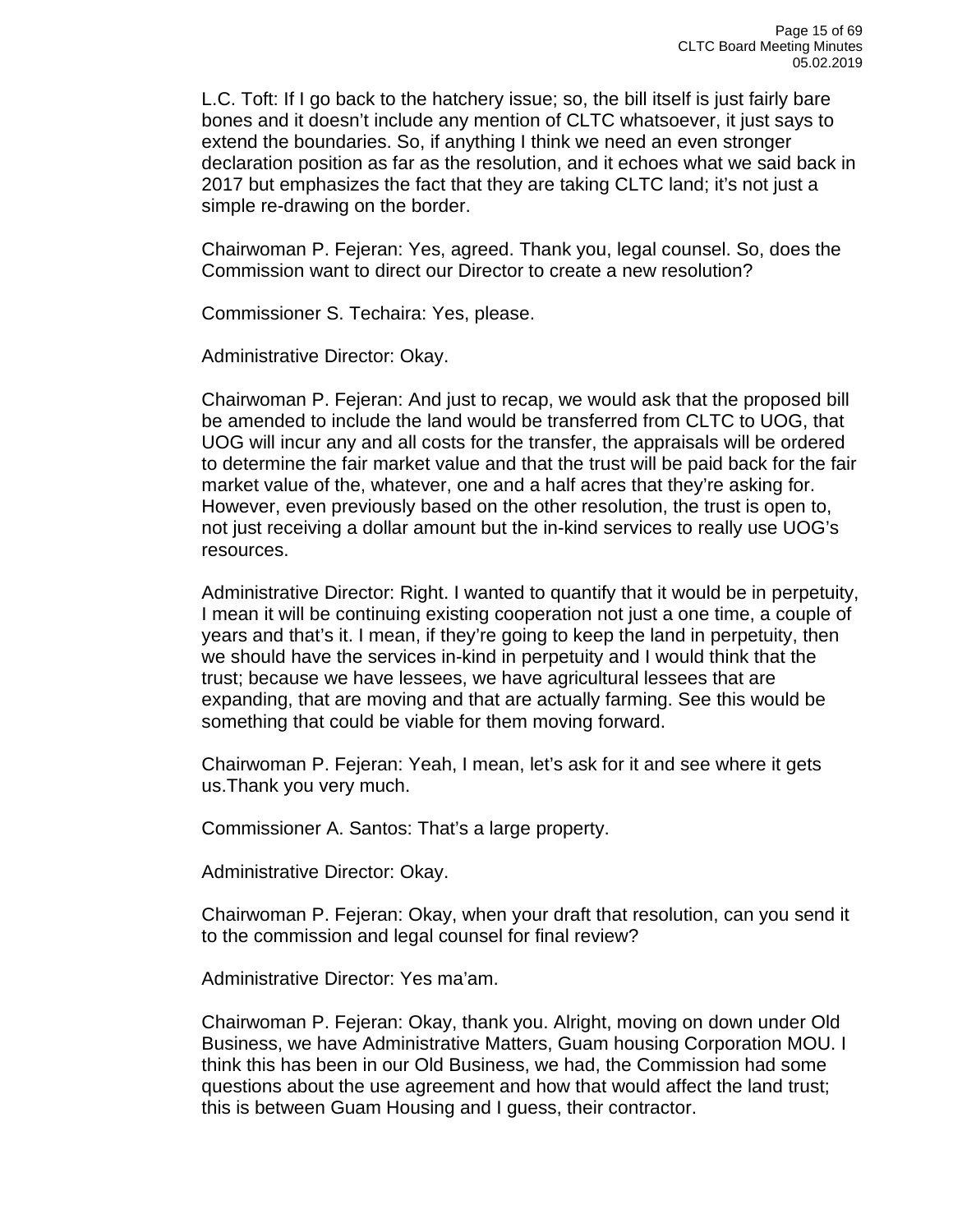L.C. Toft: If I go back to the hatchery issue; so, the bill itself is just fairly bare bones and it doesn't include any mention of CLTC whatsoever, it just says to extend the boundaries. So, if anything I think we need an even stronger declaration position as far as the resolution, and it echoes what we said back in 2017 but emphasizes the fact that they are taking CLTC land; it's not just a simple re-drawing on the border.

Chairwoman P. Fejeran: Yes, agreed. Thank you, legal counsel. So, does the Commission want to direct our Director to create a new resolution?

Commissioner S. Techaira: Yes, please.

Administrative Director: Okay.

Chairwoman P. Fejeran: And just to recap, we would ask that the proposed bill be amended to include the land would be transferred from CLTC to UOG, that UOG will incur any and all costs for the transfer, the appraisals will be ordered to determine the fair market value and that the trust will be paid back for the fair market value of the, whatever, one and a half acres that they're asking for. However, even previously based on the other resolution, the trust is open to, not just receiving a dollar amount but the in-kind services to really use UOG's resources.

Administrative Director: Right. I wanted to quantify that it would be in perpetuity, I mean it will be continuing existing cooperation not just a one time, a couple of years and that's it. I mean, if they're going to keep the land in perpetuity, then we should have the services in-kind in perpetuity and I would think that the trust; because we have lessees, we have agricultural lessees that are expanding, that are moving and that are actually farming. See this would be something that could be viable for them moving forward.

Chairwoman P. Fejeran: Yeah, I mean, let's ask for it and see where it gets us.Thank you very much.

Commissioner A. Santos: That's a large property.

Administrative Director: Okay.

Chairwoman P. Fejeran: Okay, when your draft that resolution, can you send it to the commission and legal counsel for final review?

Administrative Director: Yes ma'am.

Chairwoman P. Fejeran: Okay, thank you. Alright, moving on down under Old Business, we have Administrative Matters, Guam housing Corporation MOU. I think this has been in our Old Business, we had, the Commission had some questions about the use agreement and how that would affect the land trust; this is between Guam Housing and I guess, their contractor.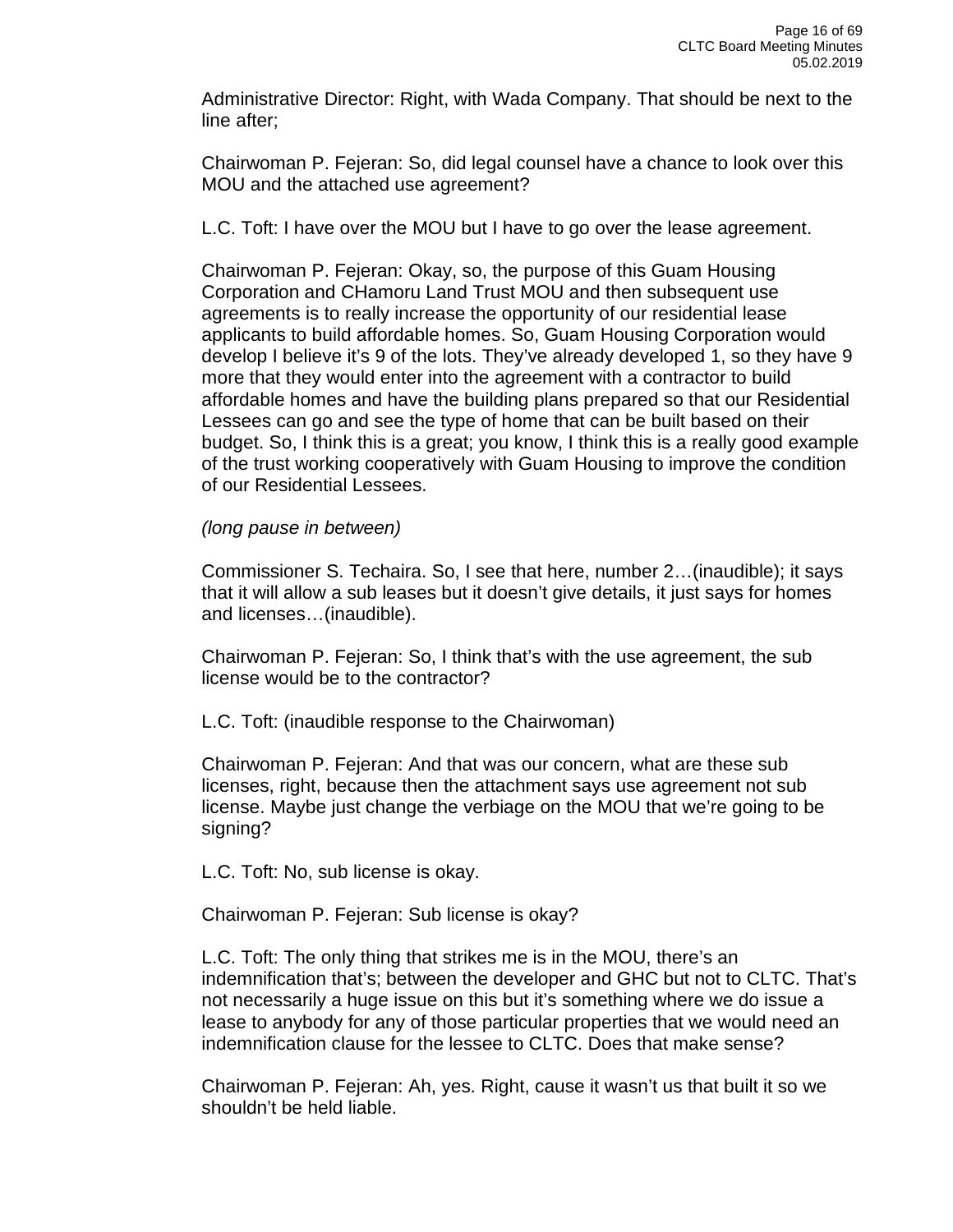Administrative Director: Right, with Wada Company. That should be next to the line after;

Chairwoman P. Fejeran: So, did legal counsel have a chance to look over this MOU and the attached use agreement?

L.C. Toft: I have over the MOU but I have to go over the lease agreement.

Chairwoman P. Fejeran: Okay, so, the purpose of this Guam Housing Corporation and CHamoru Land Trust MOU and then subsequent use agreements is to really increase the opportunity of our residential lease applicants to build affordable homes. So, Guam Housing Corporation would develop I believe it's 9 of the lots. They've already developed 1, so they have 9 more that they would enter into the agreement with a contractor to build affordable homes and have the building plans prepared so that our Residential Lessees can go and see the type of home that can be built based on their budget. So, I think this is a great; you know, I think this is a really good example of the trust working cooperatively with Guam Housing to improve the condition of our Residential Lessees.

#### *(long pause in between)*

Commissioner S. Techaira. So, I see that here, number 2…(inaudible); it says that it will allow a sub leases but it doesn't give details, it just says for homes and licenses…(inaudible).

Chairwoman P. Fejeran: So, I think that's with the use agreement, the sub license would be to the contractor?

L.C. Toft: (inaudible response to the Chairwoman)

Chairwoman P. Fejeran: And that was our concern, what are these sub licenses, right, because then the attachment says use agreement not sub license. Maybe just change the verbiage on the MOU that we're going to be signing?

L.C. Toft: No, sub license is okay.

Chairwoman P. Fejeran: Sub license is okay?

L.C. Toft: The only thing that strikes me is in the MOU, there's an indemnification that's; between the developer and GHC but not to CLTC. That's not necessarily a huge issue on this but it's something where we do issue a lease to anybody for any of those particular properties that we would need an indemnification clause for the lessee to CLTC. Does that make sense?

Chairwoman P. Fejeran: Ah, yes. Right, cause it wasn't us that built it so we shouldn't be held liable.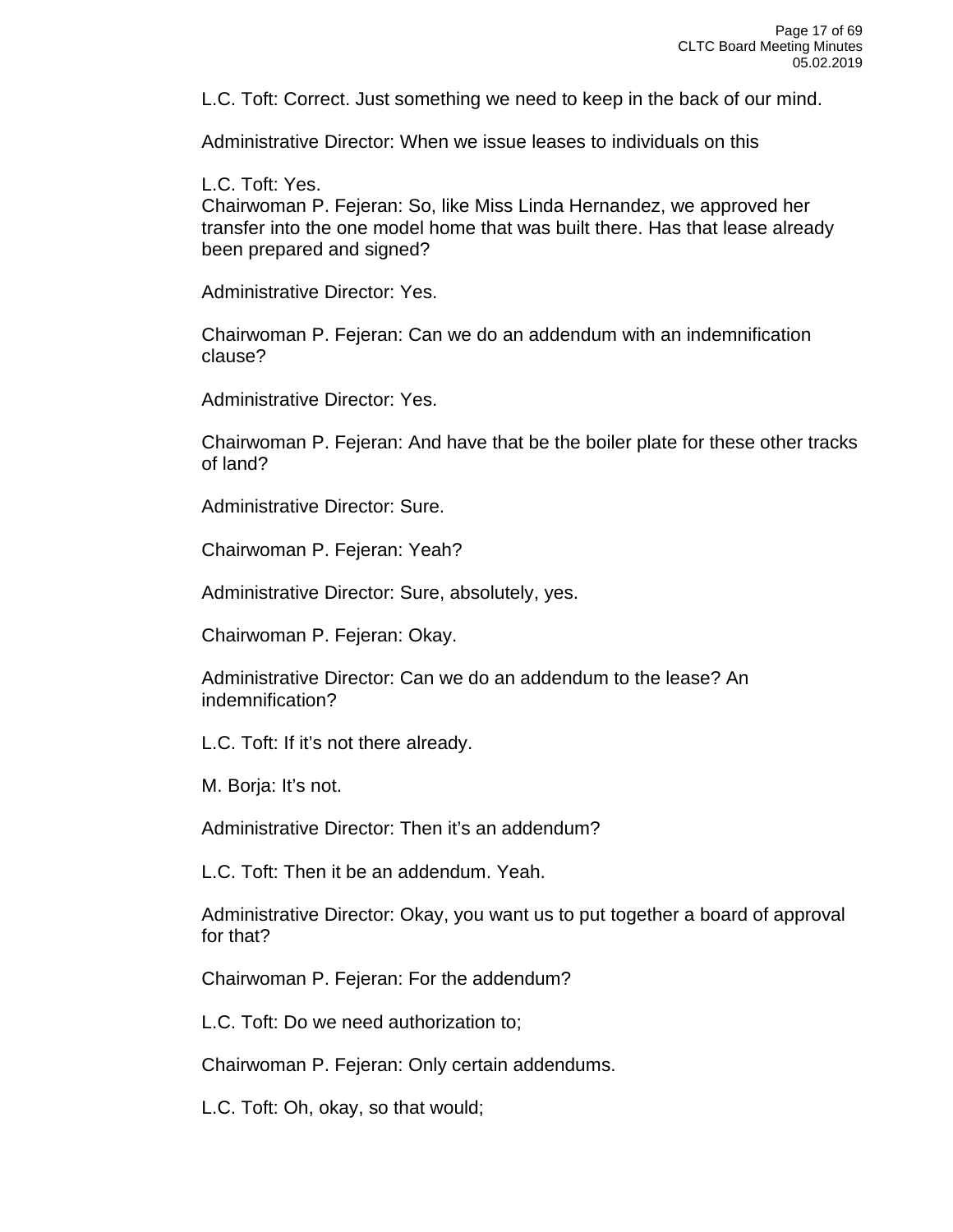L.C. Toft: Correct. Just something we need to keep in the back of our mind.

Administrative Director: When we issue leases to individuals on this

L.C. Toft: Yes.

Chairwoman P. Fejeran: So, like Miss Linda Hernandez, we approved her transfer into the one model home that was built there. Has that lease already been prepared and signed?

Administrative Director: Yes.

Chairwoman P. Fejeran: Can we do an addendum with an indemnification clause?

Administrative Director: Yes.

Chairwoman P. Fejeran: And have that be the boiler plate for these other tracks of land?

Administrative Director: Sure.

Chairwoman P. Fejeran: Yeah?

Administrative Director: Sure, absolutely, yes.

Chairwoman P. Fejeran: Okay.

Administrative Director: Can we do an addendum to the lease? An indemnification?

L.C. Toft: If it's not there already.

M. Borja: It's not.

Administrative Director: Then it's an addendum?

L.C. Toft: Then it be an addendum. Yeah.

Administrative Director: Okay, you want us to put together a board of approval for that?

Chairwoman P. Fejeran: For the addendum?

L.C. Toft: Do we need authorization to;

Chairwoman P. Fejeran: Only certain addendums.

L.C. Toft: Oh, okay, so that would;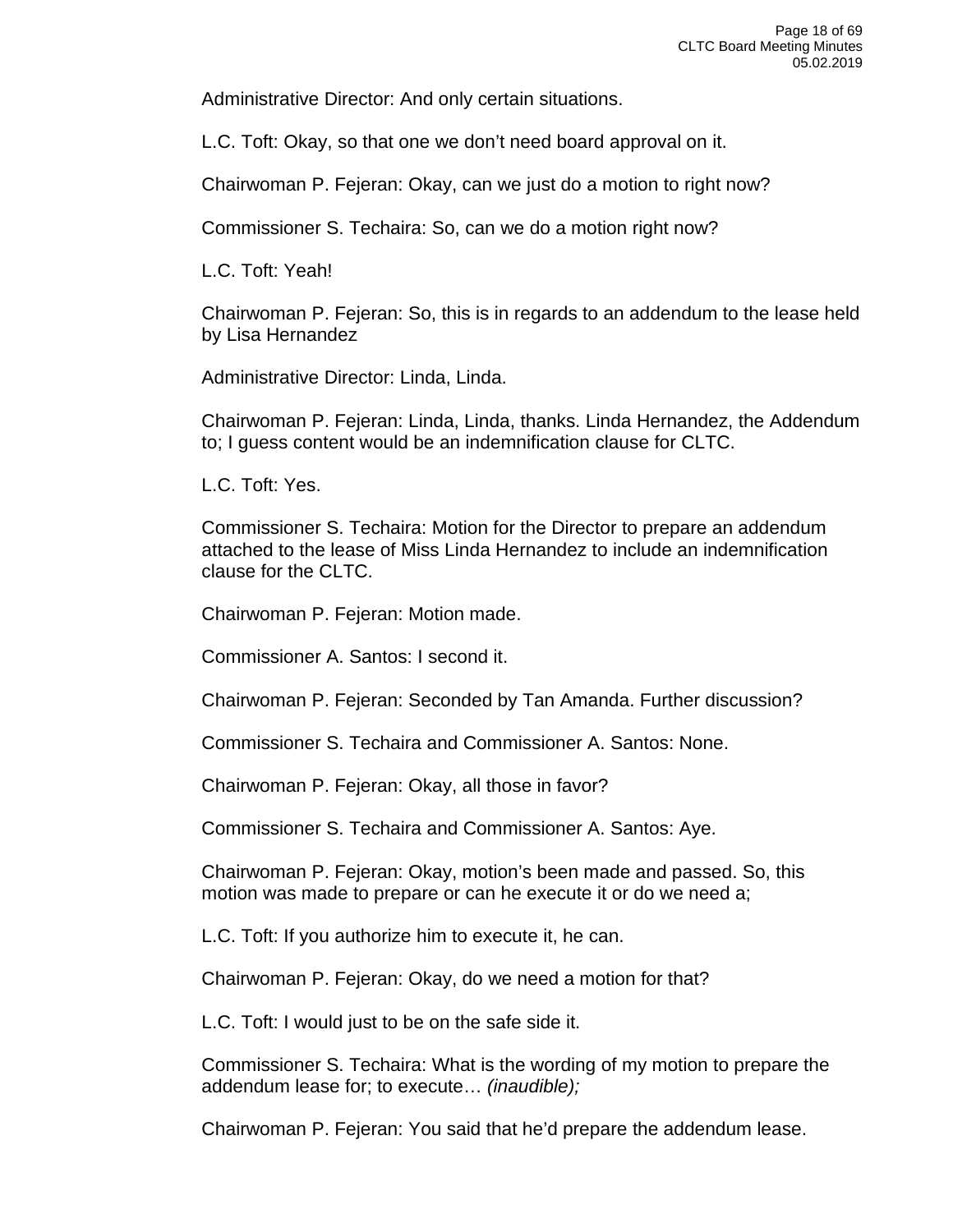Administrative Director: And only certain situations.

L.C. Toft: Okay, so that one we don't need board approval on it.

Chairwoman P. Fejeran: Okay, can we just do a motion to right now?

Commissioner S. Techaira: So, can we do a motion right now?

L.C. Toft: Yeah!

Chairwoman P. Fejeran: So, this is in regards to an addendum to the lease held by Lisa Hernandez

Administrative Director: Linda, Linda.

Chairwoman P. Fejeran: Linda, Linda, thanks. Linda Hernandez, the Addendum to; I guess content would be an indemnification clause for CLTC.

L.C. Toft: Yes.

Commissioner S. Techaira: Motion for the Director to prepare an addendum attached to the lease of Miss Linda Hernandez to include an indemnification clause for the CLTC.

Chairwoman P. Fejeran: Motion made.

Commissioner A. Santos: I second it.

Chairwoman P. Fejeran: Seconded by Tan Amanda. Further discussion?

Commissioner S. Techaira and Commissioner A. Santos: None.

Chairwoman P. Fejeran: Okay, all those in favor?

Commissioner S. Techaira and Commissioner A. Santos: Aye.

Chairwoman P. Fejeran: Okay, motion's been made and passed. So, this motion was made to prepare or can he execute it or do we need a;

L.C. Toft: If you authorize him to execute it, he can.

Chairwoman P. Fejeran: Okay, do we need a motion for that?

L.C. Toft: I would just to be on the safe side it.

Commissioner S. Techaira: What is the wording of my motion to prepare the addendum lease for; to execute… *(inaudible);*

Chairwoman P. Fejeran: You said that he'd prepare the addendum lease.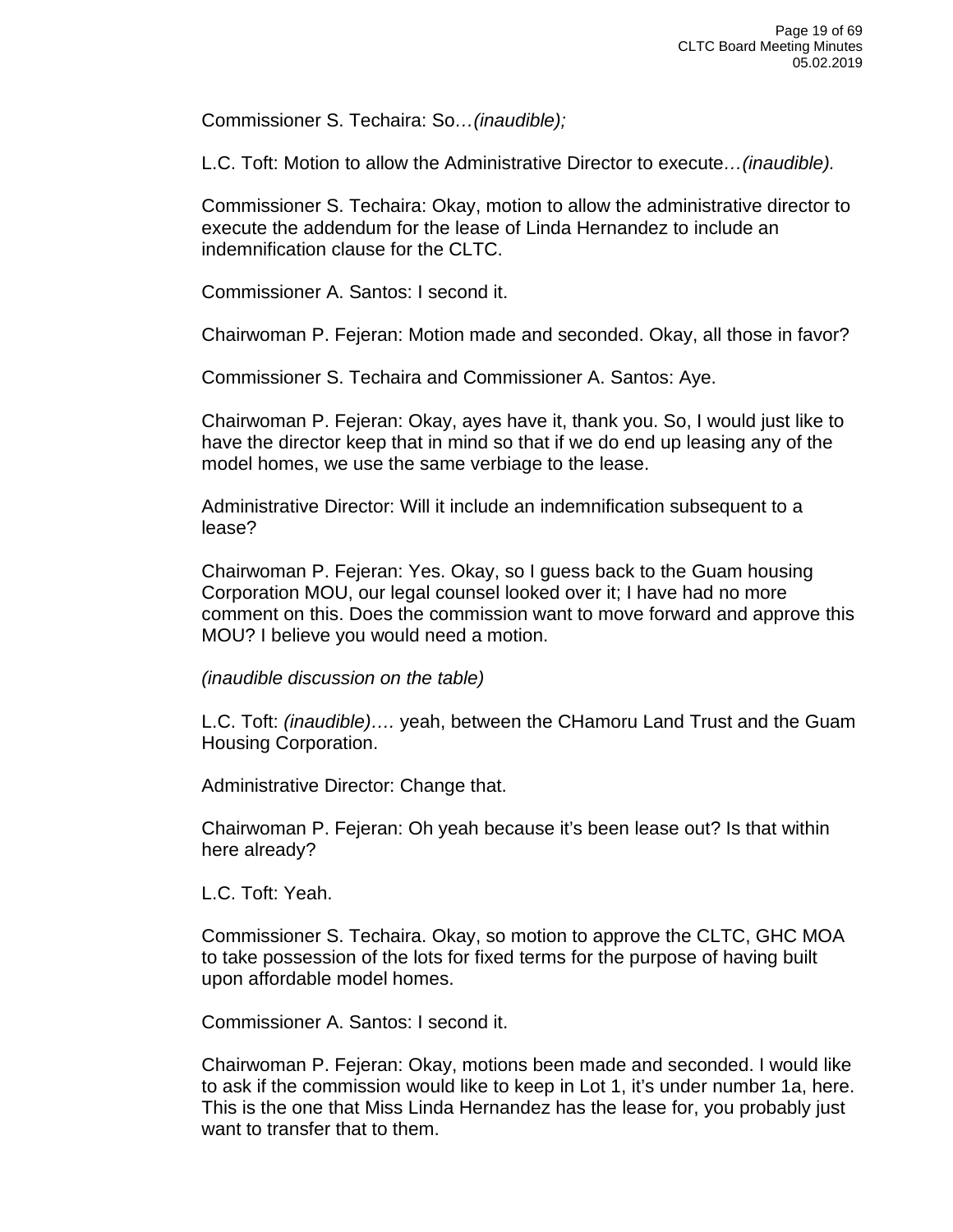Commissioner S. Techaira: So*…(inaudible);*

L.C. Toft: Motion to allow the Administrative Director to execute*…(inaudible).*

Commissioner S. Techaira: Okay, motion to allow the administrative director to execute the addendum for the lease of Linda Hernandez to include an indemnification clause for the CLTC.

Commissioner A. Santos: I second it.

Chairwoman P. Fejeran: Motion made and seconded. Okay, all those in favor?

Commissioner S. Techaira and Commissioner A. Santos: Aye.

Chairwoman P. Fejeran: Okay, ayes have it, thank you. So, I would just like to have the director keep that in mind so that if we do end up leasing any of the model homes, we use the same verbiage to the lease.

Administrative Director: Will it include an indemnification subsequent to a lease?

Chairwoman P. Fejeran: Yes. Okay, so I guess back to the Guam housing Corporation MOU, our legal counsel looked over it; I have had no more comment on this. Does the commission want to move forward and approve this MOU? I believe you would need a motion.

*(inaudible discussion on the table)*

L.C. Toft: *(inaudible)….* yeah, between the CHamoru Land Trust and the Guam Housing Corporation.

Administrative Director: Change that.

Chairwoman P. Fejeran: Oh yeah because it's been lease out? Is that within here already?

L.C. Toft: Yeah.

Commissioner S. Techaira. Okay, so motion to approve the CLTC, GHC MOA to take possession of the lots for fixed terms for the purpose of having built upon affordable model homes.

Commissioner A. Santos: I second it.

Chairwoman P. Fejeran: Okay, motions been made and seconded. I would like to ask if the commission would like to keep in Lot 1, it's under number 1a, here. This is the one that Miss Linda Hernandez has the lease for, you probably just want to transfer that to them.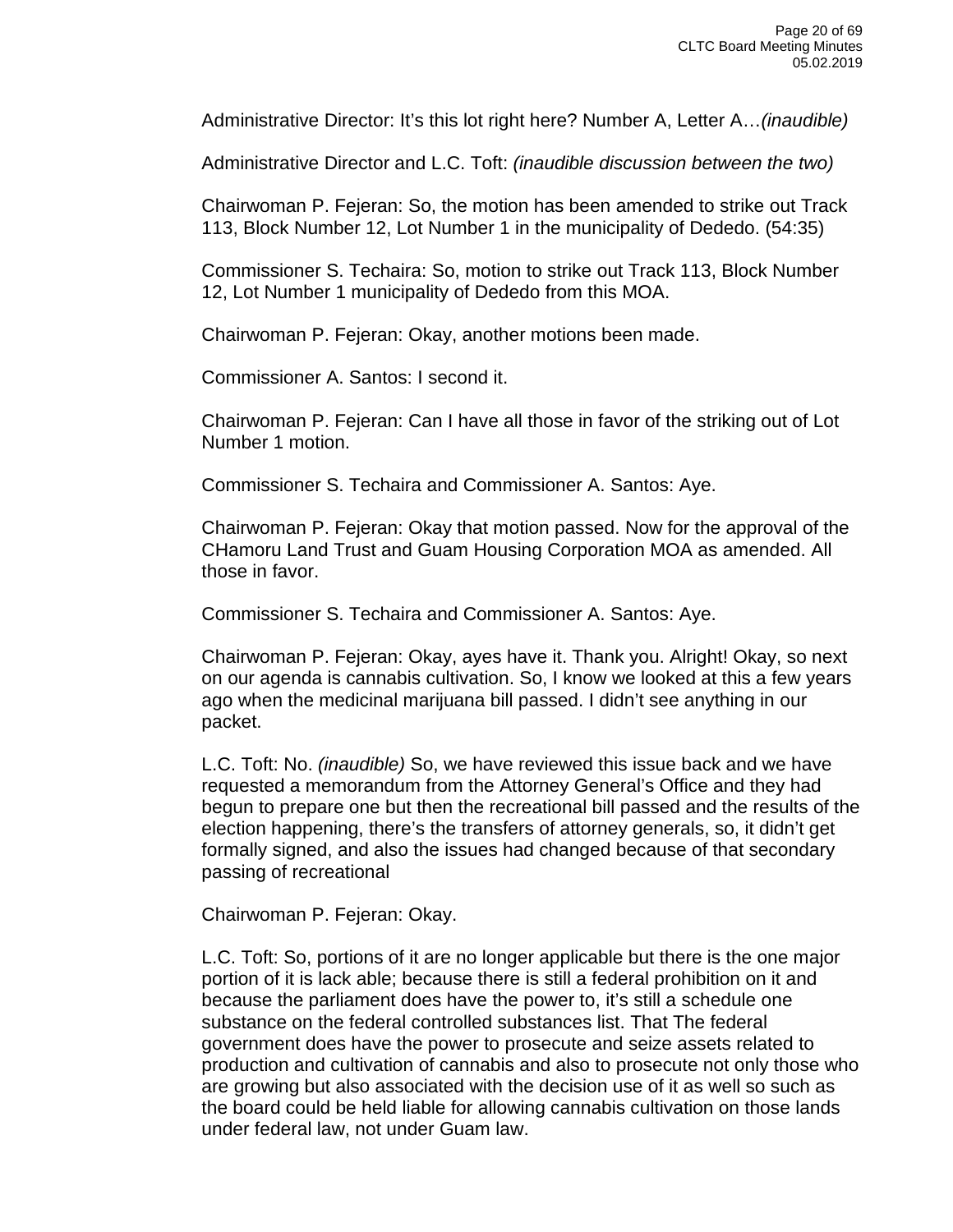Administrative Director: It's this lot right here? Number A, Letter A…*(inaudible)*

Administrative Director and L.C. Toft: *(inaudible discussion between the two)*

Chairwoman P. Fejeran: So, the motion has been amended to strike out Track 113, Block Number 12, Lot Number 1 in the municipality of Dededo. (54:35)

Commissioner S. Techaira: So, motion to strike out Track 113, Block Number 12, Lot Number 1 municipality of Dededo from this MOA.

Chairwoman P. Fejeran: Okay, another motions been made.

Commissioner A. Santos: I second it.

Chairwoman P. Fejeran: Can I have all those in favor of the striking out of Lot Number 1 motion.

Commissioner S. Techaira and Commissioner A. Santos: Aye.

Chairwoman P. Fejeran: Okay that motion passed. Now for the approval of the CHamoru Land Trust and Guam Housing Corporation MOA as amended. All those in favor.

Commissioner S. Techaira and Commissioner A. Santos: Aye.

Chairwoman P. Fejeran: Okay, ayes have it. Thank you. Alright! Okay, so next on our agenda is cannabis cultivation. So, I know we looked at this a few years ago when the medicinal marijuana bill passed. I didn't see anything in our packet.

L.C. Toft: No. *(inaudible)* So, we have reviewed this issue back and we have requested a memorandum from the Attorney General's Office and they had begun to prepare one but then the recreational bill passed and the results of the election happening, there's the transfers of attorney generals, so, it didn't get formally signed, and also the issues had changed because of that secondary passing of recreational

Chairwoman P. Fejeran: Okay.

L.C. Toft: So, portions of it are no longer applicable but there is the one major portion of it is lack able; because there is still a federal prohibition on it and because the parliament does have the power to, it's still a schedule one substance on the federal controlled substances list. That The federal government does have the power to prosecute and seize assets related to production and cultivation of cannabis and also to prosecute not only those who are growing but also associated with the decision use of it as well so such as the board could be held liable for allowing cannabis cultivation on those lands under federal law, not under Guam law.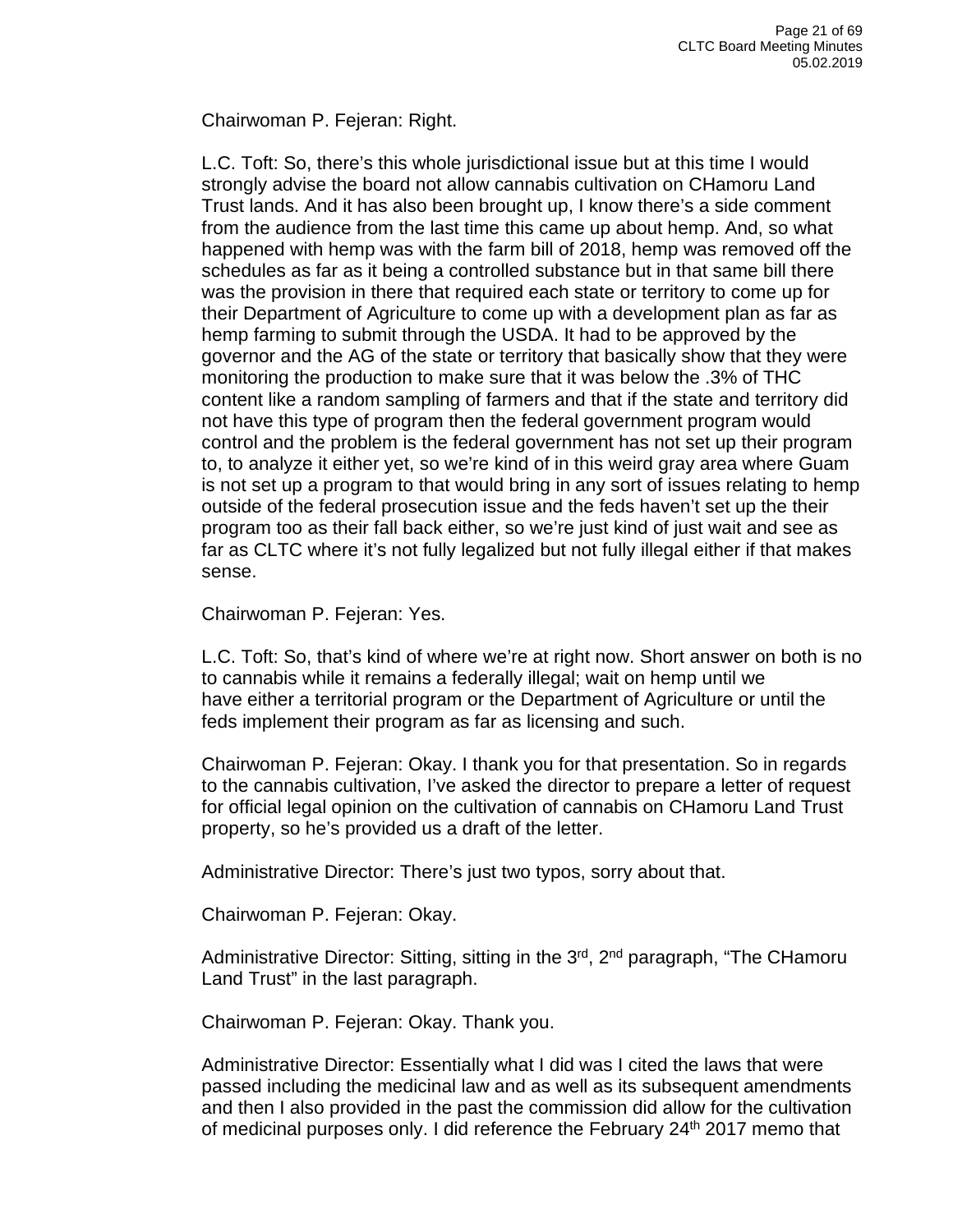Chairwoman P. Fejeran: Right.

L.C. Toft: So, there's this whole jurisdictional issue but at this time I would strongly advise the board not allow cannabis cultivation on CHamoru Land Trust lands. And it has also been brought up, I know there's a side comment from the audience from the last time this came up about hemp. And, so what happened with hemp was with the farm bill of 2018, hemp was removed off the schedules as far as it being a controlled substance but in that same bill there was the provision in there that required each state or territory to come up for their Department of Agriculture to come up with a development plan as far as hemp farming to submit through the USDA. It had to be approved by the governor and the AG of the state or territory that basically show that they were monitoring the production to make sure that it was below the .3% of THC content like a random sampling of farmers and that if the state and territory did not have this type of program then the federal government program would control and the problem is the federal government has not set up their program to, to analyze it either yet, so we're kind of in this weird gray area where Guam is not set up a program to that would bring in any sort of issues relating to hemp outside of the federal prosecution issue and the feds haven't set up the their program too as their fall back either, so we're just kind of just wait and see as far as CLTC where it's not fully legalized but not fully illegal either if that makes sense.

Chairwoman P. Fejeran: Yes.

L.C. Toft: So, that's kind of where we're at right now. Short answer on both is no to cannabis while it remains a federally illegal; wait on hemp until we have either a territorial program or the Department of Agriculture or until the feds implement their program as far as licensing and such.

Chairwoman P. Fejeran: Okay. I thank you for that presentation. So in regards to the cannabis cultivation, I've asked the director to prepare a letter of request for official legal opinion on the cultivation of cannabis on CHamoru Land Trust property, so he's provided us a draft of the letter.

Administrative Director: There's just two typos, sorry about that.

Chairwoman P. Fejeran: Okay.

Administrative Director: Sitting, sitting in the 3<sup>rd</sup>, 2<sup>nd</sup> paragraph, "The CHamoru Land Trust" in the last paragraph.

Chairwoman P. Fejeran: Okay. Thank you.

Administrative Director: Essentially what I did was I cited the laws that were passed including the medicinal law and as well as its subsequent amendments and then I also provided in the past the commission did allow for the cultivation of medicinal purposes only. I did reference the February 24<sup>th</sup> 2017 memo that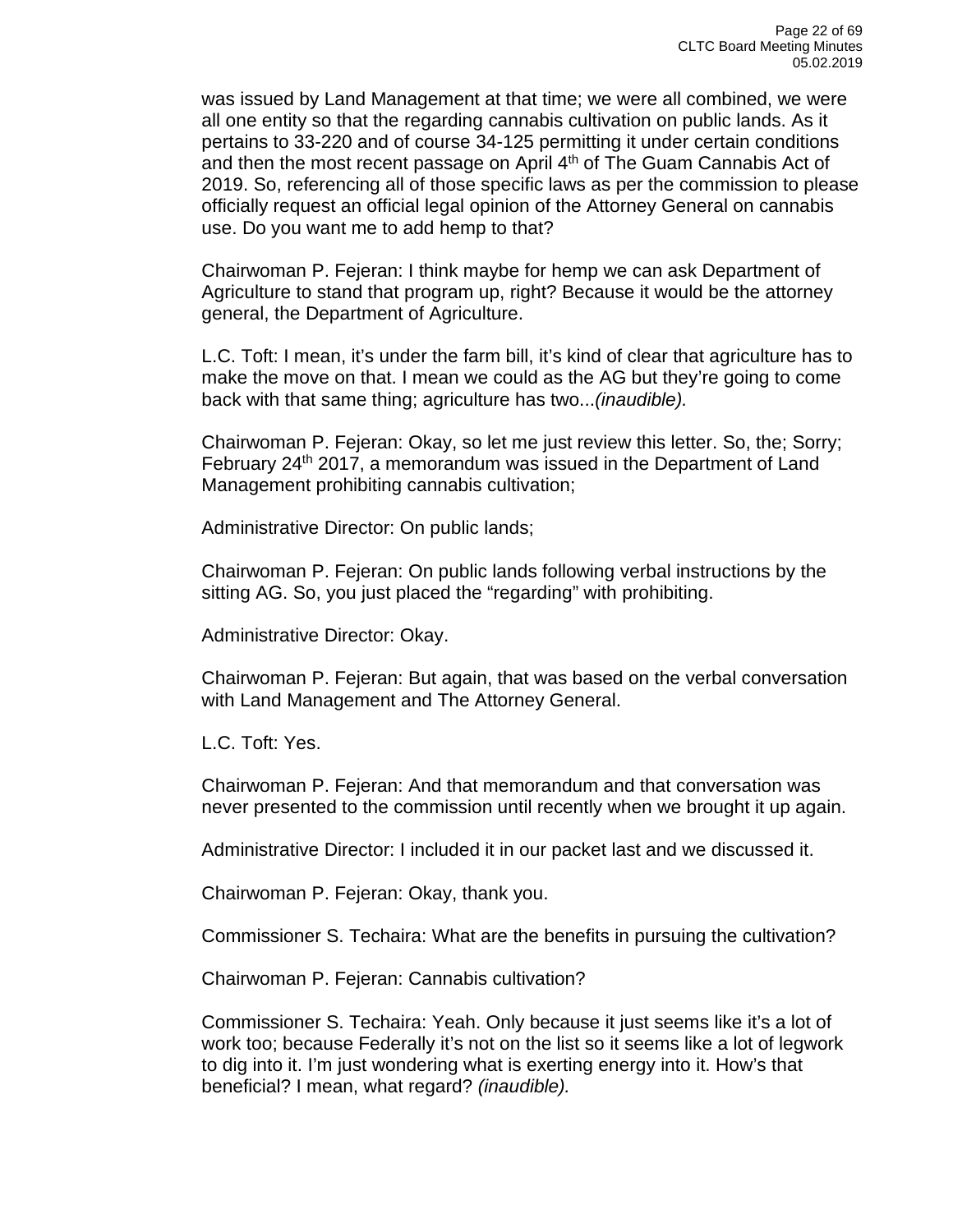was issued by Land Management at that time; we were all combined, we were all one entity so that the regarding cannabis cultivation on public lands. As it pertains to 33-220 and of course 34-125 permitting it under certain conditions and then the most recent passage on April  $4<sup>th</sup>$  of The Guam Cannabis Act of 2019. So, referencing all of those specific laws as per the commission to please officially request an official legal opinion of the Attorney General on cannabis use. Do you want me to add hemp to that?

Chairwoman P. Fejeran: I think maybe for hemp we can ask Department of Agriculture to stand that program up, right? Because it would be the attorney general, the Department of Agriculture.

L.C. Toft: I mean, it's under the farm bill, it's kind of clear that agriculture has to make the move on that. I mean we could as the AG but they're going to come back with that same thing; agriculture has two...*(inaudible).*

Chairwoman P. Fejeran: Okay, so let me just review this letter. So, the; Sorry; February 24<sup>th</sup> 2017, a memorandum was issued in the Department of Land Management prohibiting cannabis cultivation;

Administrative Director: On public lands;

Chairwoman P. Fejeran: On public lands following verbal instructions by the sitting AG. So, you just placed the "regarding" with prohibiting.

Administrative Director: Okay.

Chairwoman P. Fejeran: But again, that was based on the verbal conversation with Land Management and The Attorney General.

L.C. Toft: Yes.

Chairwoman P. Fejeran: And that memorandum and that conversation was never presented to the commission until recently when we brought it up again.

Administrative Director: I included it in our packet last and we discussed it.

Chairwoman P. Fejeran: Okay, thank you.

Commissioner S. Techaira: What are the benefits in pursuing the cultivation?

Chairwoman P. Fejeran: Cannabis cultivation?

Commissioner S. Techaira: Yeah. Only because it just seems like it's a lot of work too; because Federally it's not on the list so it seems like a lot of legwork to dig into it. I'm just wondering what is exerting energy into it. How's that beneficial? I mean, what regard? *(inaudible).*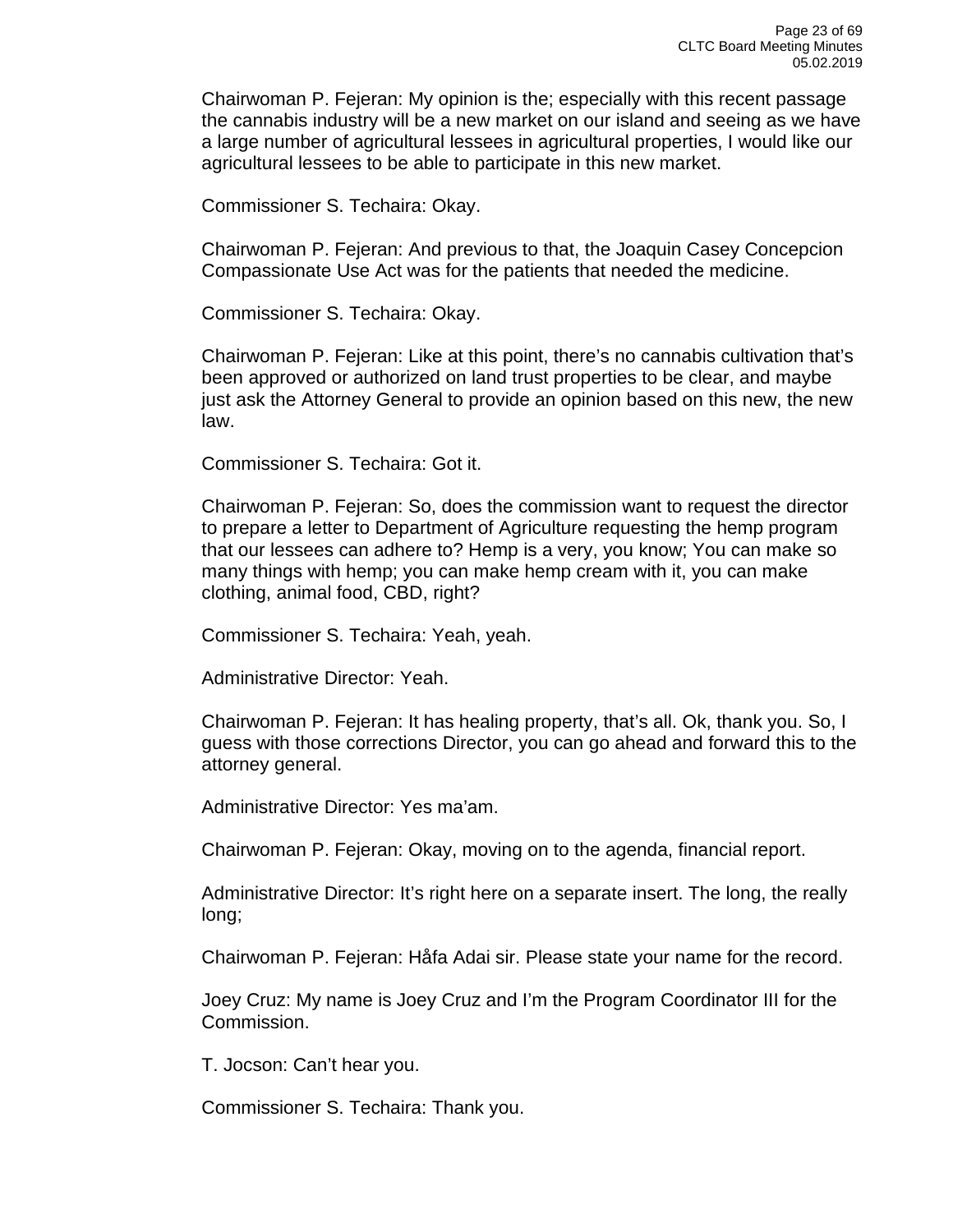Chairwoman P. Fejeran: My opinion is the; especially with this recent passage the cannabis industry will be a new market on our island and seeing as we have a large number of agricultural lessees in agricultural properties, I would like our agricultural lessees to be able to participate in this new market.

Commissioner S. Techaira: Okay.

Chairwoman P. Fejeran: And previous to that, the Joaquin Casey Concepcion Compassionate Use Act was for the patients that needed the medicine.

Commissioner S. Techaira: Okay.

Chairwoman P. Fejeran: Like at this point, there's no cannabis cultivation that's been approved or authorized on land trust properties to be clear, and maybe just ask the Attorney General to provide an opinion based on this new, the new law.

Commissioner S. Techaira: Got it.

Chairwoman P. Fejeran: So, does the commission want to request the director to prepare a letter to Department of Agriculture requesting the hemp program that our lessees can adhere to? Hemp is a very, you know; You can make so many things with hemp; you can make hemp cream with it, you can make clothing, animal food, CBD, right?

Commissioner S. Techaira: Yeah, yeah.

Administrative Director: Yeah.

Chairwoman P. Fejeran: It has healing property, that's all. Ok, thank you. So, I guess with those corrections Director, you can go ahead and forward this to the attorney general.

Administrative Director: Yes ma'am.

Chairwoman P. Fejeran: Okay, moving on to the agenda, financial report.

Administrative Director: It's right here on a separate insert. The long, the really long;

Chairwoman P. Fejeran: Håfa Adai sir. Please state your name for the record.

Joey Cruz: My name is Joey Cruz and I'm the Program Coordinator III for the Commission.

T. Jocson: Can't hear you.

Commissioner S. Techaira: Thank you.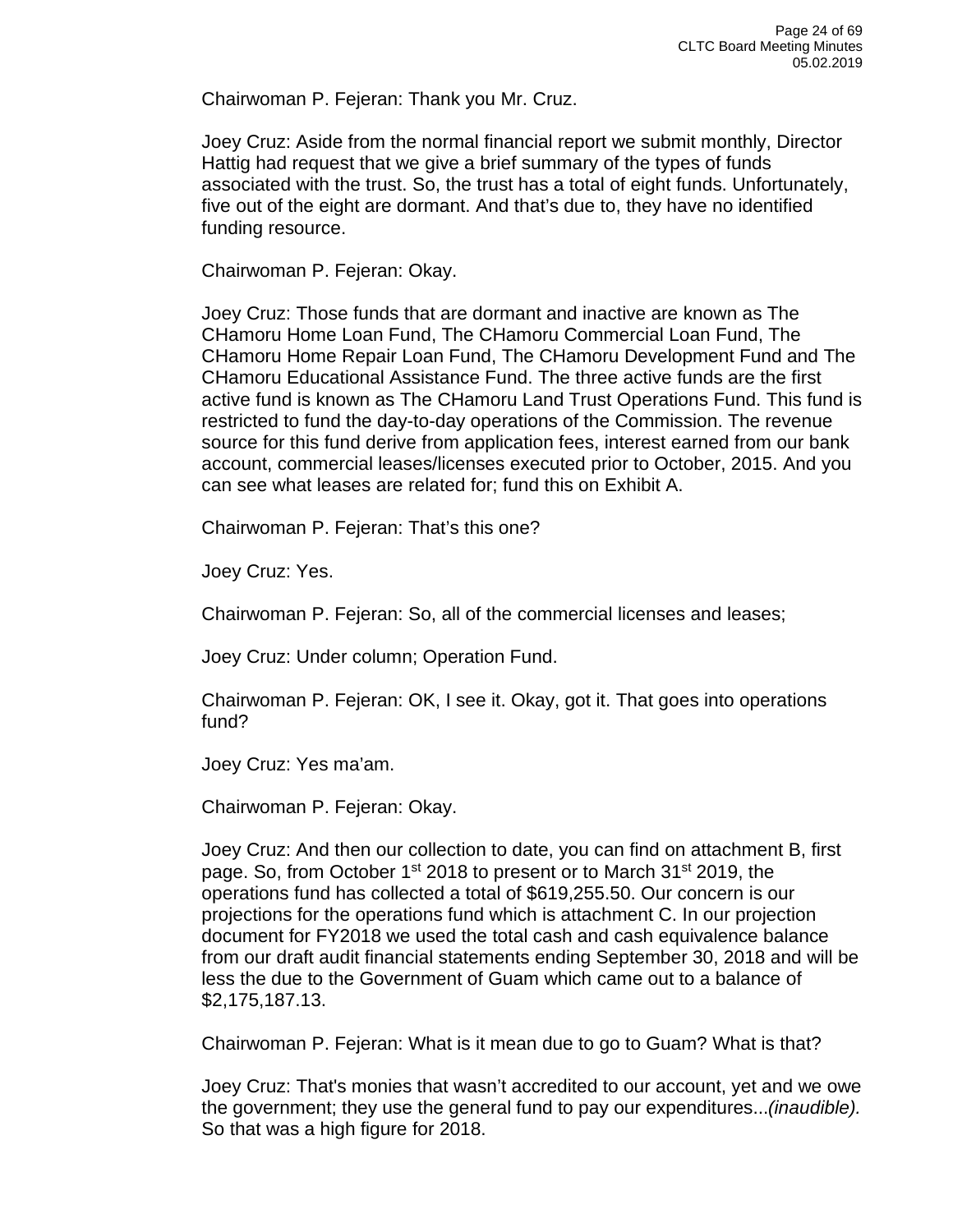Chairwoman P. Fejeran: Thank you Mr. Cruz.

Joey Cruz: Aside from the normal financial report we submit monthly, Director Hattig had request that we give a brief summary of the types of funds associated with the trust. So, the trust has a total of eight funds. Unfortunately, five out of the eight are dormant. And that's due to, they have no identified funding resource.

Chairwoman P. Fejeran: Okay.

Joey Cruz: Those funds that are dormant and inactive are known as The CHamoru Home Loan Fund, The CHamoru Commercial Loan Fund, The CHamoru Home Repair Loan Fund, The CHamoru Development Fund and The CHamoru Educational Assistance Fund. The three active funds are the first active fund is known as The CHamoru Land Trust Operations Fund. This fund is restricted to fund the day-to-day operations of the Commission. The revenue source for this fund derive from application fees, interest earned from our bank account, commercial leases/licenses executed prior to October, 2015. And you can see what leases are related for; fund this on Exhibit A.

Chairwoman P. Fejeran: That's this one?

Joey Cruz: Yes.

Chairwoman P. Fejeran: So, all of the commercial licenses and leases;

Joey Cruz: Under column; Operation Fund.

Chairwoman P. Fejeran: OK, I see it. Okay, got it. That goes into operations fund?

Joey Cruz: Yes ma'am.

Chairwoman P. Fejeran: Okay.

Joey Cruz: And then our collection to date, you can find on attachment B, first page. So, from October 1<sup>st</sup> 2018 to present or to March 31<sup>st</sup> 2019, the operations fund has collected a total of \$619,255.50. Our concern is our projections for the operations fund which is attachment C. In our projection document for FY2018 we used the total cash and cash equivalence balance from our draft audit financial statements ending September 30, 2018 and will be less the due to the Government of Guam which came out to a balance of \$2,175,187.13.

Chairwoman P. Fejeran: What is it mean due to go to Guam? What is that?

Joey Cruz: That's monies that wasn't accredited to our account, yet and we owe the government; they use the general fund to pay our expenditures...*(inaudible).*  So that was a high figure for 2018.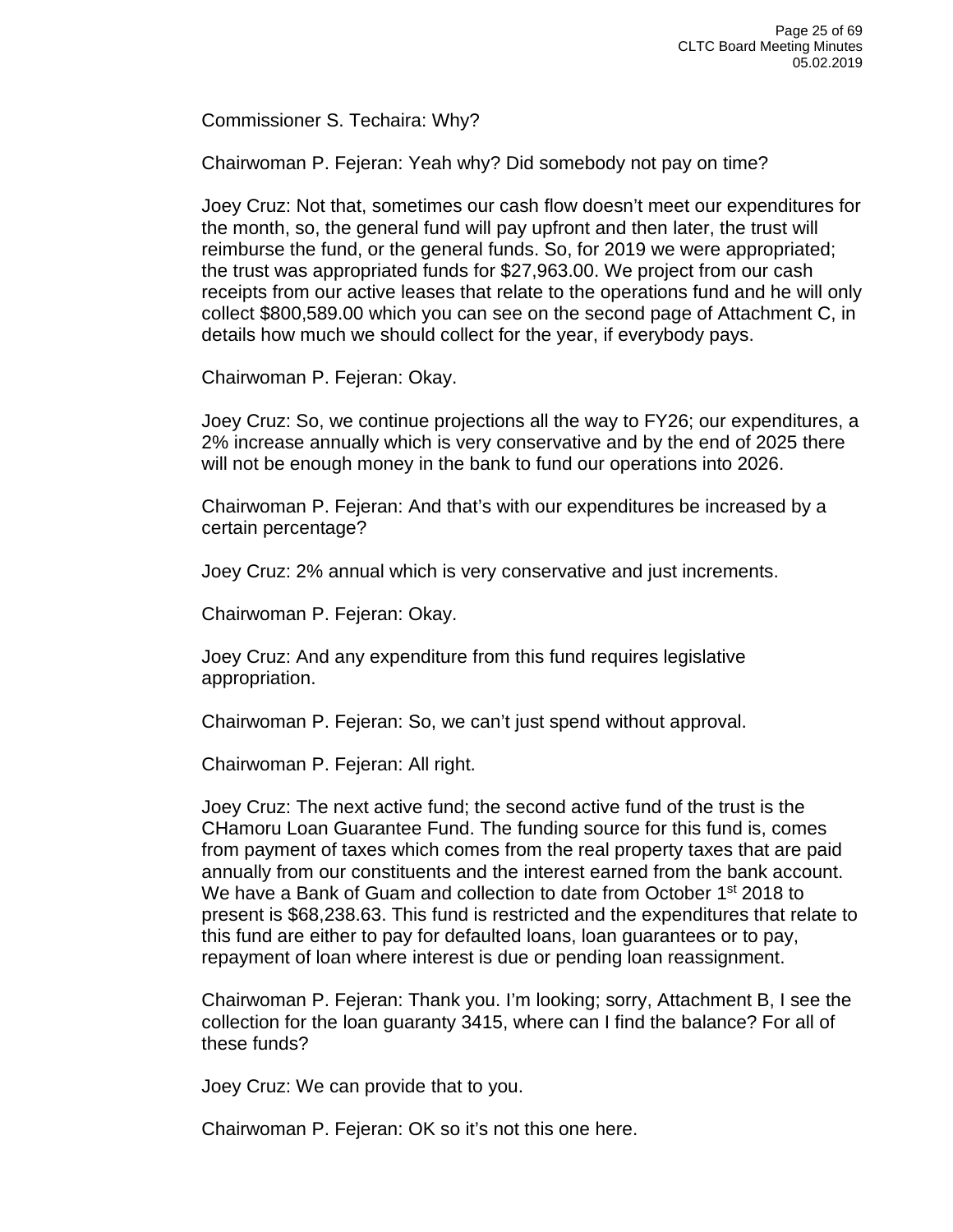Commissioner S. Techaira: Why?

Chairwoman P. Fejeran: Yeah why? Did somebody not pay on time?

Joey Cruz: Not that, sometimes our cash flow doesn't meet our expenditures for the month, so, the general fund will pay upfront and then later, the trust will reimburse the fund, or the general funds. So, for 2019 we were appropriated; the trust was appropriated funds for \$27,963.00. We project from our cash receipts from our active leases that relate to the operations fund and he will only collect \$800,589.00 which you can see on the second page of Attachment C, in details how much we should collect for the year, if everybody pays.

Chairwoman P. Fejeran: Okay.

Joey Cruz: So, we continue projections all the way to FY26; our expenditures, a 2% increase annually which is very conservative and by the end of 2025 there will not be enough money in the bank to fund our operations into 2026.

Chairwoman P. Fejeran: And that's with our expenditures be increased by a certain percentage?

Joey Cruz: 2% annual which is very conservative and just increments.

Chairwoman P. Fejeran: Okay.

Joey Cruz: And any expenditure from this fund requires legislative appropriation.

Chairwoman P. Fejeran: So, we can't just spend without approval.

Chairwoman P. Fejeran: All right.

Joey Cruz: The next active fund; the second active fund of the trust is the CHamoru Loan Guarantee Fund. The funding source for this fund is, comes from payment of taxes which comes from the real property taxes that are paid annually from our constituents and the interest earned from the bank account. We have a Bank of Guam and collection to date from October 1<sup>st</sup> 2018 to present is \$68,238.63. This fund is restricted and the expenditures that relate to this fund are either to pay for defaulted loans, loan guarantees or to pay, repayment of loan where interest is due or pending loan reassignment.

Chairwoman P. Fejeran: Thank you. I'm looking; sorry, Attachment B, I see the collection for the loan guaranty 3415, where can I find the balance? For all of these funds?

Joey Cruz: We can provide that to you.

Chairwoman P. Fejeran: OK so it's not this one here.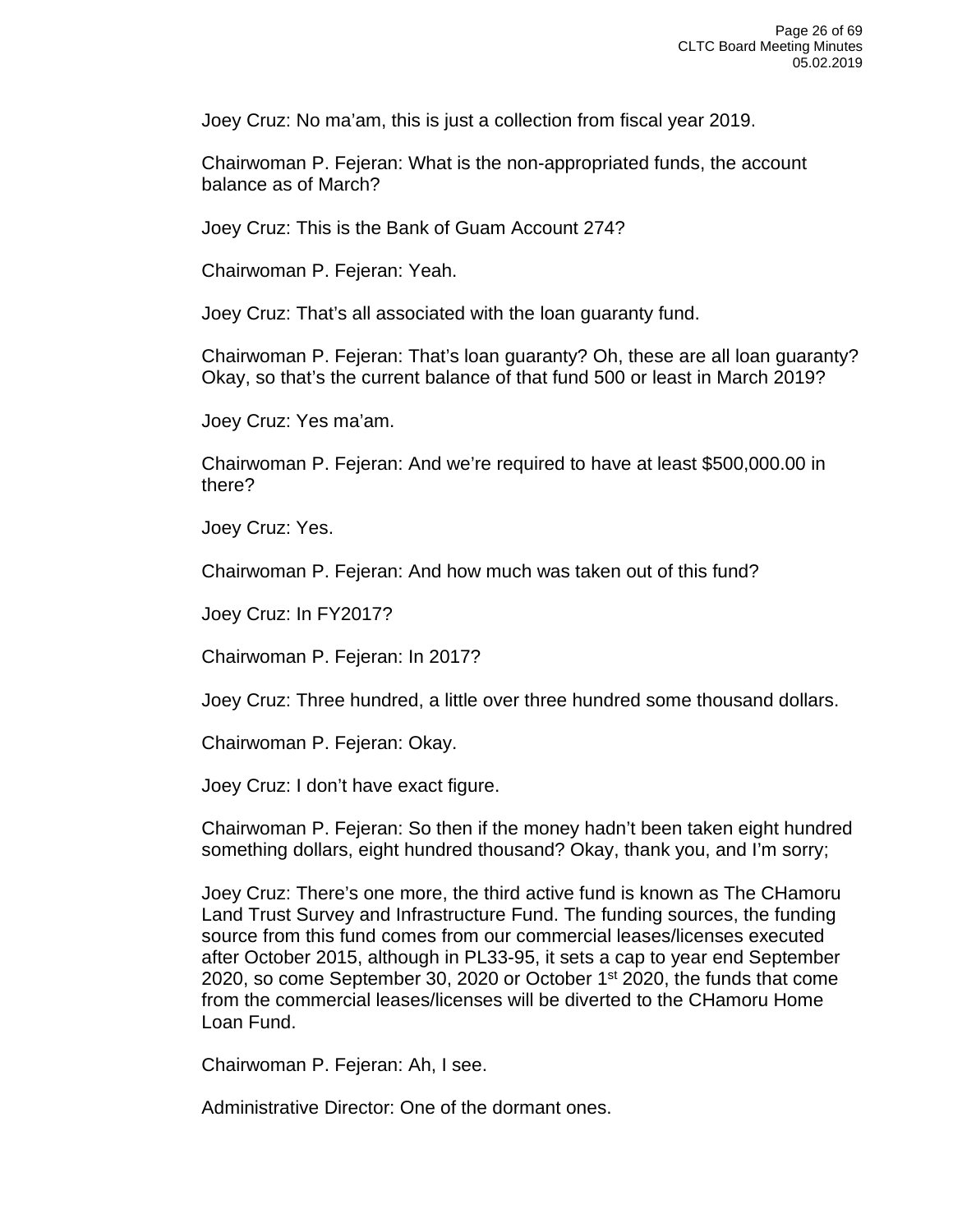Joey Cruz: No ma'am, this is just a collection from fiscal year 2019.

Chairwoman P. Fejeran: What is the non-appropriated funds, the account balance as of March?

Joey Cruz: This is the Bank of Guam Account 274?

Chairwoman P. Fejeran: Yeah.

Joey Cruz: That's all associated with the loan guaranty fund.

Chairwoman P. Fejeran: That's loan guaranty? Oh, these are all loan guaranty? Okay, so that's the current balance of that fund 500 or least in March 2019?

Joey Cruz: Yes ma'am.

Chairwoman P. Fejeran: And we're required to have at least \$500,000.00 in there?

Joey Cruz: Yes.

Chairwoman P. Fejeran: And how much was taken out of this fund?

Joey Cruz: In FY2017?

Chairwoman P. Fejeran: In 2017?

Joey Cruz: Three hundred, a little over three hundred some thousand dollars.

Chairwoman P. Fejeran: Okay.

Joey Cruz: I don't have exact figure.

Chairwoman P. Fejeran: So then if the money hadn't been taken eight hundred something dollars, eight hundred thousand? Okay, thank you, and I'm sorry;

Joey Cruz: There's one more, the third active fund is known as The CHamoru Land Trust Survey and Infrastructure Fund. The funding sources, the funding source from this fund comes from our commercial leases/licenses executed after October 2015, although in PL33-95, it sets a cap to year end September 2020, so come September 30, 2020 or October 1<sup>st</sup> 2020, the funds that come from the commercial leases/licenses will be diverted to the CHamoru Home Loan Fund.

Chairwoman P. Fejeran: Ah, I see.

Administrative Director: One of the dormant ones.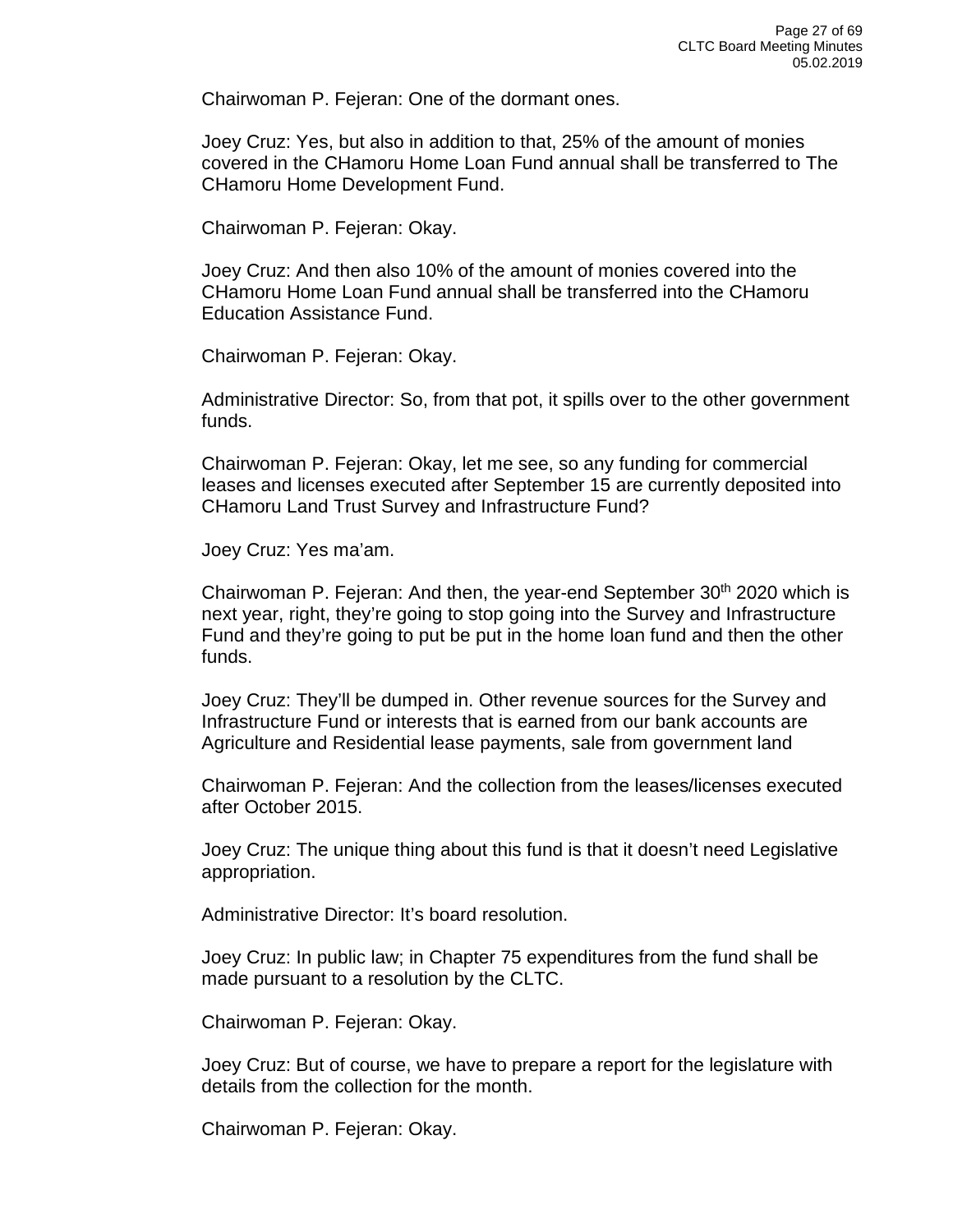Chairwoman P. Fejeran: One of the dormant ones.

Joey Cruz: Yes, but also in addition to that, 25% of the amount of monies covered in the CHamoru Home Loan Fund annual shall be transferred to The CHamoru Home Development Fund.

Chairwoman P. Fejeran: Okay.

Joey Cruz: And then also 10% of the amount of monies covered into the CHamoru Home Loan Fund annual shall be transferred into the CHamoru Education Assistance Fund.

Chairwoman P. Fejeran: Okay.

Administrative Director: So, from that pot, it spills over to the other government funds.

Chairwoman P. Fejeran: Okay, let me see, so any funding for commercial leases and licenses executed after September 15 are currently deposited into CHamoru Land Trust Survey and Infrastructure Fund?

Joey Cruz: Yes ma'am.

Chairwoman P. Fejeran: And then, the year-end September  $30<sup>th</sup>$  2020 which is next year, right, they're going to stop going into the Survey and Infrastructure Fund and they're going to put be put in the home loan fund and then the other funds.

Joey Cruz: They'll be dumped in. Other revenue sources for the Survey and Infrastructure Fund or interests that is earned from our bank accounts are Agriculture and Residential lease payments, sale from government land

Chairwoman P. Fejeran: And the collection from the leases/licenses executed after October 2015.

Joey Cruz: The unique thing about this fund is that it doesn't need Legislative appropriation.

Administrative Director: It's board resolution.

Joey Cruz: In public law; in Chapter 75 expenditures from the fund shall be made pursuant to a resolution by the CLTC.

Chairwoman P. Fejeran: Okay.

Joey Cruz: But of course, we have to prepare a report for the legislature with details from the collection for the month.

Chairwoman P. Fejeran: Okay.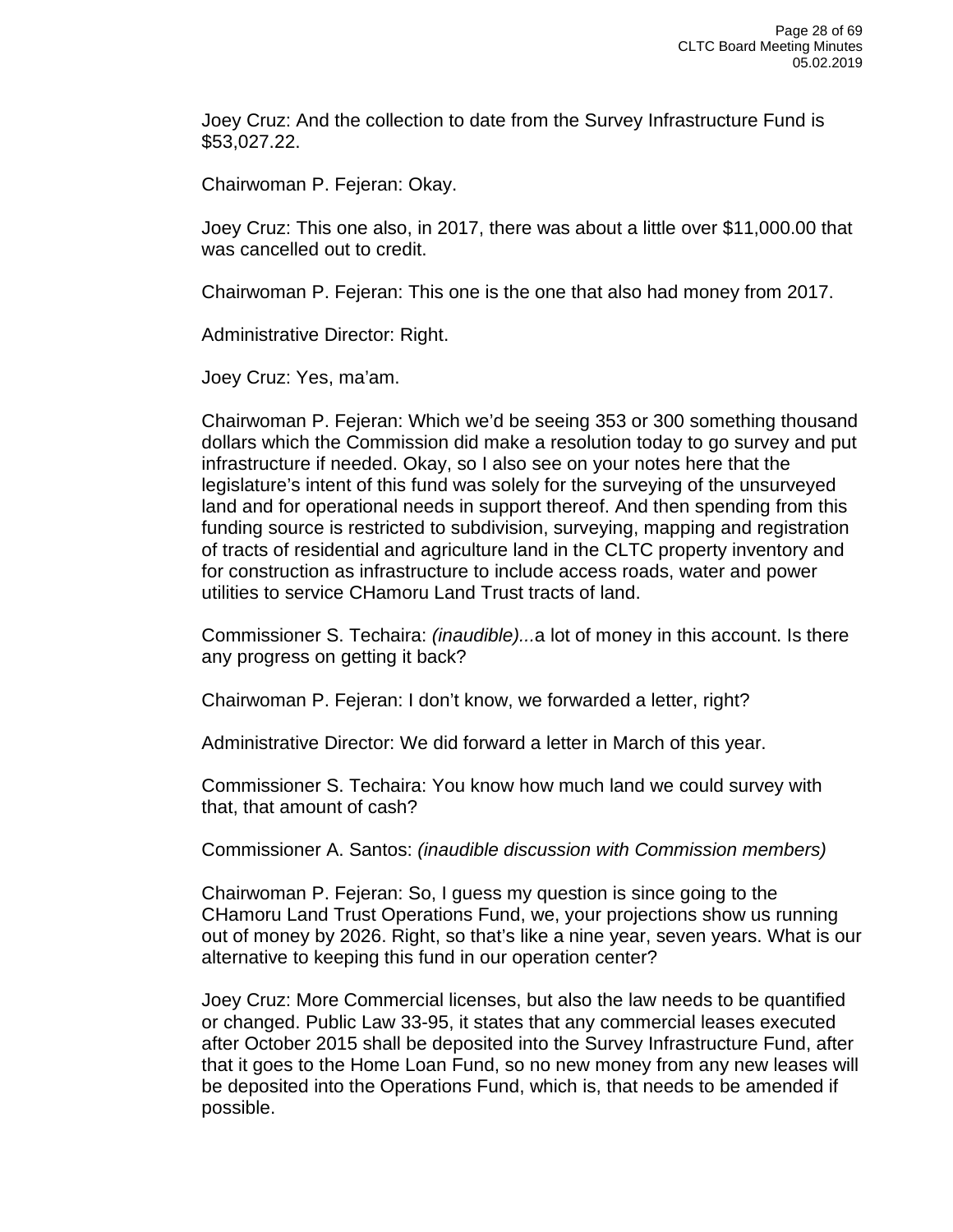Joey Cruz: And the collection to date from the Survey Infrastructure Fund is \$53,027.22.

Chairwoman P. Fejeran: Okay.

Joey Cruz: This one also, in 2017, there was about a little over \$11,000.00 that was cancelled out to credit.

Chairwoman P. Fejeran: This one is the one that also had money from 2017.

Administrative Director: Right.

Joey Cruz: Yes, ma'am.

Chairwoman P. Fejeran: Which we'd be seeing 353 or 300 something thousand dollars which the Commission did make a resolution today to go survey and put infrastructure if needed. Okay, so I also see on your notes here that the legislature's intent of this fund was solely for the surveying of the unsurveyed land and for operational needs in support thereof. And then spending from this funding source is restricted to subdivision, surveying, mapping and registration of tracts of residential and agriculture land in the CLTC property inventory and for construction as infrastructure to include access roads, water and power utilities to service CHamoru Land Trust tracts of land.

Commissioner S. Techaira: *(inaudible)...*a lot of money in this account. Is there any progress on getting it back?

Chairwoman P. Fejeran: I don't know, we forwarded a letter, right?

Administrative Director: We did forward a letter in March of this year.

Commissioner S. Techaira: You know how much land we could survey with that, that amount of cash?

Commissioner A. Santos: *(inaudible discussion with Commission members)*

Chairwoman P. Fejeran: So, I guess my question is since going to the CHamoru Land Trust Operations Fund, we, your projections show us running out of money by 2026. Right, so that's like a nine year, seven years. What is our alternative to keeping this fund in our operation center?

Joey Cruz: More Commercial licenses, but also the law needs to be quantified or changed. Public Law 33-95, it states that any commercial leases executed after October 2015 shall be deposited into the Survey Infrastructure Fund, after that it goes to the Home Loan Fund, so no new money from any new leases will be deposited into the Operations Fund, which is, that needs to be amended if possible.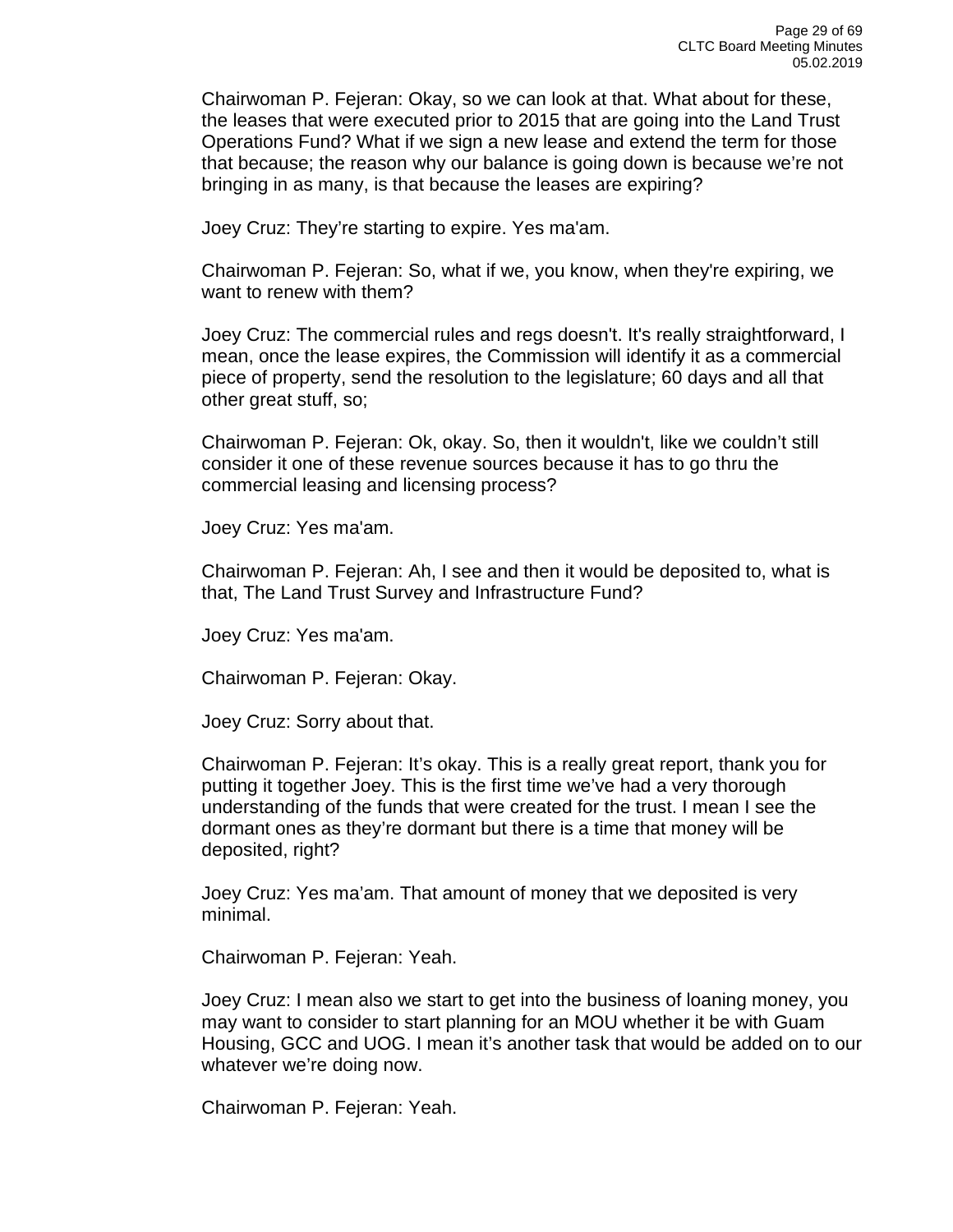Chairwoman P. Fejeran: Okay, so we can look at that. What about for these, the leases that were executed prior to 2015 that are going into the Land Trust Operations Fund? What if we sign a new lease and extend the term for those that because; the reason why our balance is going down is because we're not bringing in as many, is that because the leases are expiring?

Joey Cruz: They're starting to expire. Yes ma'am.

Chairwoman P. Fejeran: So, what if we, you know, when they're expiring, we want to renew with them?

Joey Cruz: The commercial rules and regs doesn't. It's really straightforward, I mean, once the lease expires, the Commission will identify it as a commercial piece of property, send the resolution to the legislature; 60 days and all that other great stuff, so;

Chairwoman P. Fejeran: Ok, okay. So, then it wouldn't, like we couldn't still consider it one of these revenue sources because it has to go thru the commercial leasing and licensing process?

Joey Cruz: Yes ma'am.

Chairwoman P. Fejeran: Ah, I see and then it would be deposited to, what is that, The Land Trust Survey and Infrastructure Fund?

Joey Cruz: Yes ma'am.

Chairwoman P. Fejeran: Okay.

Joey Cruz: Sorry about that.

Chairwoman P. Fejeran: It's okay. This is a really great report, thank you for putting it together Joey. This is the first time we've had a very thorough understanding of the funds that were created for the trust. I mean I see the dormant ones as they're dormant but there is a time that money will be deposited, right?

Joey Cruz: Yes ma'am. That amount of money that we deposited is very minimal.

Chairwoman P. Fejeran: Yeah.

Joey Cruz: I mean also we start to get into the business of loaning money, you may want to consider to start planning for an MOU whether it be with Guam Housing, GCC and UOG. I mean it's another task that would be added on to our whatever we're doing now.

Chairwoman P. Fejeran: Yeah.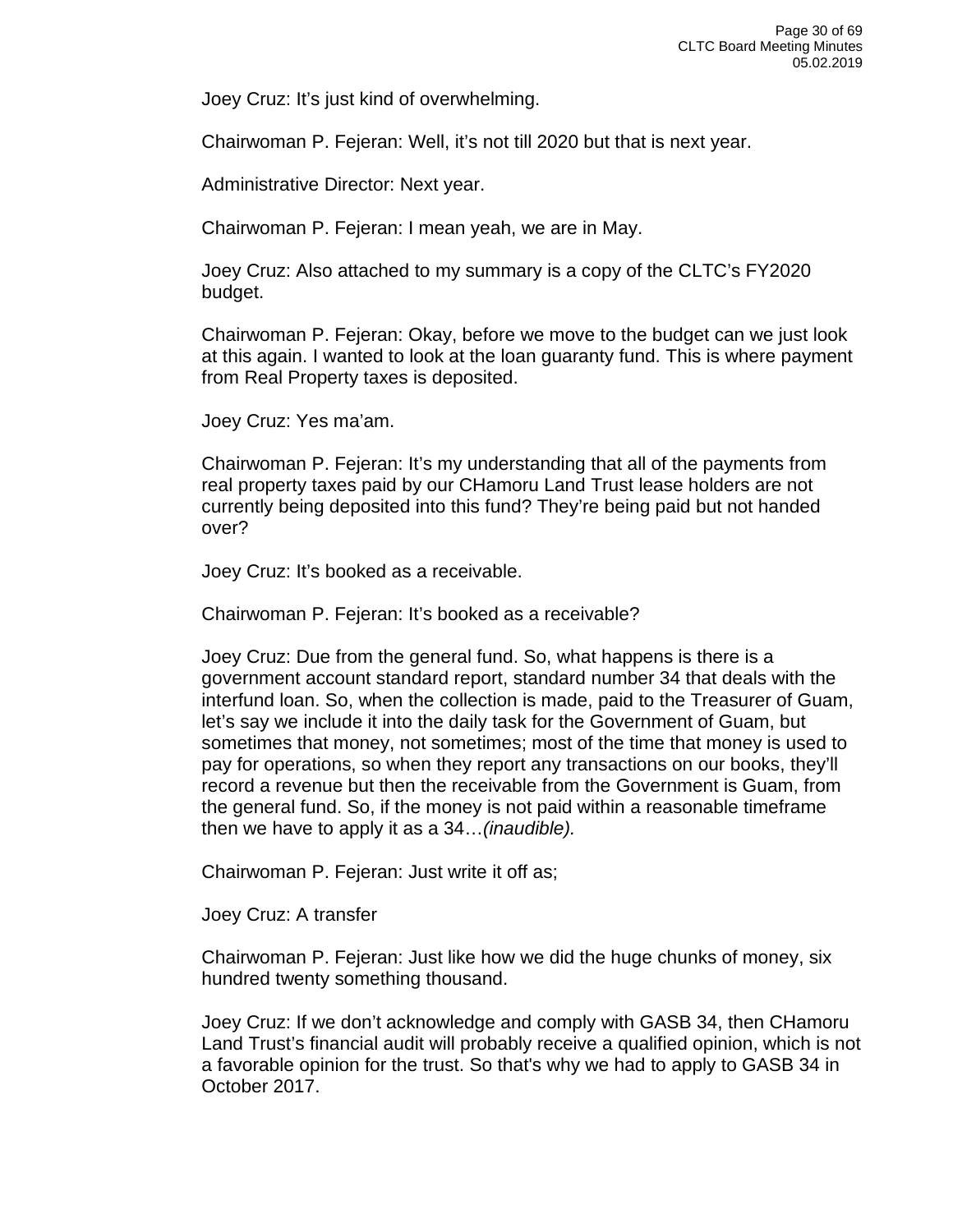Joey Cruz: It's just kind of overwhelming.

Chairwoman P. Fejeran: Well, it's not till 2020 but that is next year.

Administrative Director: Next year.

Chairwoman P. Fejeran: I mean yeah, we are in May.

Joey Cruz: Also attached to my summary is a copy of the CLTC's FY2020 budget.

Chairwoman P. Fejeran: Okay, before we move to the budget can we just look at this again. I wanted to look at the loan guaranty fund. This is where payment from Real Property taxes is deposited.

Joey Cruz: Yes ma'am.

Chairwoman P. Fejeran: It's my understanding that all of the payments from real property taxes paid by our CHamoru Land Trust lease holders are not currently being deposited into this fund? They're being paid but not handed over?

Joey Cruz: It's booked as a receivable.

Chairwoman P. Fejeran: It's booked as a receivable?

Joey Cruz: Due from the general fund. So, what happens is there is a government account standard report, standard number 34 that deals with the interfund loan. So, when the collection is made, paid to the Treasurer of Guam, let's say we include it into the daily task for the Government of Guam, but sometimes that money, not sometimes; most of the time that money is used to pay for operations, so when they report any transactions on our books, they'll record a revenue but then the receivable from the Government is Guam, from the general fund. So, if the money is not paid within a reasonable timeframe then we have to apply it as a 34…*(inaudible).*

Chairwoman P. Fejeran: Just write it off as;

Joey Cruz: A transfer

Chairwoman P. Fejeran: Just like how we did the huge chunks of money, six hundred twenty something thousand.

Joey Cruz: If we don't acknowledge and comply with GASB 34, then CHamoru Land Trust's financial audit will probably receive a qualified opinion, which is not a favorable opinion for the trust. So that's why we had to apply to GASB 34 in October 2017.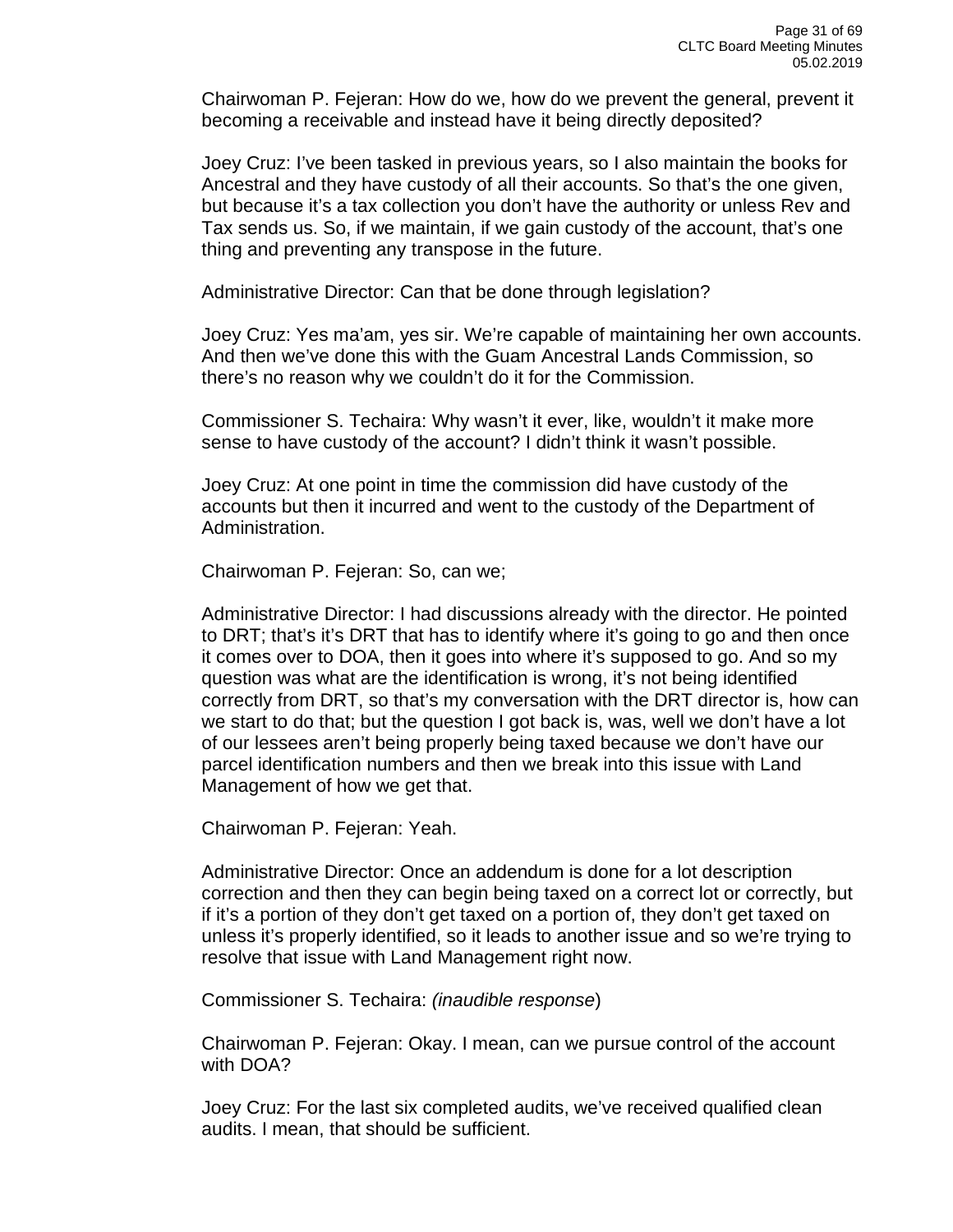Chairwoman P. Fejeran: How do we, how do we prevent the general, prevent it becoming a receivable and instead have it being directly deposited?

Joey Cruz: I've been tasked in previous years, so I also maintain the books for Ancestral and they have custody of all their accounts. So that's the one given, but because it's a tax collection you don't have the authority or unless Rev and Tax sends us. So, if we maintain, if we gain custody of the account, that's one thing and preventing any transpose in the future.

Administrative Director: Can that be done through legislation?

Joey Cruz: Yes ma'am, yes sir. We're capable of maintaining her own accounts. And then we've done this with the Guam Ancestral Lands Commission, so there's no reason why we couldn't do it for the Commission.

Commissioner S. Techaira: Why wasn't it ever, like, wouldn't it make more sense to have custody of the account? I didn't think it wasn't possible.

Joey Cruz: At one point in time the commission did have custody of the accounts but then it incurred and went to the custody of the Department of Administration.

Chairwoman P. Fejeran: So, can we;

Administrative Director: I had discussions already with the director. He pointed to DRT; that's it's DRT that has to identify where it's going to go and then once it comes over to DOA, then it goes into where it's supposed to go. And so my question was what are the identification is wrong, it's not being identified correctly from DRT, so that's my conversation with the DRT director is, how can we start to do that; but the question I got back is, was, well we don't have a lot of our lessees aren't being properly being taxed because we don't have our parcel identification numbers and then we break into this issue with Land Management of how we get that.

Chairwoman P. Fejeran: Yeah.

Administrative Director: Once an addendum is done for a lot description correction and then they can begin being taxed on a correct lot or correctly, but if it's a portion of they don't get taxed on a portion of, they don't get taxed on unless it's properly identified, so it leads to another issue and so we're trying to resolve that issue with Land Management right now.

Commissioner S. Techaira: *(inaudible response*)

Chairwoman P. Fejeran: Okay. I mean, can we pursue control of the account with DOA?

Joey Cruz: For the last six completed audits, we've received qualified clean audits. I mean, that should be sufficient.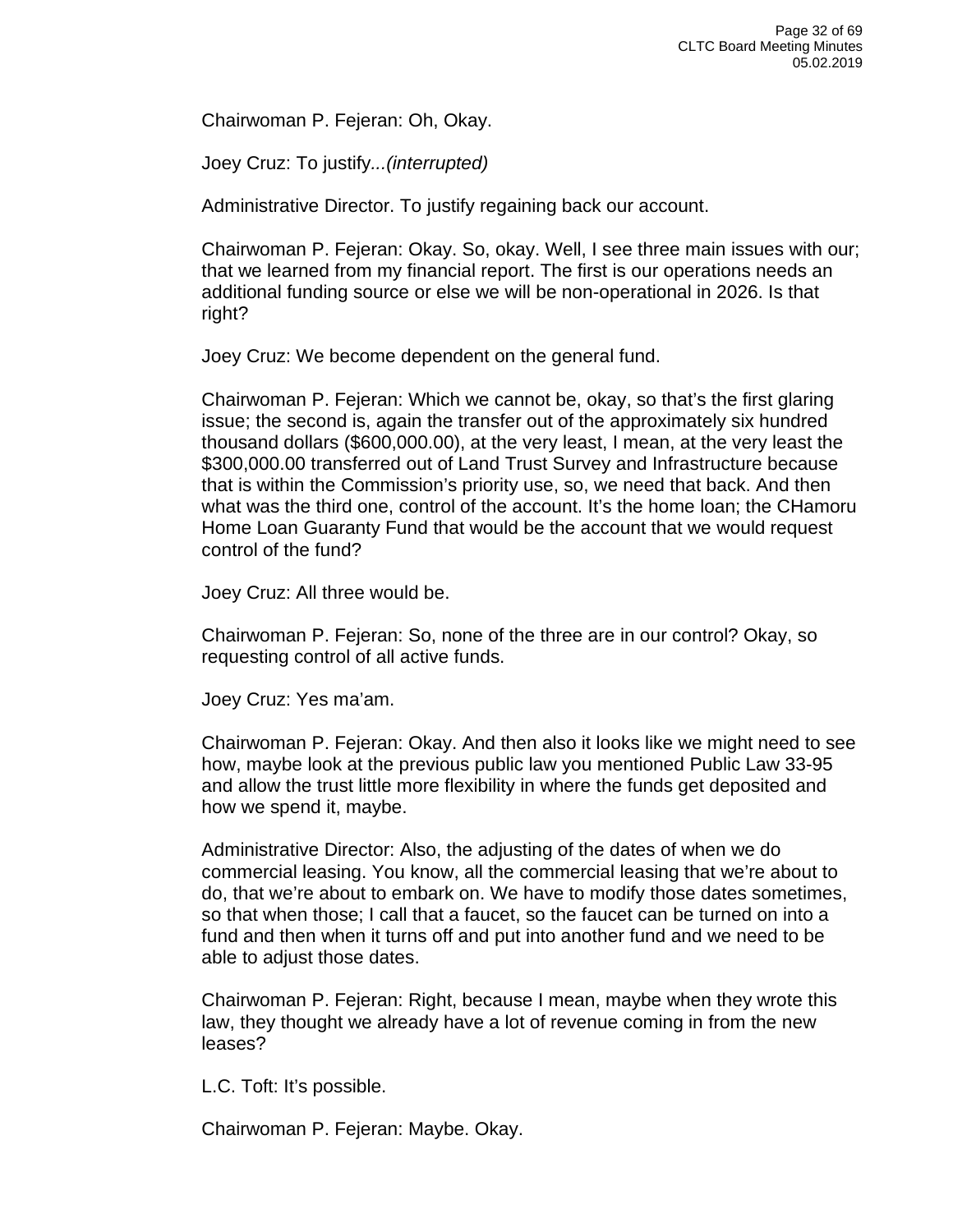Chairwoman P. Fejeran: Oh, Okay.

Joey Cruz: To justify*...(interrupted)*

Administrative Director. To justify regaining back our account.

Chairwoman P. Fejeran: Okay. So, okay. Well, I see three main issues with our; that we learned from my financial report. The first is our operations needs an additional funding source or else we will be non-operational in 2026. Is that right?

Joey Cruz: We become dependent on the general fund.

Chairwoman P. Fejeran: Which we cannot be, okay, so that's the first glaring issue; the second is, again the transfer out of the approximately six hundred thousand dollars (\$600,000.00), at the very least, I mean, at the very least the \$300,000.00 transferred out of Land Trust Survey and Infrastructure because that is within the Commission's priority use, so, we need that back. And then what was the third one, control of the account. It's the home loan; the CHamoru Home Loan Guaranty Fund that would be the account that we would request control of the fund?

Joey Cruz: All three would be.

Chairwoman P. Fejeran: So, none of the three are in our control? Okay, so requesting control of all active funds.

Joey Cruz: Yes ma'am.

Chairwoman P. Fejeran: Okay. And then also it looks like we might need to see how, maybe look at the previous public law you mentioned Public Law 33-95 and allow the trust little more flexibility in where the funds get deposited and how we spend it, maybe.

Administrative Director: Also, the adjusting of the dates of when we do commercial leasing. You know, all the commercial leasing that we're about to do, that we're about to embark on. We have to modify those dates sometimes, so that when those; I call that a faucet, so the faucet can be turned on into a fund and then when it turns off and put into another fund and we need to be able to adjust those dates.

Chairwoman P. Fejeran: Right, because I mean, maybe when they wrote this law, they thought we already have a lot of revenue coming in from the new leases?

L.C. Toft: It's possible.

Chairwoman P. Fejeran: Maybe. Okay.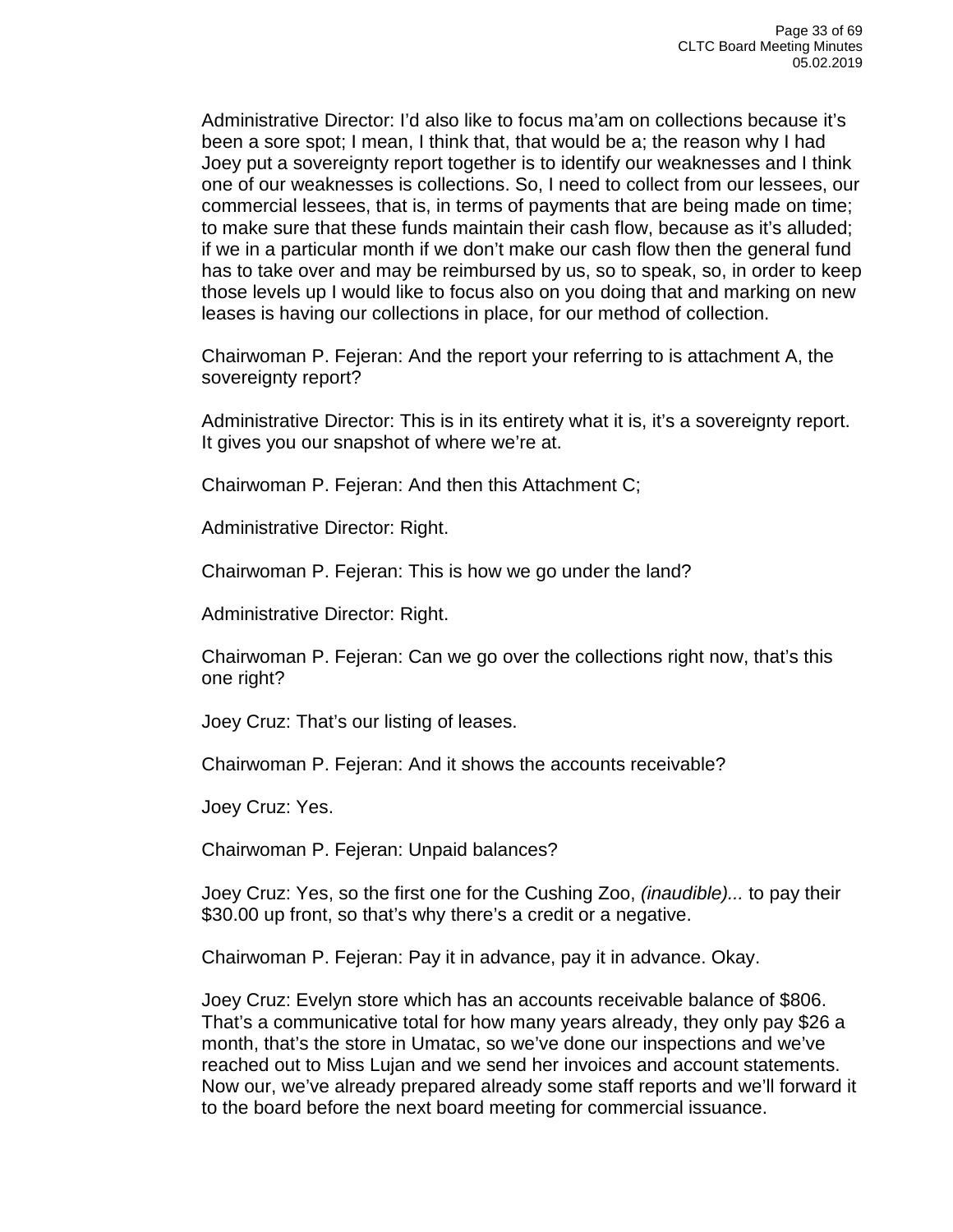Administrative Director: I'd also like to focus ma'am on collections because it's been a sore spot; I mean, I think that, that would be a; the reason why I had Joey put a sovereignty report together is to identify our weaknesses and I think one of our weaknesses is collections. So, I need to collect from our lessees, our commercial lessees, that is, in terms of payments that are being made on time; to make sure that these funds maintain their cash flow, because as it's alluded; if we in a particular month if we don't make our cash flow then the general fund has to take over and may be reimbursed by us, so to speak, so, in order to keep those levels up I would like to focus also on you doing that and marking on new leases is having our collections in place, for our method of collection.

Chairwoman P. Fejeran: And the report your referring to is attachment A, the sovereignty report?

Administrative Director: This is in its entirety what it is, it's a sovereignty report. It gives you our snapshot of where we're at.

Chairwoman P. Fejeran: And then this Attachment C;

Administrative Director: Right.

Chairwoman P. Fejeran: This is how we go under the land?

Administrative Director: Right.

Chairwoman P. Fejeran: Can we go over the collections right now, that's this one right?

Joey Cruz: That's our listing of leases.

Chairwoman P. Fejeran: And it shows the accounts receivable?

Joey Cruz: Yes.

Chairwoman P. Fejeran: Unpaid balances?

Joey Cruz: Yes, so the first one for the Cushing Zoo, *(inaudible)...* to pay their \$30.00 up front, so that's why there's a credit or a negative.

Chairwoman P. Fejeran: Pay it in advance, pay it in advance. Okay.

Joey Cruz: Evelyn store which has an accounts receivable balance of \$806. That's a communicative total for how many years already, they only pay \$26 a month, that's the store in Umatac, so we've done our inspections and we've reached out to Miss Lujan and we send her invoices and account statements. Now our, we've already prepared already some staff reports and we'll forward it to the board before the next board meeting for commercial issuance.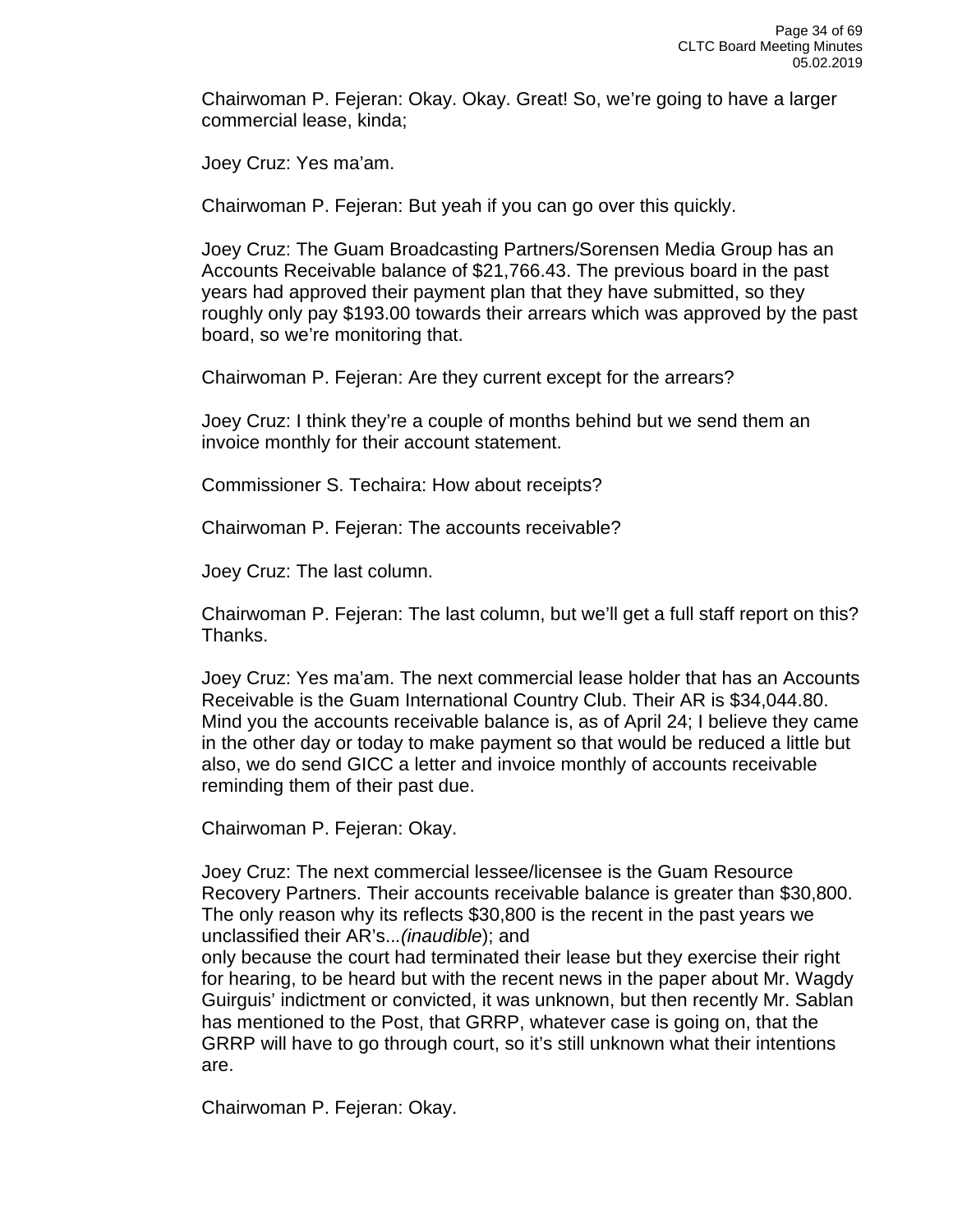Chairwoman P. Fejeran: Okay. Okay. Great! So, we're going to have a larger commercial lease, kinda;

Joey Cruz: Yes ma'am.

Chairwoman P. Fejeran: But yeah if you can go over this quickly.

Joey Cruz: The Guam Broadcasting Partners/Sorensen Media Group has an Accounts Receivable balance of \$21,766.43. The previous board in the past years had approved their payment plan that they have submitted, so they roughly only pay \$193.00 towards their arrears which was approved by the past board, so we're monitoring that.

Chairwoman P. Fejeran: Are they current except for the arrears?

Joey Cruz: I think they're a couple of months behind but we send them an invoice monthly for their account statement.

Commissioner S. Techaira: How about receipts?

Chairwoman P. Fejeran: The accounts receivable?

Joey Cruz: The last column.

Chairwoman P. Fejeran: The last column, but we'll get a full staff report on this? Thanks.

Joey Cruz: Yes ma'am. The next commercial lease holder that has an Accounts Receivable is the Guam International Country Club. Their AR is \$34,044.80. Mind you the accounts receivable balance is, as of April 24; I believe they came in the other day or today to make payment so that would be reduced a little but also, we do send GICC a letter and invoice monthly of accounts receivable reminding them of their past due.

Chairwoman P. Fejeran: Okay.

Joey Cruz: The next commercial lessee/licensee is the Guam Resource Recovery Partners. Their accounts receivable balance is greater than \$30,800. The only reason why its reflects \$30,800 is the recent in the past years we unclassified their AR's..*.(inaudible*); and

only because the court had terminated their lease but they exercise their right for hearing, to be heard but with the recent news in the paper about Mr. Wagdy Guirguis' indictment or convicted, it was unknown, but then recently Mr. Sablan has mentioned to the Post, that GRRP, whatever case is going on, that the GRRP will have to go through court, so it's still unknown what their intentions are.

Chairwoman P. Fejeran: Okay.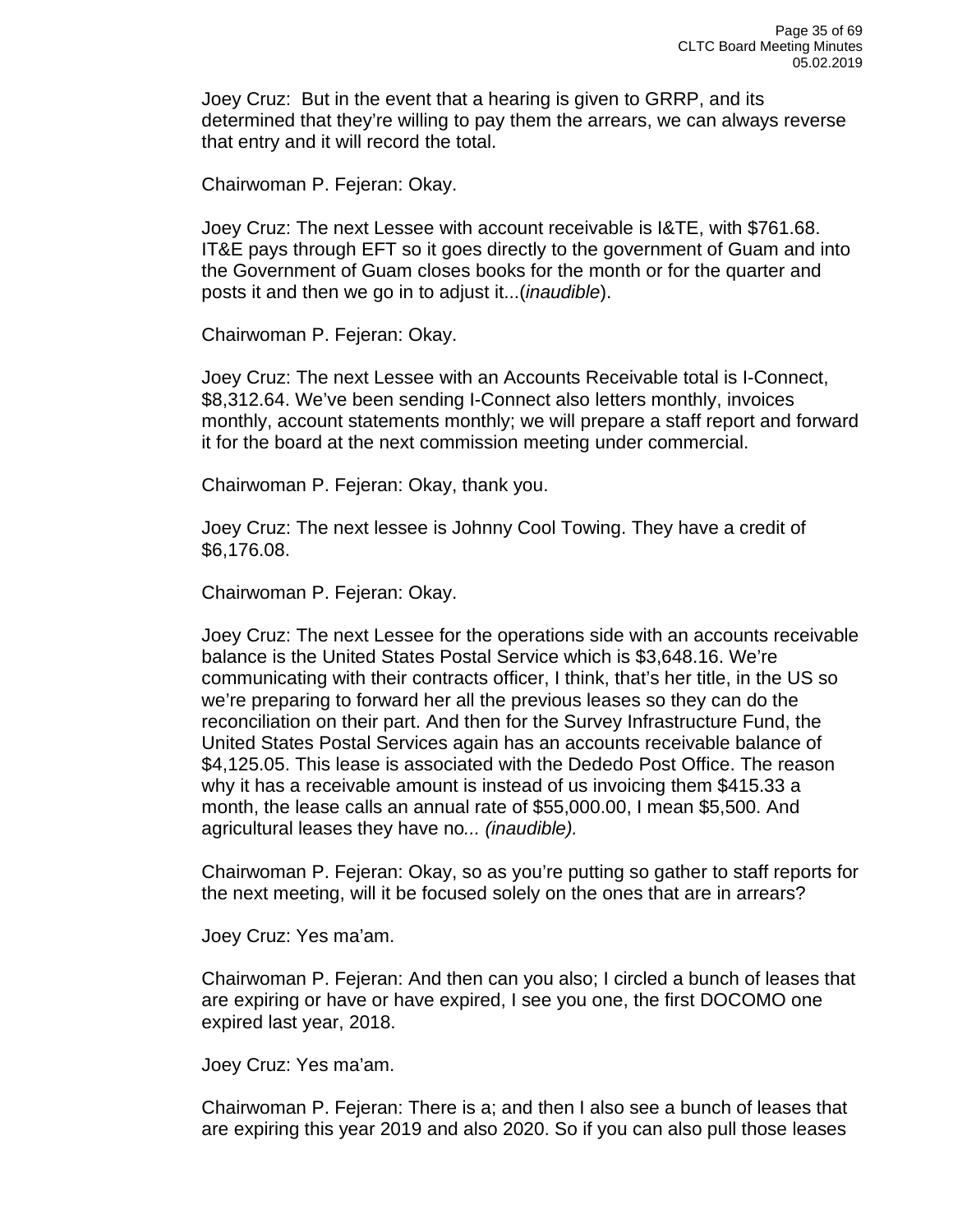Joey Cruz: But in the event that a hearing is given to GRRP, and its determined that they're willing to pay them the arrears, we can always reverse that entry and it will record the total.

Chairwoman P. Fejeran: Okay.

Joey Cruz: The next Lessee with account receivable is I&TE, with \$761.68. IT&E pays through EFT so it goes directly to the government of Guam and into the Government of Guam closes books for the month or for the quarter and posts it and then we go in to adjust it...(*inaudible*).

Chairwoman P. Fejeran: Okay.

Joey Cruz: The next Lessee with an Accounts Receivable total is I-Connect, \$8,312.64. We've been sending I-Connect also letters monthly, invoices monthly, account statements monthly; we will prepare a staff report and forward it for the board at the next commission meeting under commercial.

Chairwoman P. Fejeran: Okay, thank you.

Joey Cruz: The next lessee is Johnny Cool Towing. They have a credit of \$6,176.08.

Chairwoman P. Fejeran: Okay.

Joey Cruz: The next Lessee for the operations side with an accounts receivable balance is the United States Postal Service which is \$3,648.16. We're communicating with their contracts officer, I think, that's her title, in the US so we're preparing to forward her all the previous leases so they can do the reconciliation on their part. And then for the Survey Infrastructure Fund, the United States Postal Services again has an accounts receivable balance of \$4,125.05. This lease is associated with the Dededo Post Office. The reason why it has a receivable amount is instead of us invoicing them \$415.33 a month, the lease calls an annual rate of \$55,000.00, I mean \$5,500. And agricultural leases they have no*... (inaudible).*

Chairwoman P. Fejeran: Okay, so as you're putting so gather to staff reports for the next meeting, will it be focused solely on the ones that are in arrears?

Joey Cruz: Yes ma'am.

Chairwoman P. Fejeran: And then can you also; I circled a bunch of leases that are expiring or have or have expired, I see you one, the first DOCOMO one expired last year, 2018.

Joey Cruz: Yes ma'am.

Chairwoman P. Fejeran: There is a; and then I also see a bunch of leases that are expiring this year 2019 and also 2020. So if you can also pull those leases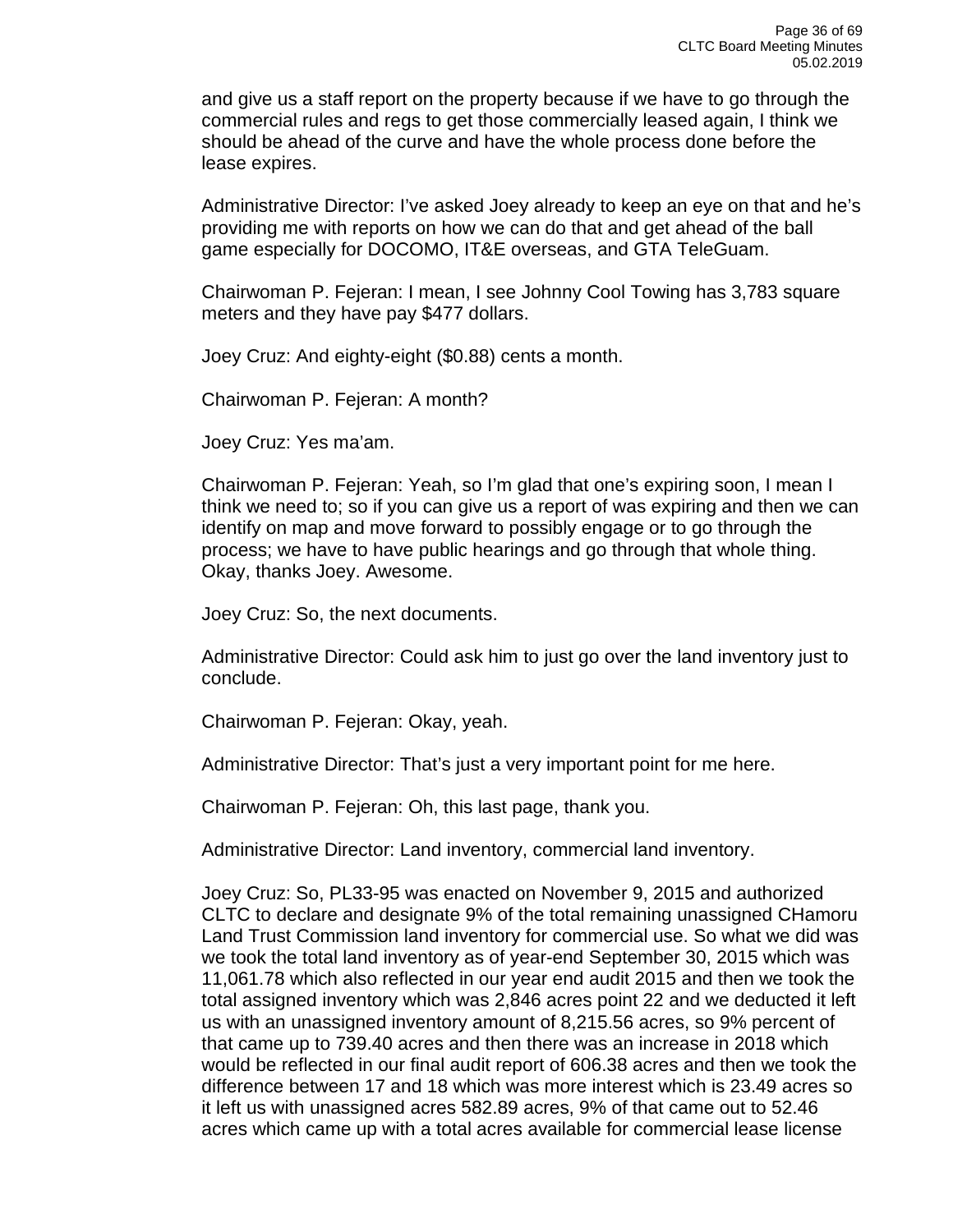and give us a staff report on the property because if we have to go through the commercial rules and regs to get those commercially leased again, I think we should be ahead of the curve and have the whole process done before the lease expires.

Administrative Director: I've asked Joey already to keep an eye on that and he's providing me with reports on how we can do that and get ahead of the ball game especially for DOCOMO, IT&E overseas, and GTA TeleGuam.

Chairwoman P. Fejeran: I mean, I see Johnny Cool Towing has 3,783 square meters and they have pay \$477 dollars.

Joey Cruz: And eighty-eight (\$0.88) cents a month.

Chairwoman P. Fejeran: A month?

Joey Cruz: Yes ma'am.

Chairwoman P. Fejeran: Yeah, so I'm glad that one's expiring soon, I mean I think we need to; so if you can give us a report of was expiring and then we can identify on map and move forward to possibly engage or to go through the process; we have to have public hearings and go through that whole thing. Okay, thanks Joey. Awesome.

Joey Cruz: So, the next documents.

Administrative Director: Could ask him to just go over the land inventory just to conclude.

Chairwoman P. Fejeran: Okay, yeah.

Administrative Director: That's just a very important point for me here.

Chairwoman P. Fejeran: Oh, this last page, thank you.

Administrative Director: Land inventory, commercial land inventory.

Joey Cruz: So, PL33-95 was enacted on November 9, 2015 and authorized CLTC to declare and designate 9% of the total remaining unassigned CHamoru Land Trust Commission land inventory for commercial use. So what we did was we took the total land inventory as of year-end September 30, 2015 which was 11,061.78 which also reflected in our year end audit 2015 and then we took the total assigned inventory which was 2,846 acres point 22 and we deducted it left us with an unassigned inventory amount of 8,215.56 acres, so 9% percent of that came up to 739.40 acres and then there was an increase in 2018 which would be reflected in our final audit report of 606.38 acres and then we took the difference between 17 and 18 which was more interest which is 23.49 acres so it left us with unassigned acres 582.89 acres, 9% of that came out to 52.46 acres which came up with a total acres available for commercial lease license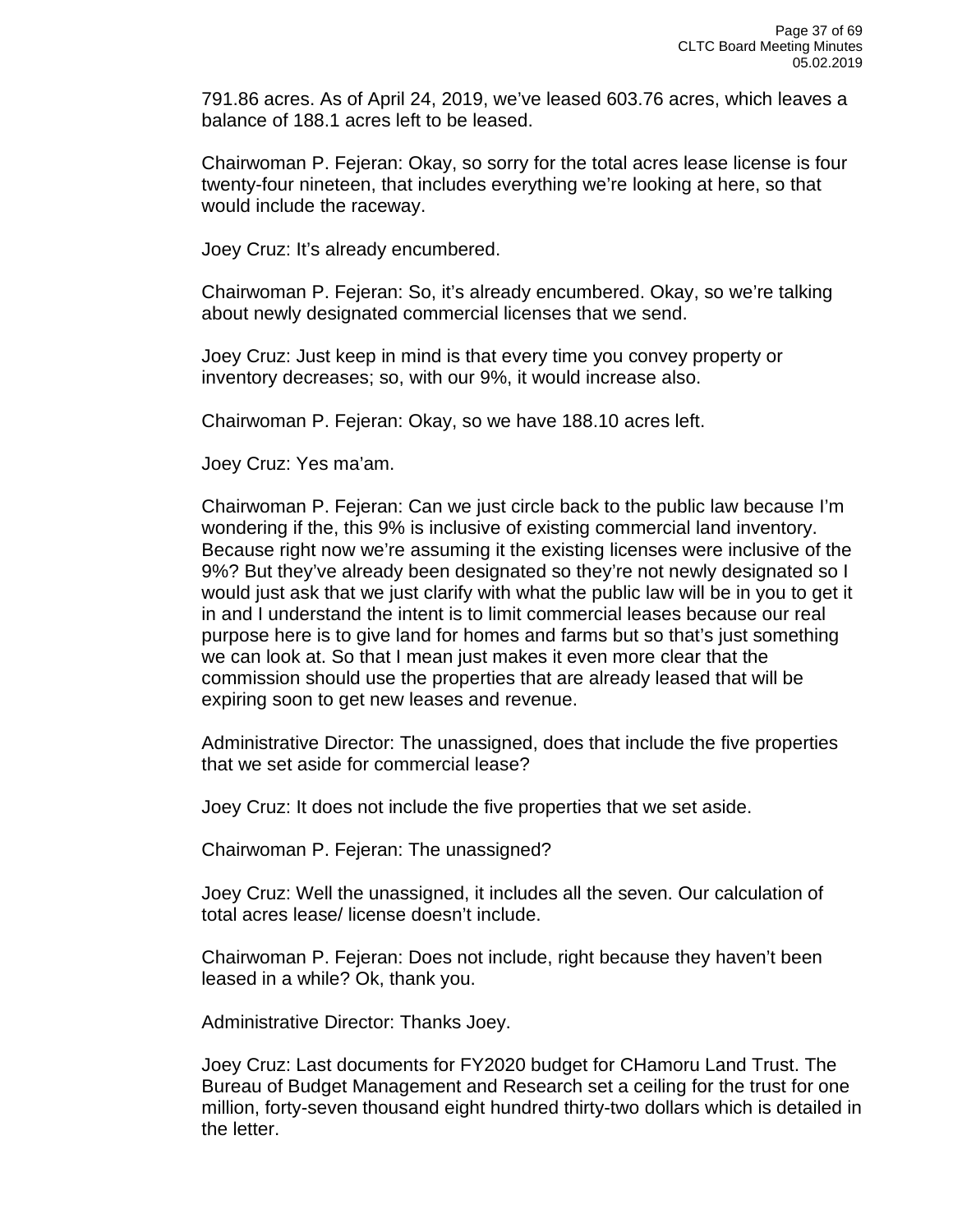791.86 acres. As of April 24, 2019, we've leased 603.76 acres, which leaves a balance of 188.1 acres left to be leased.

Chairwoman P. Fejeran: Okay, so sorry for the total acres lease license is four twenty-four nineteen, that includes everything we're looking at here, so that would include the raceway.

Joey Cruz: It's already encumbered.

Chairwoman P. Fejeran: So, it's already encumbered. Okay, so we're talking about newly designated commercial licenses that we send.

Joey Cruz: Just keep in mind is that every time you convey property or inventory decreases; so, with our 9%, it would increase also.

Chairwoman P. Fejeran: Okay, so we have 188.10 acres left.

Joey Cruz: Yes ma'am.

Chairwoman P. Fejeran: Can we just circle back to the public law because I'm wondering if the, this 9% is inclusive of existing commercial land inventory. Because right now we're assuming it the existing licenses were inclusive of the 9%? But they've already been designated so they're not newly designated so I would just ask that we just clarify with what the public law will be in you to get it in and I understand the intent is to limit commercial leases because our real purpose here is to give land for homes and farms but so that's just something we can look at. So that I mean just makes it even more clear that the commission should use the properties that are already leased that will be expiring soon to get new leases and revenue.

Administrative Director: The unassigned, does that include the five properties that we set aside for commercial lease?

Joey Cruz: It does not include the five properties that we set aside.

Chairwoman P. Fejeran: The unassigned?

Joey Cruz: Well the unassigned, it includes all the seven. Our calculation of total acres lease/ license doesn't include.

Chairwoman P. Fejeran: Does not include, right because they haven't been leased in a while? Ok, thank you.

Administrative Director: Thanks Joey.

Joey Cruz: Last documents for FY2020 budget for CHamoru Land Trust. The Bureau of Budget Management and Research set a ceiling for the trust for one million, forty-seven thousand eight hundred thirty-two dollars which is detailed in the letter.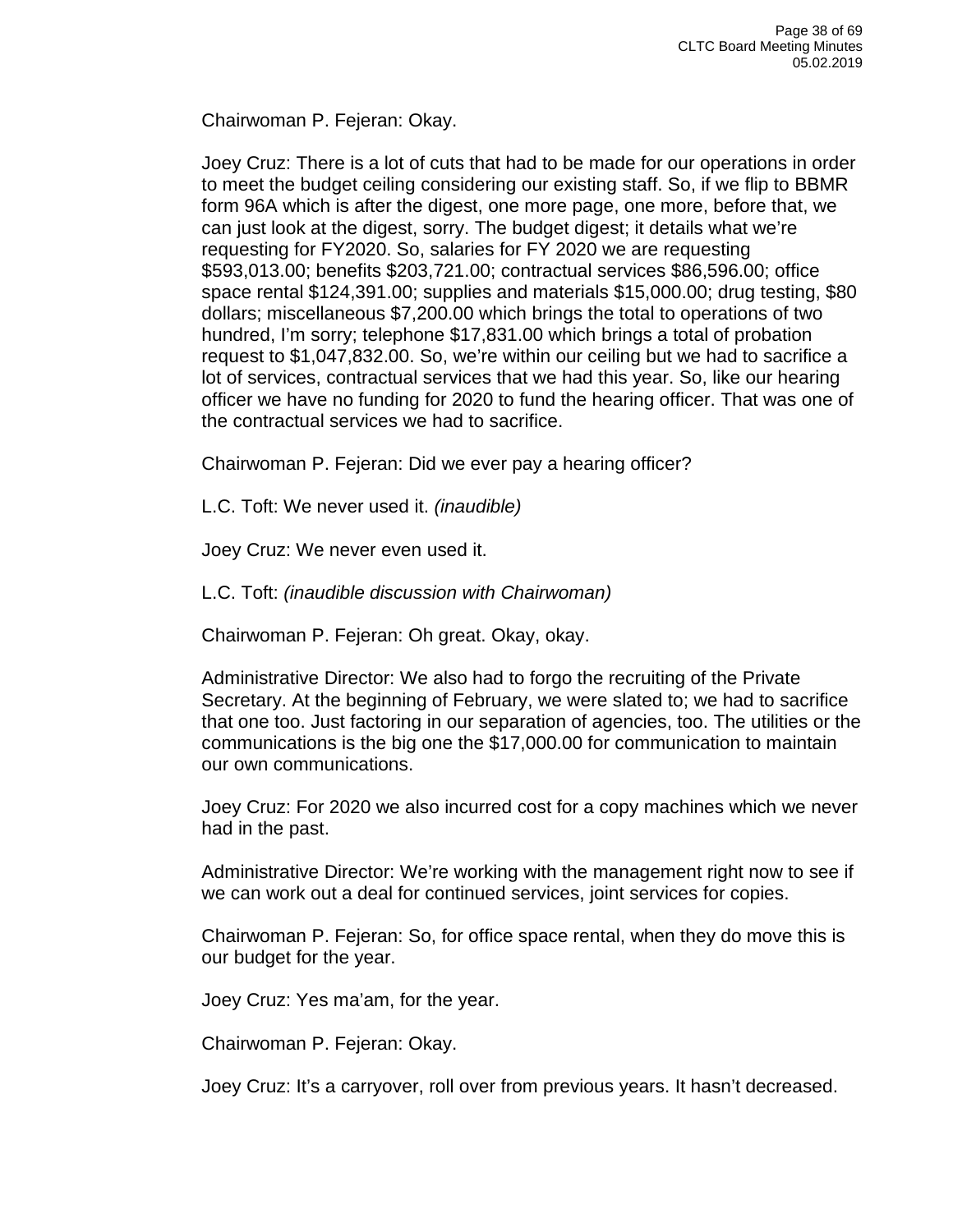Chairwoman P. Fejeran: Okay.

Joey Cruz: There is a lot of cuts that had to be made for our operations in order to meet the budget ceiling considering our existing staff. So, if we flip to BBMR form 96A which is after the digest, one more page, one more, before that, we can just look at the digest, sorry. The budget digest; it details what we're requesting for FY2020. So, salaries for FY 2020 we are requesting \$593,013.00; benefits \$203,721.00; contractual services \$86,596.00; office space rental \$124,391.00; supplies and materials \$15,000.00; drug testing, \$80 dollars; miscellaneous \$7,200.00 which brings the total to operations of two hundred, I'm sorry; telephone \$17,831.00 which brings a total of probation request to \$1,047,832.00. So, we're within our ceiling but we had to sacrifice a lot of services, contractual services that we had this year. So, like our hearing officer we have no funding for 2020 to fund the hearing officer. That was one of the contractual services we had to sacrifice.

Chairwoman P. Fejeran: Did we ever pay a hearing officer?

L.C. Toft: We never used it. *(inaudible)*

Joey Cruz: We never even used it.

L.C. Toft: *(inaudible discussion with Chairwoman)*

Chairwoman P. Fejeran: Oh great. Okay, okay.

Administrative Director: We also had to forgo the recruiting of the Private Secretary. At the beginning of February, we were slated to; we had to sacrifice that one too. Just factoring in our separation of agencies, too. The utilities or the communications is the big one the \$17,000.00 for communication to maintain our own communications.

Joey Cruz: For 2020 we also incurred cost for a copy machines which we never had in the past.

Administrative Director: We're working with the management right now to see if we can work out a deal for continued services, joint services for copies.

Chairwoman P. Fejeran: So, for office space rental, when they do move this is our budget for the year.

Joey Cruz: Yes ma'am, for the year.

Chairwoman P. Fejeran: Okay.

Joey Cruz: It's a carryover, roll over from previous years. It hasn't decreased.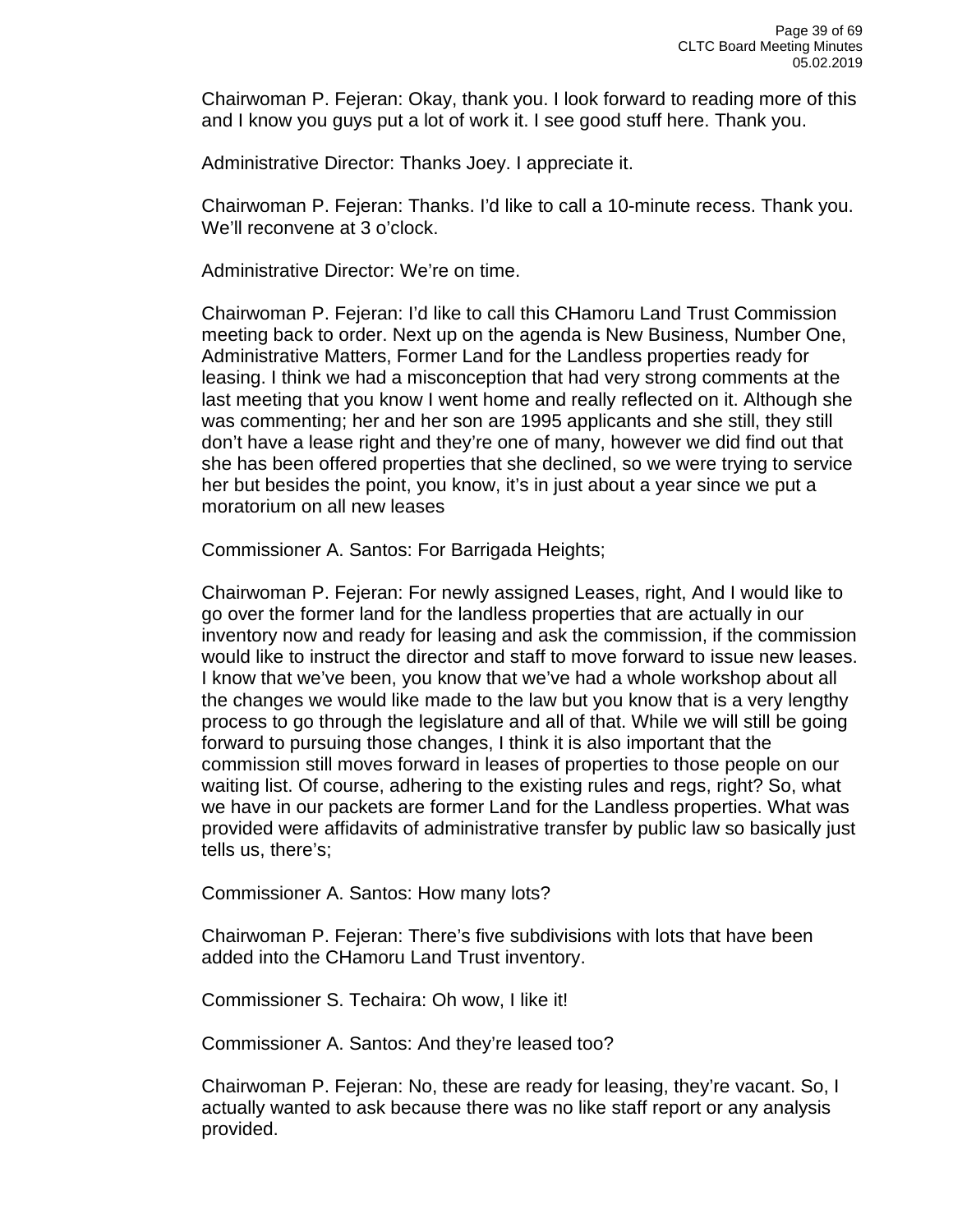Chairwoman P. Fejeran: Okay, thank you. I look forward to reading more of this and I know you guys put a lot of work it. I see good stuff here. Thank you.

Administrative Director: Thanks Joey. I appreciate it.

Chairwoman P. Fejeran: Thanks. I'd like to call a 10-minute recess. Thank you. We'll reconvene at 3 o'clock.

Administrative Director: We're on time.

Chairwoman P. Fejeran: I'd like to call this CHamoru Land Trust Commission meeting back to order. Next up on the agenda is New Business, Number One, Administrative Matters, Former Land for the Landless properties ready for leasing. I think we had a misconception that had very strong comments at the last meeting that you know I went home and really reflected on it. Although she was commenting; her and her son are 1995 applicants and she still, they still don't have a lease right and they're one of many, however we did find out that she has been offered properties that she declined, so we were trying to service her but besides the point, you know, it's in just about a year since we put a moratorium on all new leases

Commissioner A. Santos: For Barrigada Heights;

Chairwoman P. Fejeran: For newly assigned Leases, right, And I would like to go over the former land for the landless properties that are actually in our inventory now and ready for leasing and ask the commission, if the commission would like to instruct the director and staff to move forward to issue new leases. I know that we've been, you know that we've had a whole workshop about all the changes we would like made to the law but you know that is a very lengthy process to go through the legislature and all of that. While we will still be going forward to pursuing those changes, I think it is also important that the commission still moves forward in leases of properties to those people on our waiting list. Of course, adhering to the existing rules and regs, right? So, what we have in our packets are former Land for the Landless properties. What was provided were affidavits of administrative transfer by public law so basically just tells us, there's;

Commissioner A. Santos: How many lots?

Chairwoman P. Fejeran: There's five subdivisions with lots that have been added into the CHamoru Land Trust inventory.

Commissioner S. Techaira: Oh wow, I like it!

Commissioner A. Santos: And they're leased too?

Chairwoman P. Fejeran: No, these are ready for leasing, they're vacant. So, I actually wanted to ask because there was no like staff report or any analysis provided.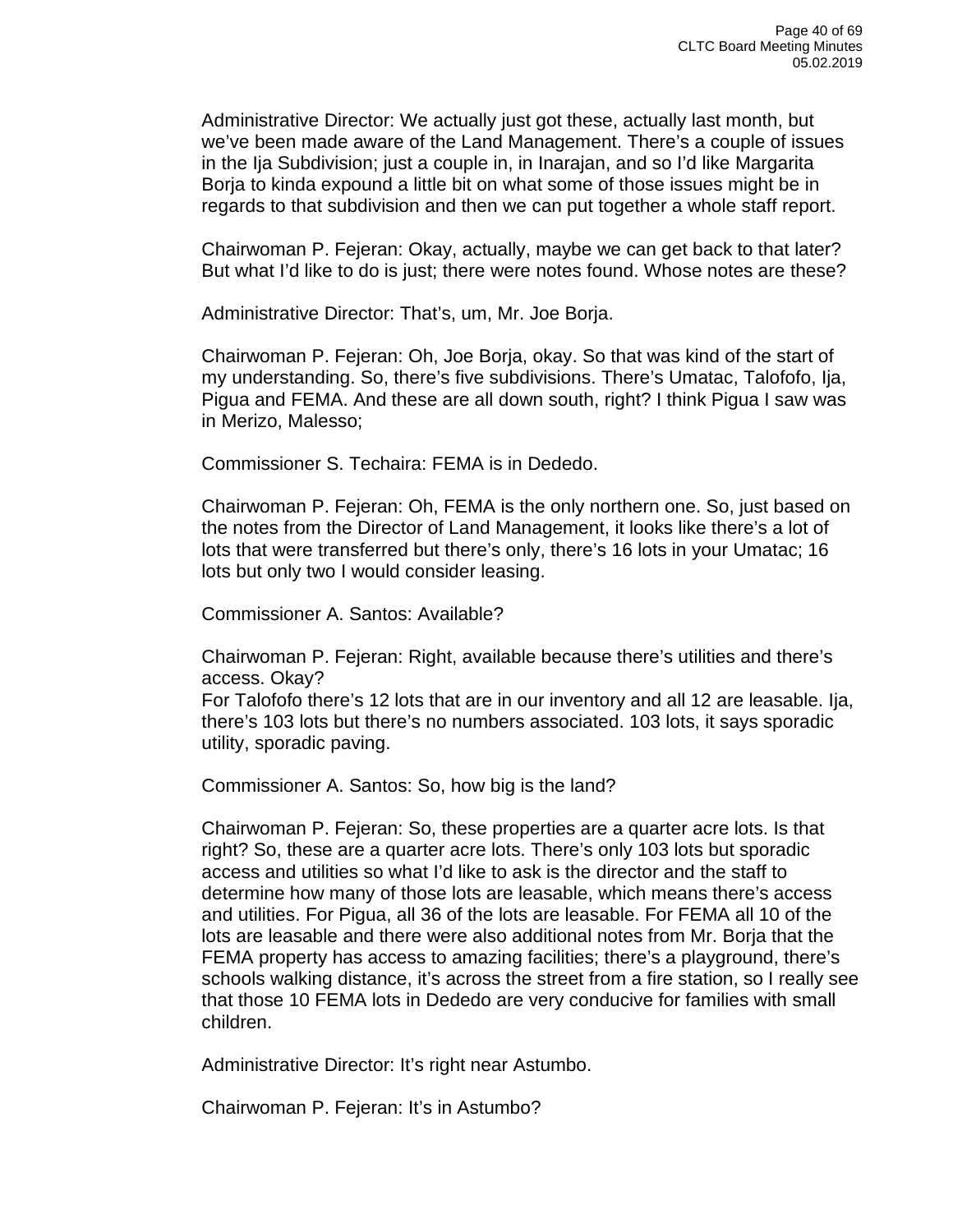Administrative Director: We actually just got these, actually last month, but we've been made aware of the Land Management. There's a couple of issues in the Ija Subdivision; just a couple in, in Inarajan, and so I'd like Margarita Borja to kinda expound a little bit on what some of those issues might be in regards to that subdivision and then we can put together a whole staff report.

Chairwoman P. Fejeran: Okay, actually, maybe we can get back to that later? But what I'd like to do is just; there were notes found. Whose notes are these?

Administrative Director: That's, um, Mr. Joe Borja.

Chairwoman P. Fejeran: Oh, Joe Borja, okay. So that was kind of the start of my understanding. So, there's five subdivisions. There's Umatac, Talofofo, Ija, Pigua and FEMA. And these are all down south, right? I think Pigua I saw was in Merizo, Malesso;

Commissioner S. Techaira: FEMA is in Dededo.

Chairwoman P. Fejeran: Oh, FEMA is the only northern one. So, just based on the notes from the Director of Land Management, it looks like there's a lot of lots that were transferred but there's only, there's 16 lots in your Umatac; 16 lots but only two I would consider leasing.

Commissioner A. Santos: Available?

Chairwoman P. Fejeran: Right, available because there's utilities and there's access. Okay?

For Talofofo there's 12 lots that are in our inventory and all 12 are leasable. Ija, there's 103 lots but there's no numbers associated. 103 lots, it says sporadic utility, sporadic paving.

Commissioner A. Santos: So, how big is the land?

Chairwoman P. Fejeran: So, these properties are a quarter acre lots. Is that right? So, these are a quarter acre lots. There's only 103 lots but sporadic access and utilities so what I'd like to ask is the director and the staff to determine how many of those lots are leasable, which means there's access and utilities. For Pigua, all 36 of the lots are leasable. For FEMA all 10 of the lots are leasable and there were also additional notes from Mr. Borja that the FEMA property has access to amazing facilities; there's a playground, there's schools walking distance, it's across the street from a fire station, so I really see that those 10 FEMA lots in Dededo are very conducive for families with small children.

Administrative Director: It's right near Astumbo.

Chairwoman P. Fejeran: It's in Astumbo?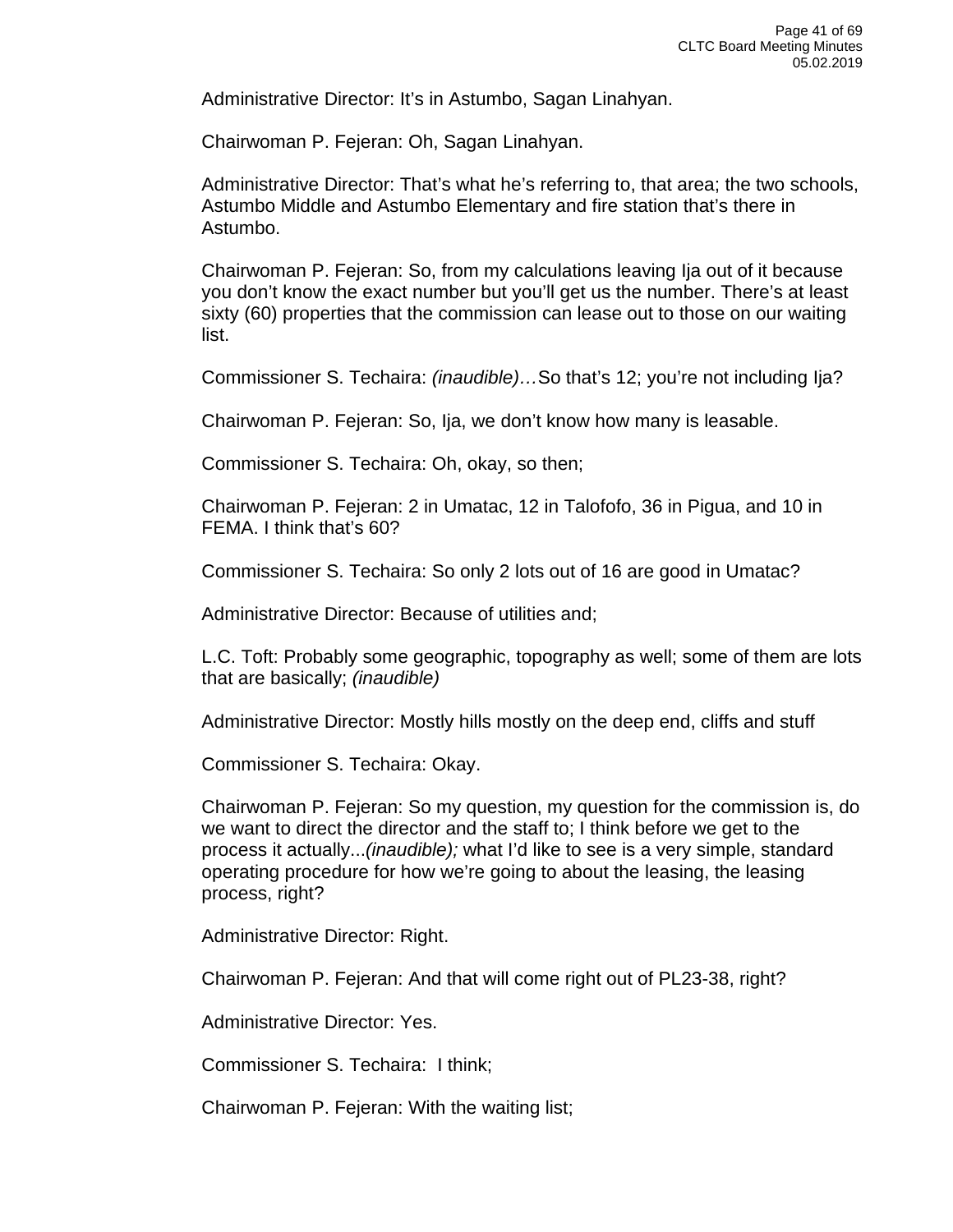Administrative Director: It's in Astumbo, Sagan Linahyan.

Chairwoman P. Fejeran: Oh, Sagan Linahyan.

Administrative Director: That's what he's referring to, that area; the two schools, Astumbo Middle and Astumbo Elementary and fire station that's there in Astumbo.

Chairwoman P. Fejeran: So, from my calculations leaving Ija out of it because you don't know the exact number but you'll get us the number. There's at least sixty (60) properties that the commission can lease out to those on our waiting list.

Commissioner S. Techaira: *(inaudible)…*So that's 12; you're not including Ija?

Chairwoman P. Fejeran: So, Ija, we don't know how many is leasable.

Commissioner S. Techaira: Oh, okay, so then;

Chairwoman P. Fejeran: 2 in Umatac, 12 in Talofofo, 36 in Pigua, and 10 in FEMA. I think that's 60?

Commissioner S. Techaira: So only 2 lots out of 16 are good in Umatac?

Administrative Director: Because of utilities and;

L.C. Toft: Probably some geographic, topography as well; some of them are lots that are basically; *(inaudible)*

Administrative Director: Mostly hills mostly on the deep end, cliffs and stuff

Commissioner S. Techaira: Okay.

Chairwoman P. Fejeran: So my question, my question for the commission is, do we want to direct the director and the staff to; I think before we get to the process it actually...*(inaudible);* what I'd like to see is a very simple, standard operating procedure for how we're going to about the leasing, the leasing process, right?

Administrative Director: Right.

Chairwoman P. Fejeran: And that will come right out of PL23-38, right?

Administrative Director: Yes.

Commissioner S. Techaira: I think;

Chairwoman P. Fejeran: With the waiting list;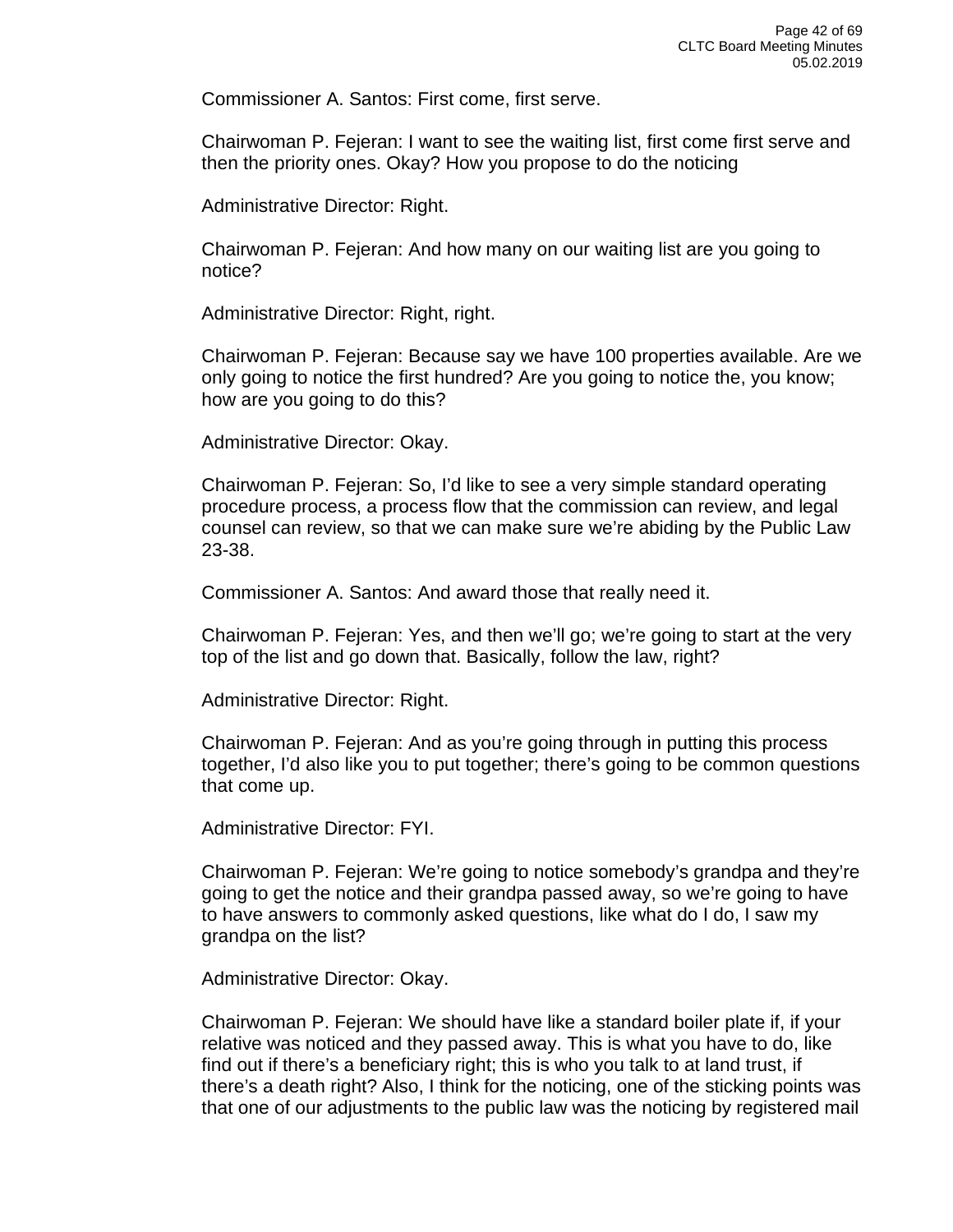Commissioner A. Santos: First come, first serve.

Chairwoman P. Fejeran: I want to see the waiting list, first come first serve and then the priority ones. Okay? How you propose to do the noticing

Administrative Director: Right.

Chairwoman P. Fejeran: And how many on our waiting list are you going to notice?

Administrative Director: Right, right.

Chairwoman P. Fejeran: Because say we have 100 properties available. Are we only going to notice the first hundred? Are you going to notice the, you know; how are you going to do this?

Administrative Director: Okay.

Chairwoman P. Fejeran: So, I'd like to see a very simple standard operating procedure process, a process flow that the commission can review, and legal counsel can review, so that we can make sure we're abiding by the Public Law 23-38.

Commissioner A. Santos: And award those that really need it.

Chairwoman P. Fejeran: Yes, and then we'll go; we're going to start at the very top of the list and go down that. Basically, follow the law, right?

Administrative Director: Right.

Chairwoman P. Fejeran: And as you're going through in putting this process together, I'd also like you to put together; there's going to be common questions that come up.

Administrative Director: FYI.

Chairwoman P. Fejeran: We're going to notice somebody's grandpa and they're going to get the notice and their grandpa passed away, so we're going to have to have answers to commonly asked questions, like what do I do, I saw my grandpa on the list?

Administrative Director: Okay.

Chairwoman P. Fejeran: We should have like a standard boiler plate if, if your relative was noticed and they passed away. This is what you have to do, like find out if there's a beneficiary right; this is who you talk to at land trust, if there's a death right? Also, I think for the noticing, one of the sticking points was that one of our adjustments to the public law was the noticing by registered mail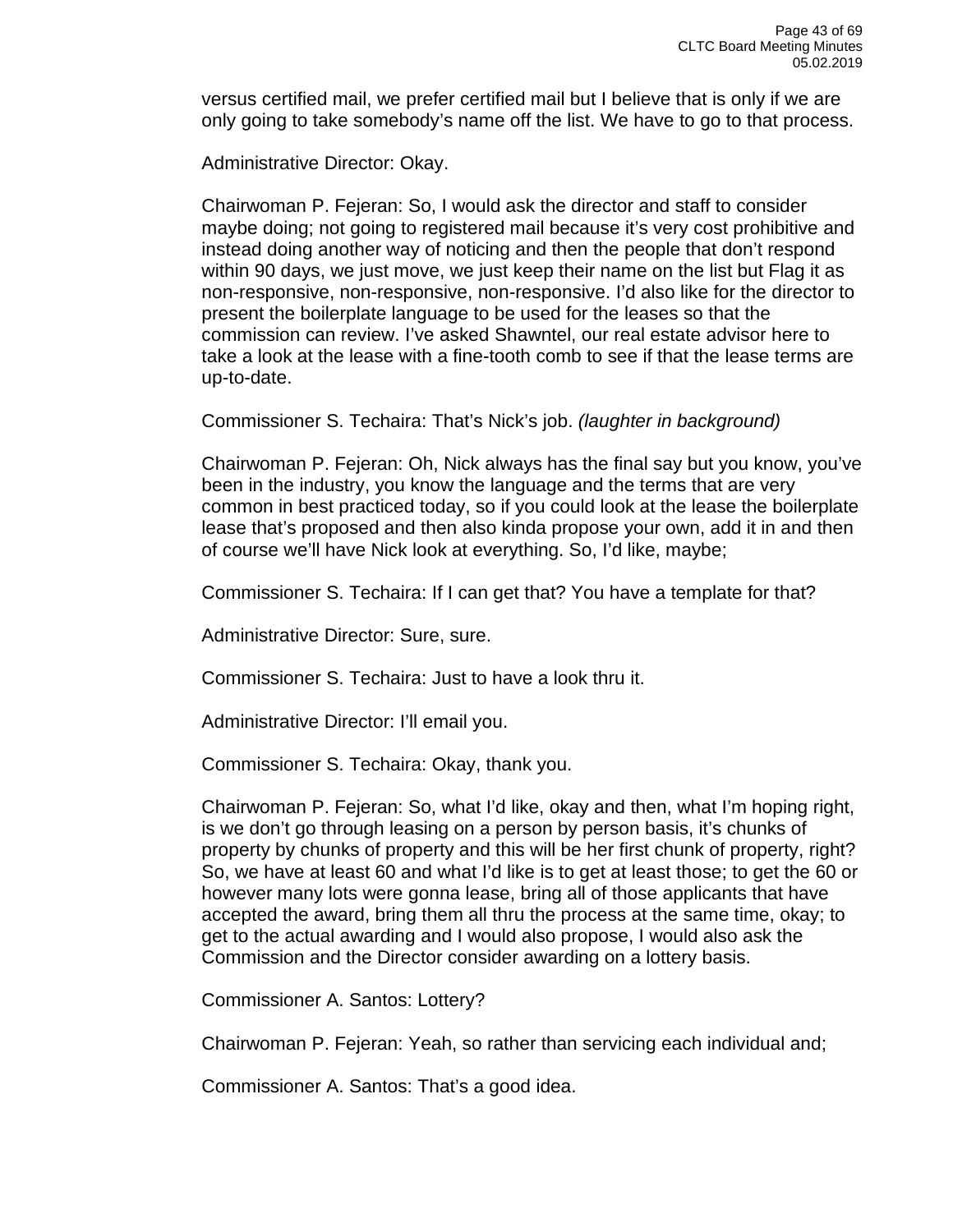versus certified mail, we prefer certified mail but I believe that is only if we are only going to take somebody's name off the list. We have to go to that process.

Administrative Director: Okay.

Chairwoman P. Fejeran: So, I would ask the director and staff to consider maybe doing; not going to registered mail because it's very cost prohibitive and instead doing another way of noticing and then the people that don't respond within 90 days, we just move, we just keep their name on the list but Flag it as non-responsive, non-responsive, non-responsive. I'd also like for the director to present the boilerplate language to be used for the leases so that the commission can review. I've asked Shawntel, our real estate advisor here to take a look at the lease with a fine-tooth comb to see if that the lease terms are up-to-date.

Commissioner S. Techaira: That's Nick's job. *(laughter in background)*

Chairwoman P. Fejeran: Oh, Nick always has the final say but you know, you've been in the industry, you know the language and the terms that are very common in best practiced today, so if you could look at the lease the boilerplate lease that's proposed and then also kinda propose your own, add it in and then of course we'll have Nick look at everything. So, I'd like, maybe;

Commissioner S. Techaira: If I can get that? You have a template for that?

Administrative Director: Sure, sure.

Commissioner S. Techaira: Just to have a look thru it.

Administrative Director: I'll email you.

Commissioner S. Techaira: Okay, thank you.

Chairwoman P. Fejeran: So, what I'd like, okay and then, what I'm hoping right, is we don't go through leasing on a person by person basis, it's chunks of property by chunks of property and this will be her first chunk of property, right? So, we have at least 60 and what I'd like is to get at least those; to get the 60 or however many lots were gonna lease, bring all of those applicants that have accepted the award, bring them all thru the process at the same time, okay; to get to the actual awarding and I would also propose, I would also ask the Commission and the Director consider awarding on a lottery basis.

Commissioner A. Santos: Lottery?

Chairwoman P. Fejeran: Yeah, so rather than servicing each individual and;

Commissioner A. Santos: That's a good idea.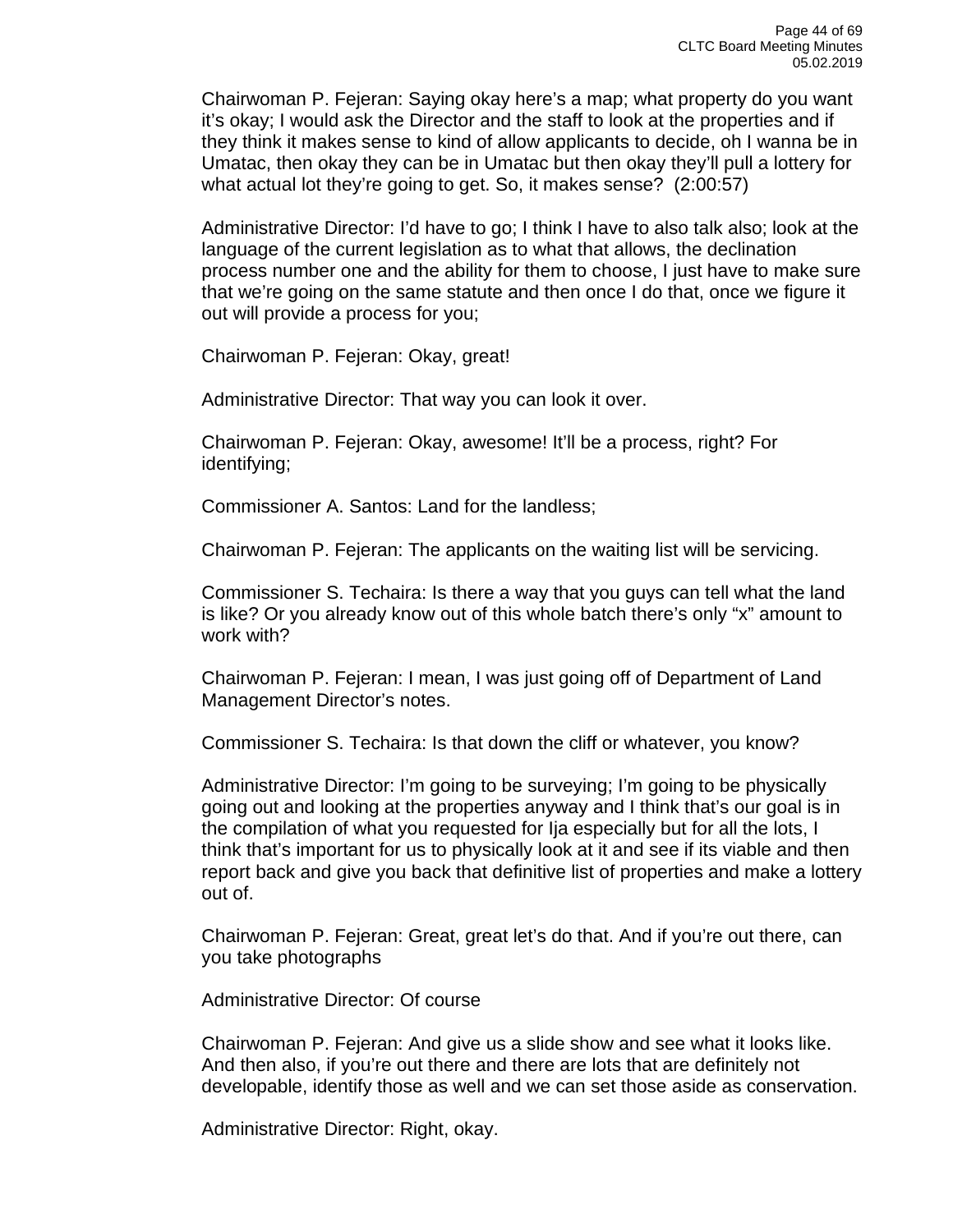Chairwoman P. Fejeran: Saying okay here's a map; what property do you want it's okay; I would ask the Director and the staff to look at the properties and if they think it makes sense to kind of allow applicants to decide, oh I wanna be in Umatac, then okay they can be in Umatac but then okay they'll pull a lottery for what actual lot they're going to get. So, it makes sense? (2:00:57)

Administrative Director: I'd have to go; I think I have to also talk also; look at the language of the current legislation as to what that allows, the declination process number one and the ability for them to choose, I just have to make sure that we're going on the same statute and then once I do that, once we figure it out will provide a process for you;

Chairwoman P. Fejeran: Okay, great!

Administrative Director: That way you can look it over.

Chairwoman P. Fejeran: Okay, awesome! It'll be a process, right? For identifying;

Commissioner A. Santos: Land for the landless;

Chairwoman P. Fejeran: The applicants on the waiting list will be servicing.

Commissioner S. Techaira: Is there a way that you guys can tell what the land is like? Or you already know out of this whole batch there's only "x" amount to work with?

Chairwoman P. Fejeran: I mean, I was just going off of Department of Land Management Director's notes.

Commissioner S. Techaira: Is that down the cliff or whatever, you know?

Administrative Director: I'm going to be surveying; I'm going to be physically going out and looking at the properties anyway and I think that's our goal is in the compilation of what you requested for Ija especially but for all the lots, I think that's important for us to physically look at it and see if its viable and then report back and give you back that definitive list of properties and make a lottery out of.

Chairwoman P. Fejeran: Great, great let's do that. And if you're out there, can you take photographs

Administrative Director: Of course

Chairwoman P. Fejeran: And give us a slide show and see what it looks like. And then also, if you're out there and there are lots that are definitely not developable, identify those as well and we can set those aside as conservation.

Administrative Director: Right, okay.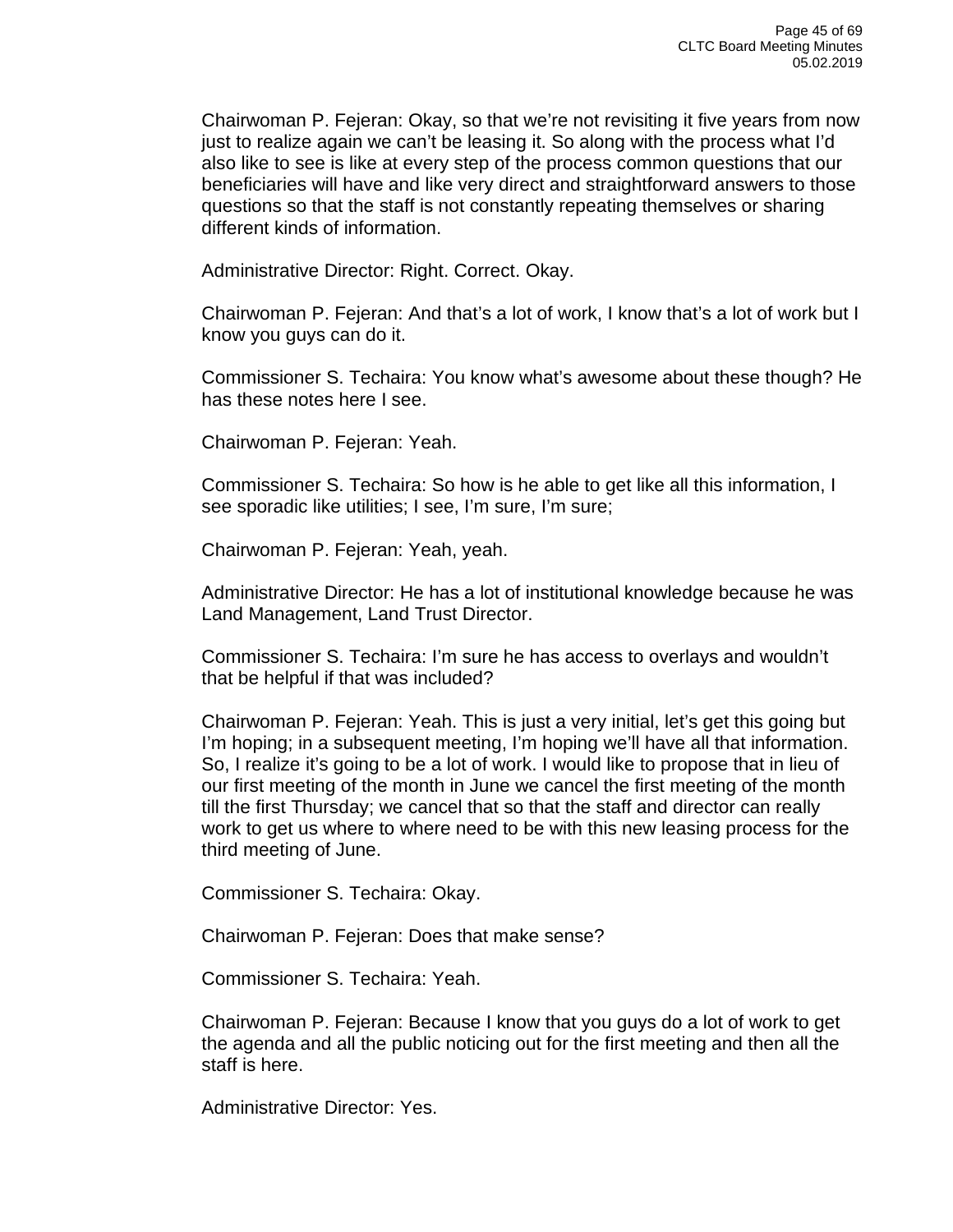Chairwoman P. Fejeran: Okay, so that we're not revisiting it five years from now just to realize again we can't be leasing it. So along with the process what I'd also like to see is like at every step of the process common questions that our beneficiaries will have and like very direct and straightforward answers to those questions so that the staff is not constantly repeating themselves or sharing different kinds of information.

Administrative Director: Right. Correct. Okay.

Chairwoman P. Fejeran: And that's a lot of work, I know that's a lot of work but I know you guys can do it.

Commissioner S. Techaira: You know what's awesome about these though? He has these notes here I see.

Chairwoman P. Fejeran: Yeah.

Commissioner S. Techaira: So how is he able to get like all this information, I see sporadic like utilities; I see, I'm sure, I'm sure;

Chairwoman P. Fejeran: Yeah, yeah.

Administrative Director: He has a lot of institutional knowledge because he was Land Management, Land Trust Director.

Commissioner S. Techaira: I'm sure he has access to overlays and wouldn't that be helpful if that was included?

Chairwoman P. Fejeran: Yeah. This is just a very initial, let's get this going but I'm hoping; in a subsequent meeting, I'm hoping we'll have all that information. So, I realize it's going to be a lot of work. I would like to propose that in lieu of our first meeting of the month in June we cancel the first meeting of the month till the first Thursday; we cancel that so that the staff and director can really work to get us where to where need to be with this new leasing process for the third meeting of June.

Commissioner S. Techaira: Okay.

Chairwoman P. Fejeran: Does that make sense?

Commissioner S. Techaira: Yeah.

Chairwoman P. Fejeran: Because I know that you guys do a lot of work to get the agenda and all the public noticing out for the first meeting and then all the staff is here.

Administrative Director: Yes.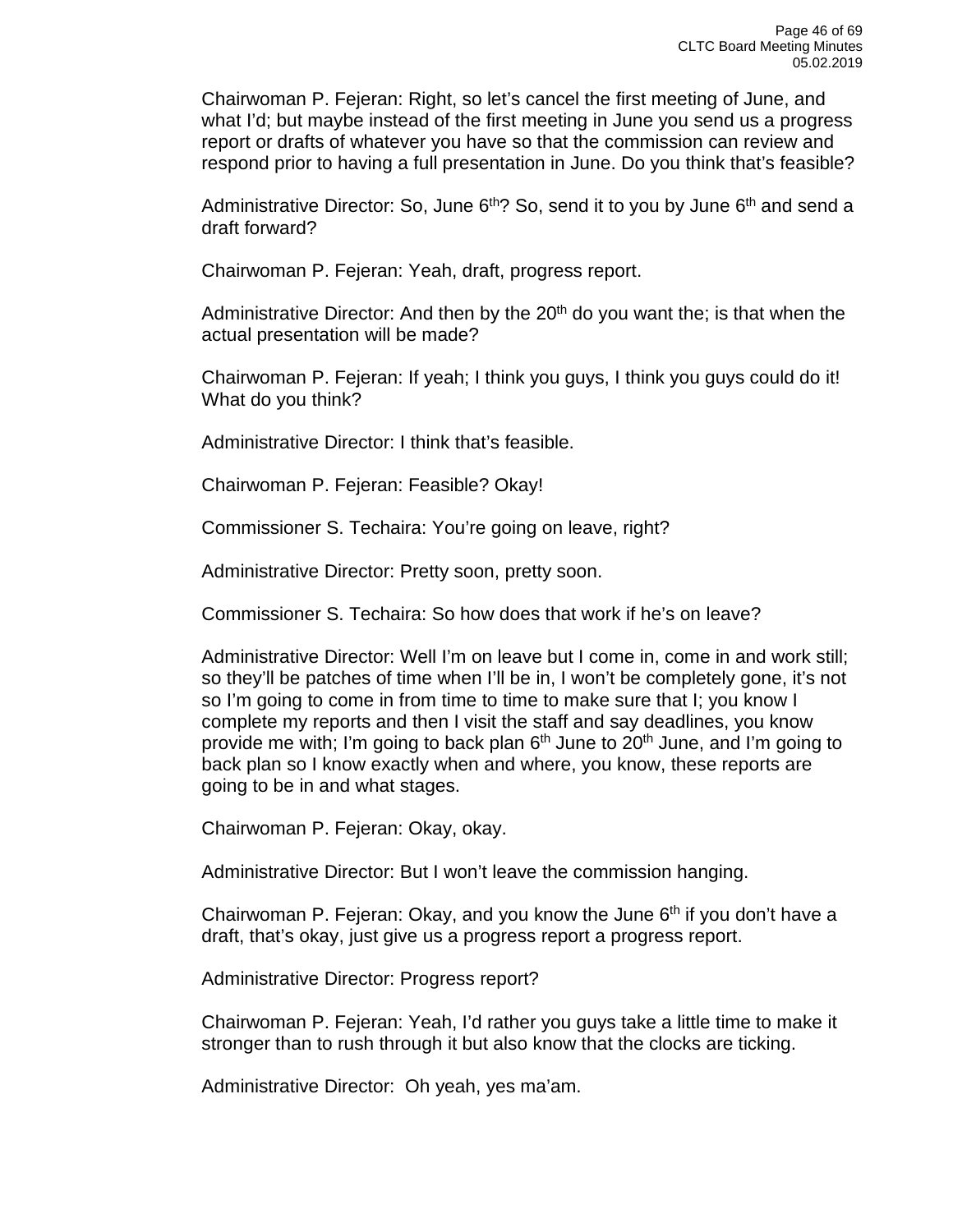Chairwoman P. Fejeran: Right, so let's cancel the first meeting of June, and what I'd; but maybe instead of the first meeting in June you send us a progress report or drafts of whatever you have so that the commission can review and respond prior to having a full presentation in June. Do you think that's feasible?

Administrative Director: So, June  $6<sup>th</sup>$ ? So, send it to you by June  $6<sup>th</sup>$  and send a draft forward?

Chairwoman P. Fejeran: Yeah, draft, progress report.

Administrative Director: And then by the 20<sup>th</sup> do you want the; is that when the actual presentation will be made?

Chairwoman P. Fejeran: If yeah; I think you guys, I think you guys could do it! What do you think?

Administrative Director: I think that's feasible.

Chairwoman P. Fejeran: Feasible? Okay!

Commissioner S. Techaira: You're going on leave, right?

Administrative Director: Pretty soon, pretty soon.

Commissioner S. Techaira: So how does that work if he's on leave?

Administrative Director: Well I'm on leave but I come in, come in and work still; so they'll be patches of time when I'll be in, I won't be completely gone, it's not so I'm going to come in from time to time to make sure that I; you know I complete my reports and then I visit the staff and say deadlines, you know provide me with; I'm going to back plan 6<sup>th</sup> June to 20<sup>th</sup> June, and I'm going to back plan so I know exactly when and where, you know, these reports are going to be in and what stages.

Chairwoman P. Fejeran: Okay, okay.

Administrative Director: But I won't leave the commission hanging.

Chairwoman P. Fejeran: Okay, and you know the June  $6<sup>th</sup>$  if you don't have a draft, that's okay, just give us a progress report a progress report.

Administrative Director: Progress report?

Chairwoman P. Fejeran: Yeah, I'd rather you guys take a little time to make it stronger than to rush through it but also know that the clocks are ticking.

Administrative Director: Oh yeah, yes ma'am.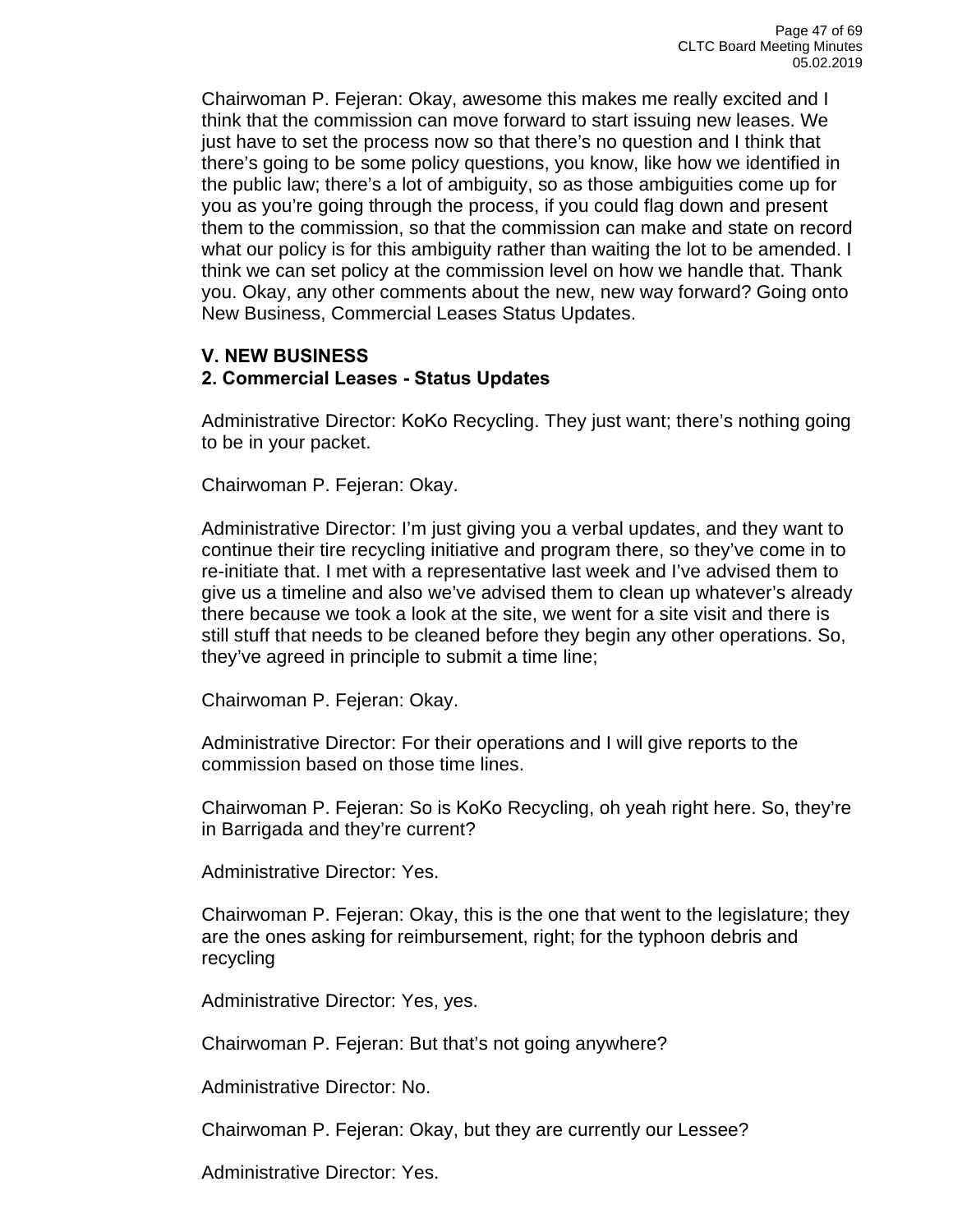Chairwoman P. Fejeran: Okay, awesome this makes me really excited and I think that the commission can move forward to start issuing new leases. We just have to set the process now so that there's no question and I think that there's going to be some policy questions, you know, like how we identified in the public law; there's a lot of ambiguity, so as those ambiguities come up for you as you're going through the process, if you could flag down and present them to the commission, so that the commission can make and state on record what our policy is for this ambiguity rather than waiting the lot to be amended. I think we can set policy at the commission level on how we handle that. Thank you. Okay, any other comments about the new, new way forward? Going onto New Business, Commercial Leases Status Updates.

## **V. NEW BUSINESS**

#### **2. Commercial Leases - Status Updates**

Administrative Director: KoKo Recycling. They just want; there's nothing going to be in your packet.

Chairwoman P. Fejeran: Okay.

Administrative Director: I'm just giving you a verbal updates, and they want to continue their tire recycling initiative and program there, so they've come in to re-initiate that. I met with a representative last week and I've advised them to give us a timeline and also we've advised them to clean up whatever's already there because we took a look at the site, we went for a site visit and there is still stuff that needs to be cleaned before they begin any other operations. So, they've agreed in principle to submit a time line;

Chairwoman P. Fejeran: Okay.

Administrative Director: For their operations and I will give reports to the commission based on those time lines.

Chairwoman P. Fejeran: So is KoKo Recycling, oh yeah right here. So, they're in Barrigada and they're current?

Administrative Director: Yes.

Chairwoman P. Fejeran: Okay, this is the one that went to the legislature; they are the ones asking for reimbursement, right; for the typhoon debris and recycling

Administrative Director: Yes, yes.

Chairwoman P. Fejeran: But that's not going anywhere?

Administrative Director: No.

Chairwoman P. Fejeran: Okay, but they are currently our Lessee?

Administrative Director: Yes.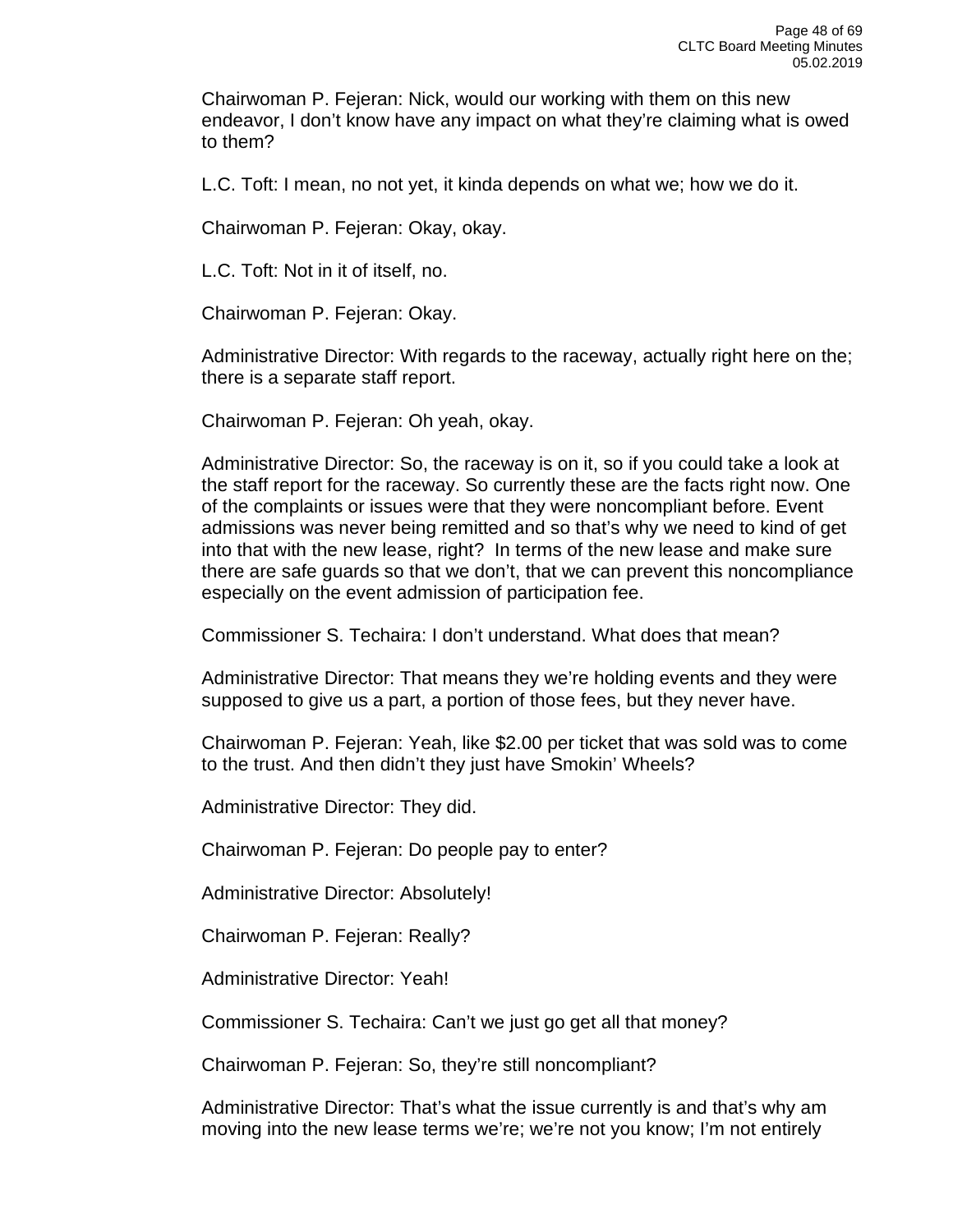Chairwoman P. Fejeran: Nick, would our working with them on this new endeavor, I don't know have any impact on what they're claiming what is owed to them?

L.C. Toft: I mean, no not yet, it kinda depends on what we; how we do it.

Chairwoman P. Fejeran: Okay, okay.

L.C. Toft: Not in it of itself, no.

Chairwoman P. Fejeran: Okay.

Administrative Director: With regards to the raceway, actually right here on the; there is a separate staff report.

Chairwoman P. Fejeran: Oh yeah, okay.

Administrative Director: So, the raceway is on it, so if you could take a look at the staff report for the raceway. So currently these are the facts right now. One of the complaints or issues were that they were noncompliant before. Event admissions was never being remitted and so that's why we need to kind of get into that with the new lease, right? In terms of the new lease and make sure there are safe guards so that we don't, that we can prevent this noncompliance especially on the event admission of participation fee.

Commissioner S. Techaira: I don't understand. What does that mean?

Administrative Director: That means they we're holding events and they were supposed to give us a part, a portion of those fees, but they never have.

Chairwoman P. Fejeran: Yeah, like \$2.00 per ticket that was sold was to come to the trust. And then didn't they just have Smokin' Wheels?

Administrative Director: They did.

Chairwoman P. Fejeran: Do people pay to enter?

Administrative Director: Absolutely!

Chairwoman P. Fejeran: Really?

Administrative Director: Yeah!

Commissioner S. Techaira: Can't we just go get all that money?

Chairwoman P. Fejeran: So, they're still noncompliant?

Administrative Director: That's what the issue currently is and that's why am moving into the new lease terms we're; we're not you know; I'm not entirely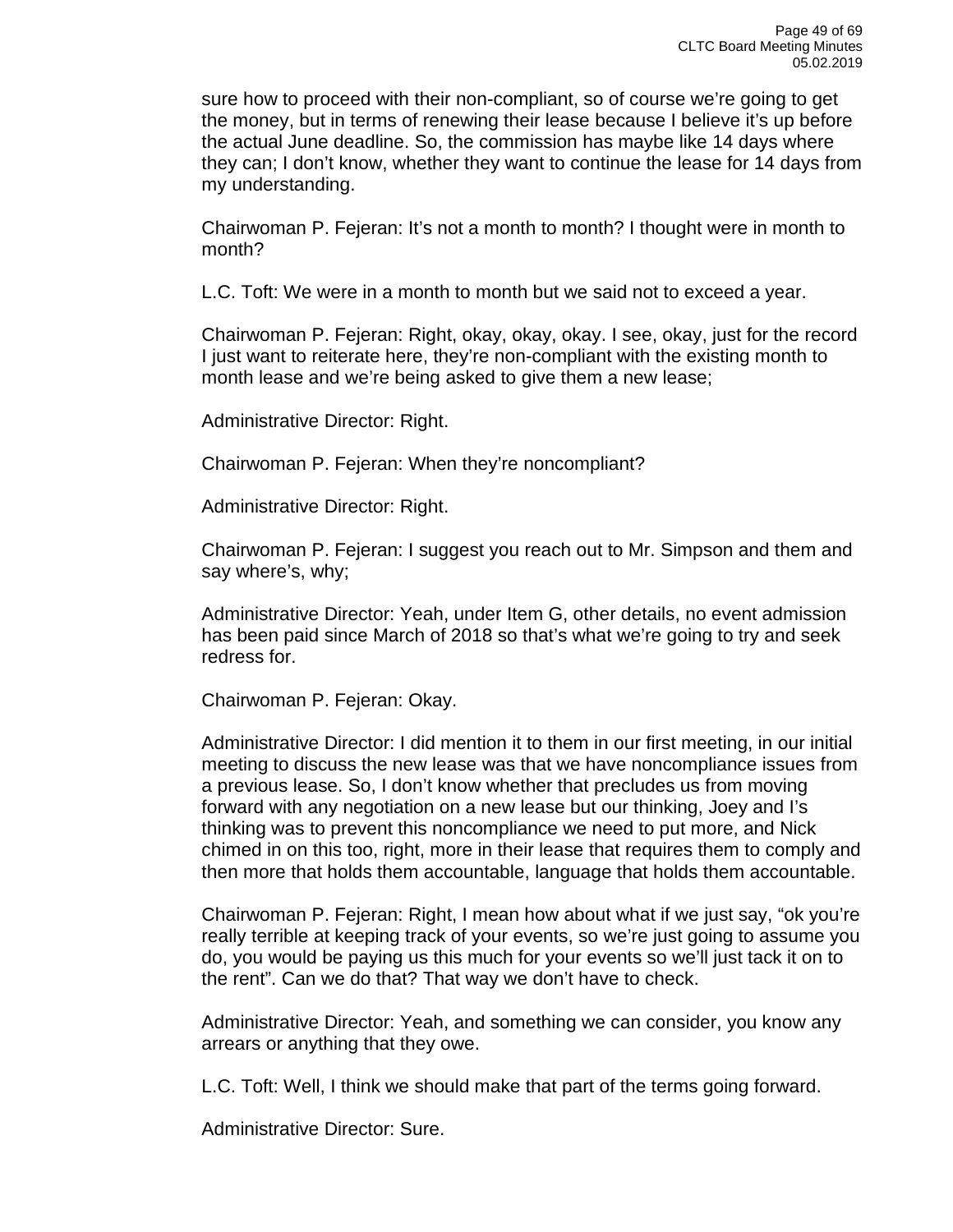sure how to proceed with their non-compliant, so of course we're going to get the money, but in terms of renewing their lease because I believe it's up before the actual June deadline. So, the commission has maybe like 14 days where they can; I don't know, whether they want to continue the lease for 14 days from my understanding.

Chairwoman P. Fejeran: It's not a month to month? I thought were in month to month?

L.C. Toft: We were in a month to month but we said not to exceed a year.

Chairwoman P. Fejeran: Right, okay, okay, okay. I see, okay, just for the record I just want to reiterate here, they're non-compliant with the existing month to month lease and we're being asked to give them a new lease;

Administrative Director: Right.

Chairwoman P. Fejeran: When they're noncompliant?

Administrative Director: Right.

Chairwoman P. Fejeran: I suggest you reach out to Mr. Simpson and them and say where's, why;

Administrative Director: Yeah, under Item G, other details, no event admission has been paid since March of 2018 so that's what we're going to try and seek redress for.

Chairwoman P. Fejeran: Okay.

Administrative Director: I did mention it to them in our first meeting, in our initial meeting to discuss the new lease was that we have noncompliance issues from a previous lease. So, I don't know whether that precludes us from moving forward with any negotiation on a new lease but our thinking, Joey and I's thinking was to prevent this noncompliance we need to put more, and Nick chimed in on this too, right, more in their lease that requires them to comply and then more that holds them accountable, language that holds them accountable.

Chairwoman P. Fejeran: Right, I mean how about what if we just say, "ok you're really terrible at keeping track of your events, so we're just going to assume you do, you would be paying us this much for your events so we'll just tack it on to the rent". Can we do that? That way we don't have to check.

Administrative Director: Yeah, and something we can consider, you know any arrears or anything that they owe.

L.C. Toft: Well, I think we should make that part of the terms going forward.

Administrative Director: Sure.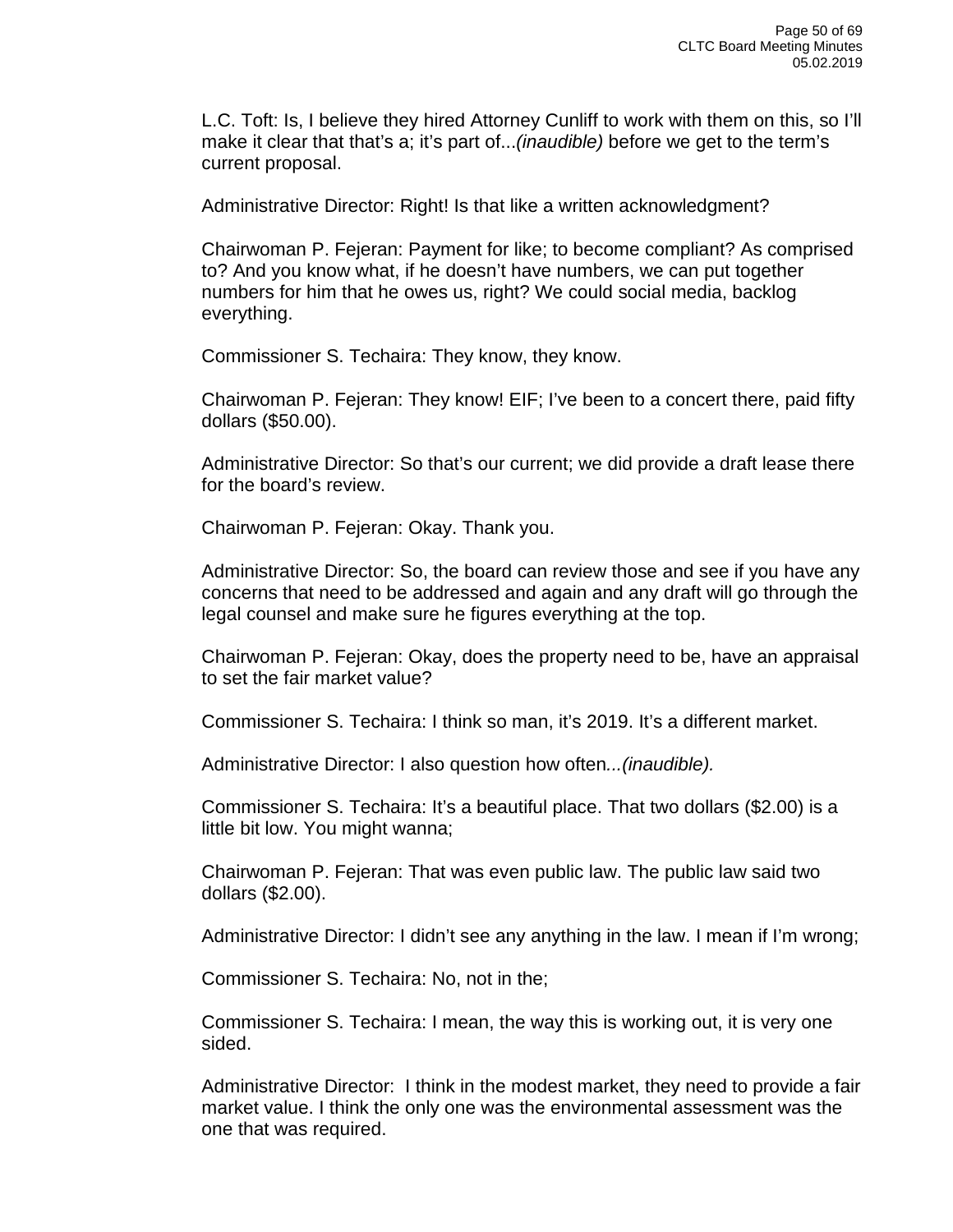L.C. Toft: Is, I believe they hired Attorney Cunliff to work with them on this, so I'll make it clear that that's a; it's part of...*(inaudible)* before we get to the term's current proposal.

Administrative Director: Right! Is that like a written acknowledgment?

Chairwoman P. Fejeran: Payment for like; to become compliant? As comprised to? And you know what, if he doesn't have numbers, we can put together numbers for him that he owes us, right? We could social media, backlog everything.

Commissioner S. Techaira: They know, they know.

Chairwoman P. Fejeran: They know! EIF; I've been to a concert there, paid fifty dollars (\$50.00).

Administrative Director: So that's our current; we did provide a draft lease there for the board's review.

Chairwoman P. Fejeran: Okay. Thank you.

Administrative Director: So, the board can review those and see if you have any concerns that need to be addressed and again and any draft will go through the legal counsel and make sure he figures everything at the top.

Chairwoman P. Fejeran: Okay, does the property need to be, have an appraisal to set the fair market value?

Commissioner S. Techaira: I think so man, it's 2019. It's a different market.

Administrative Director: I also question how often*...(inaudible).*

Commissioner S. Techaira: It's a beautiful place. That two dollars (\$2.00) is a little bit low. You might wanna;

Chairwoman P. Fejeran: That was even public law. The public law said two dollars (\$2.00).

Administrative Director: I didn't see any anything in the law. I mean if I'm wrong;

Commissioner S. Techaira: No, not in the;

Commissioner S. Techaira: I mean, the way this is working out, it is very one sided.

Administrative Director: I think in the modest market, they need to provide a fair market value. I think the only one was the environmental assessment was the one that was required.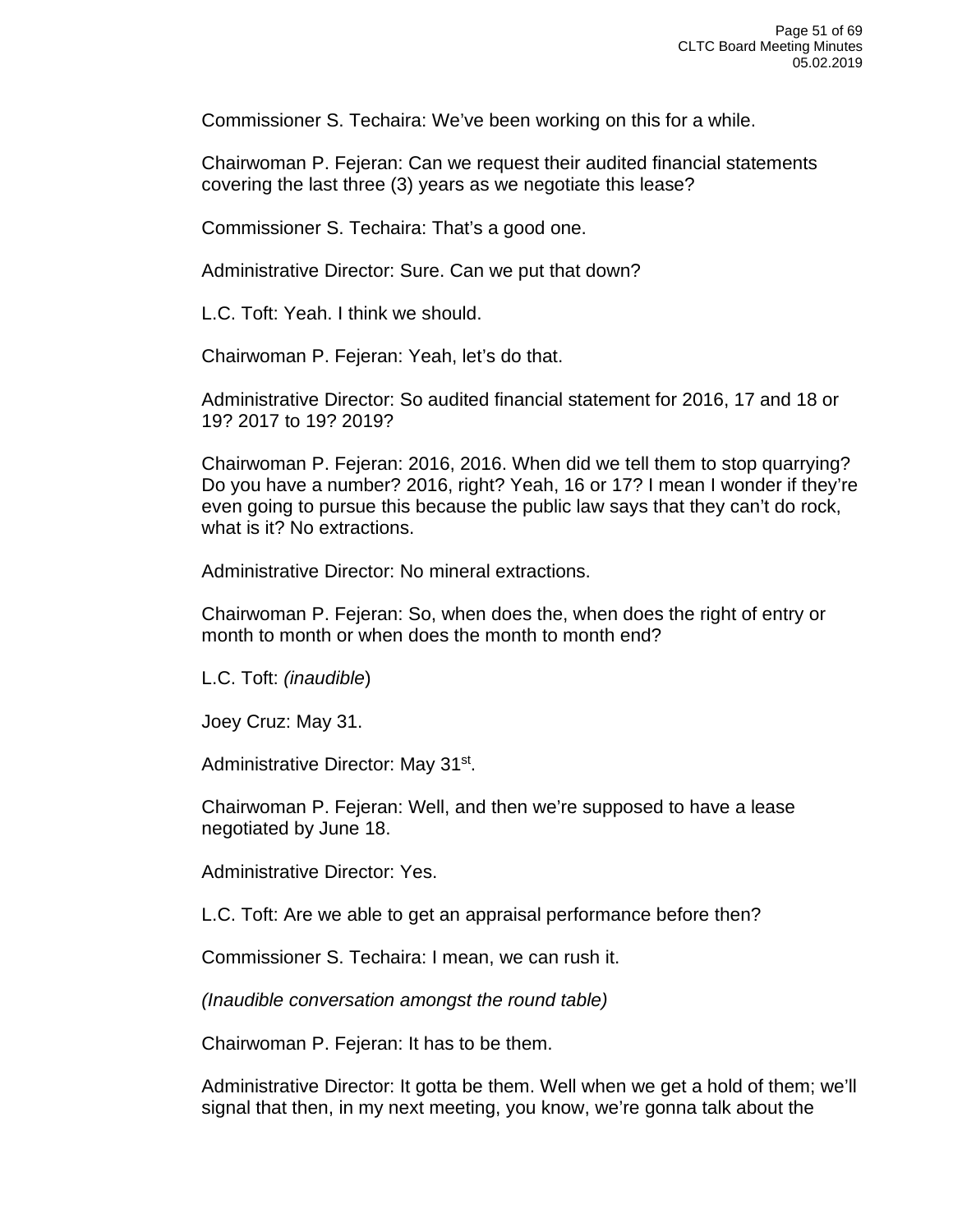Commissioner S. Techaira: We've been working on this for a while.

Chairwoman P. Fejeran: Can we request their audited financial statements covering the last three (3) years as we negotiate this lease?

Commissioner S. Techaira: That's a good one.

Administrative Director: Sure. Can we put that down?

L.C. Toft: Yeah. I think we should.

Chairwoman P. Fejeran: Yeah, let's do that.

Administrative Director: So audited financial statement for 2016, 17 and 18 or 19? 2017 to 19? 2019?

Chairwoman P. Fejeran: 2016, 2016. When did we tell them to stop quarrying? Do you have a number? 2016, right? Yeah, 16 or 17? I mean I wonder if they're even going to pursue this because the public law says that they can't do rock, what is it? No extractions.

Administrative Director: No mineral extractions.

Chairwoman P. Fejeran: So, when does the, when does the right of entry or month to month or when does the month to month end?

L.C. Toft: *(inaudible*)

Joey Cruz: May 31.

Administrative Director: May 31st.

Chairwoman P. Fejeran: Well, and then we're supposed to have a lease negotiated by June 18.

Administrative Director: Yes.

L.C. Toft: Are we able to get an appraisal performance before then?

Commissioner S. Techaira: I mean, we can rush it.

*(Inaudible conversation amongst the round table)* 

Chairwoman P. Fejeran: It has to be them.

Administrative Director: It gotta be them. Well when we get a hold of them; we'll signal that then, in my next meeting, you know, we're gonna talk about the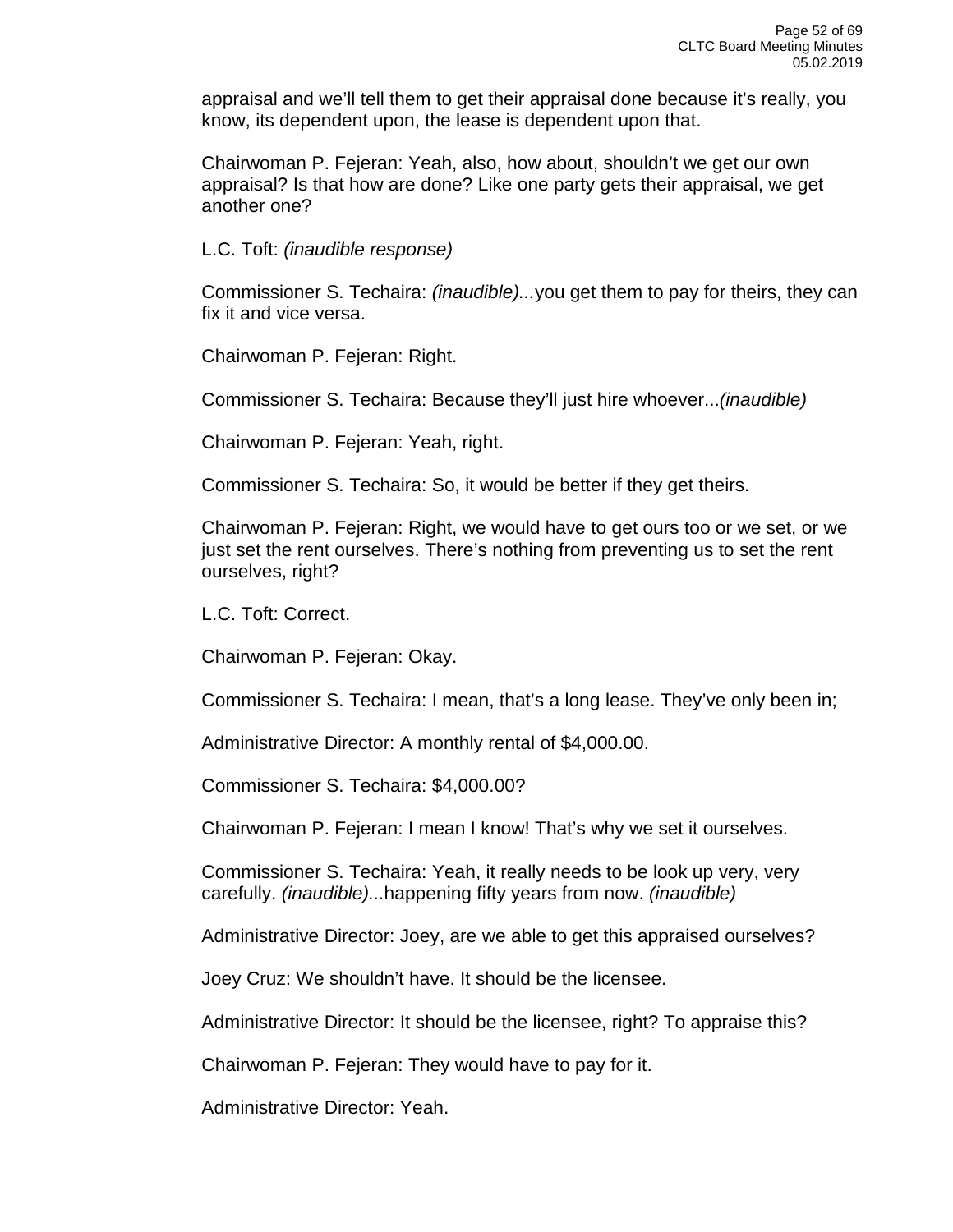appraisal and we'll tell them to get their appraisal done because it's really, you know, its dependent upon, the lease is dependent upon that.

Chairwoman P. Fejeran: Yeah, also, how about, shouldn't we get our own appraisal? Is that how are done? Like one party gets their appraisal, we get another one?

L.C. Toft: *(inaudible response)*

Commissioner S. Techaira: *(inaudible)...*you get them to pay for theirs, they can fix it and vice versa.

Chairwoman P. Fejeran: Right.

Commissioner S. Techaira: Because they'll just hire whoever...*(inaudible)*

Chairwoman P. Fejeran: Yeah, right.

Commissioner S. Techaira: So, it would be better if they get theirs.

Chairwoman P. Fejeran: Right, we would have to get ours too or we set, or we just set the rent ourselves. There's nothing from preventing us to set the rent ourselves, right?

L.C. Toft: Correct.

Chairwoman P. Fejeran: Okay.

Commissioner S. Techaira: I mean, that's a long lease. They've only been in;

Administrative Director: A monthly rental of \$4,000.00.

Commissioner S. Techaira: \$4,000.00?

Chairwoman P. Fejeran: I mean I know! That's why we set it ourselves.

Commissioner S. Techaira: Yeah, it really needs to be look up very, very carefully. *(inaudible)...*happening fifty years from now. *(inaudible)*

Administrative Director: Joey, are we able to get this appraised ourselves?

Joey Cruz: We shouldn't have. It should be the licensee.

Administrative Director: It should be the licensee, right? To appraise this?

Chairwoman P. Fejeran: They would have to pay for it.

Administrative Director: Yeah.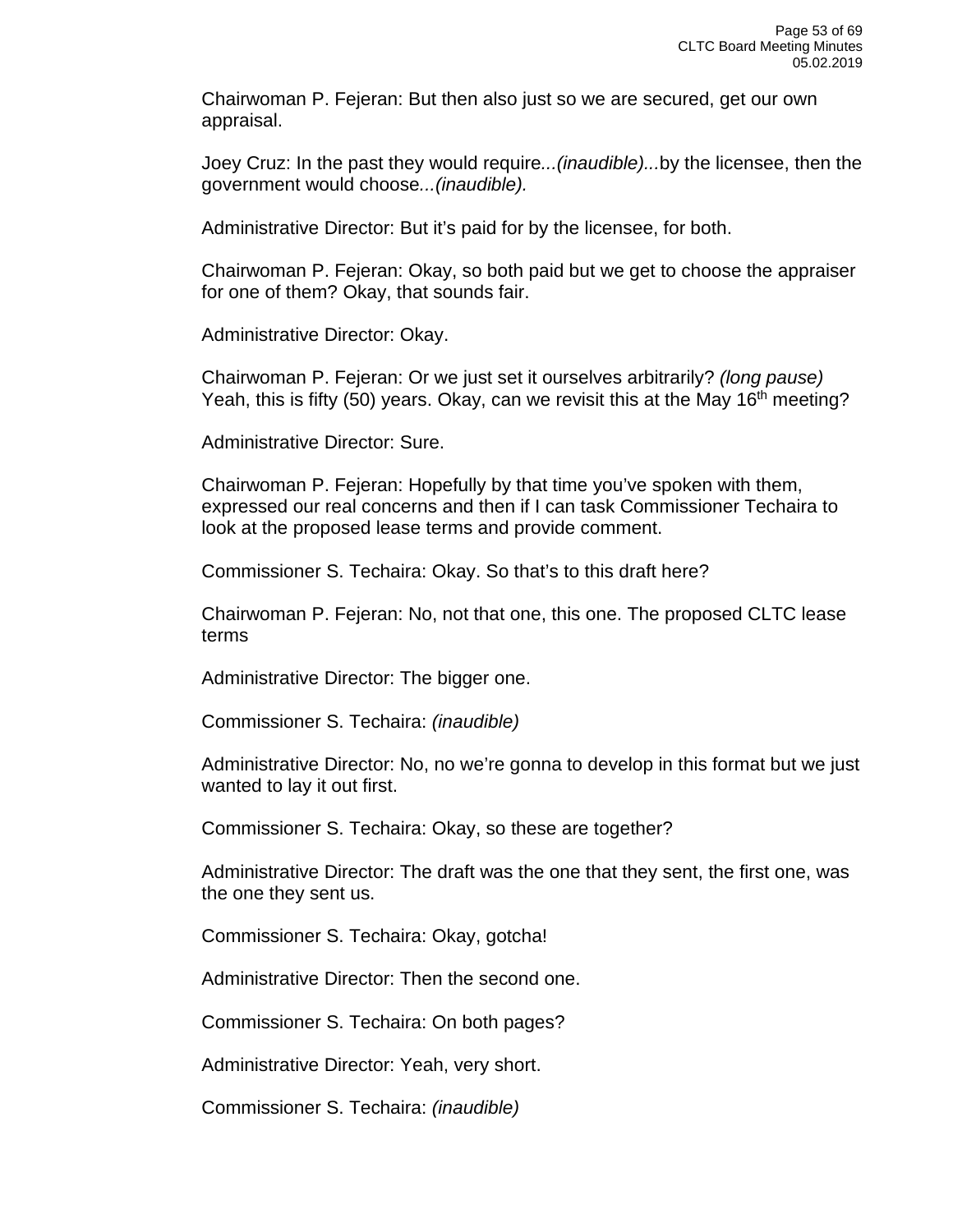Chairwoman P. Fejeran: But then also just so we are secured, get our own appraisal.

Joey Cruz: In the past they would require*...(inaudible)...*by the licensee, then the government would choose*...(inaudible).*

Administrative Director: But it's paid for by the licensee, for both.

Chairwoman P. Fejeran: Okay, so both paid but we get to choose the appraiser for one of them? Okay, that sounds fair.

Administrative Director: Okay.

Chairwoman P. Fejeran: Or we just set it ourselves arbitrarily? *(long pause)* Yeah, this is fifty (50) years. Okay, can we revisit this at the May 16<sup>th</sup> meeting?

Administrative Director: Sure.

Chairwoman P. Fejeran: Hopefully by that time you've spoken with them, expressed our real concerns and then if I can task Commissioner Techaira to look at the proposed lease terms and provide comment.

Commissioner S. Techaira: Okay. So that's to this draft here?

Chairwoman P. Fejeran: No, not that one, this one. The proposed CLTC lease terms

Administrative Director: The bigger one.

Commissioner S. Techaira: *(inaudible)*

Administrative Director: No, no we're gonna to develop in this format but we just wanted to lay it out first.

Commissioner S. Techaira: Okay, so these are together?

Administrative Director: The draft was the one that they sent, the first one, was the one they sent us.

Commissioner S. Techaira: Okay, gotcha!

Administrative Director: Then the second one.

Commissioner S. Techaira: On both pages?

Administrative Director: Yeah, very short.

Commissioner S. Techaira: *(inaudible)*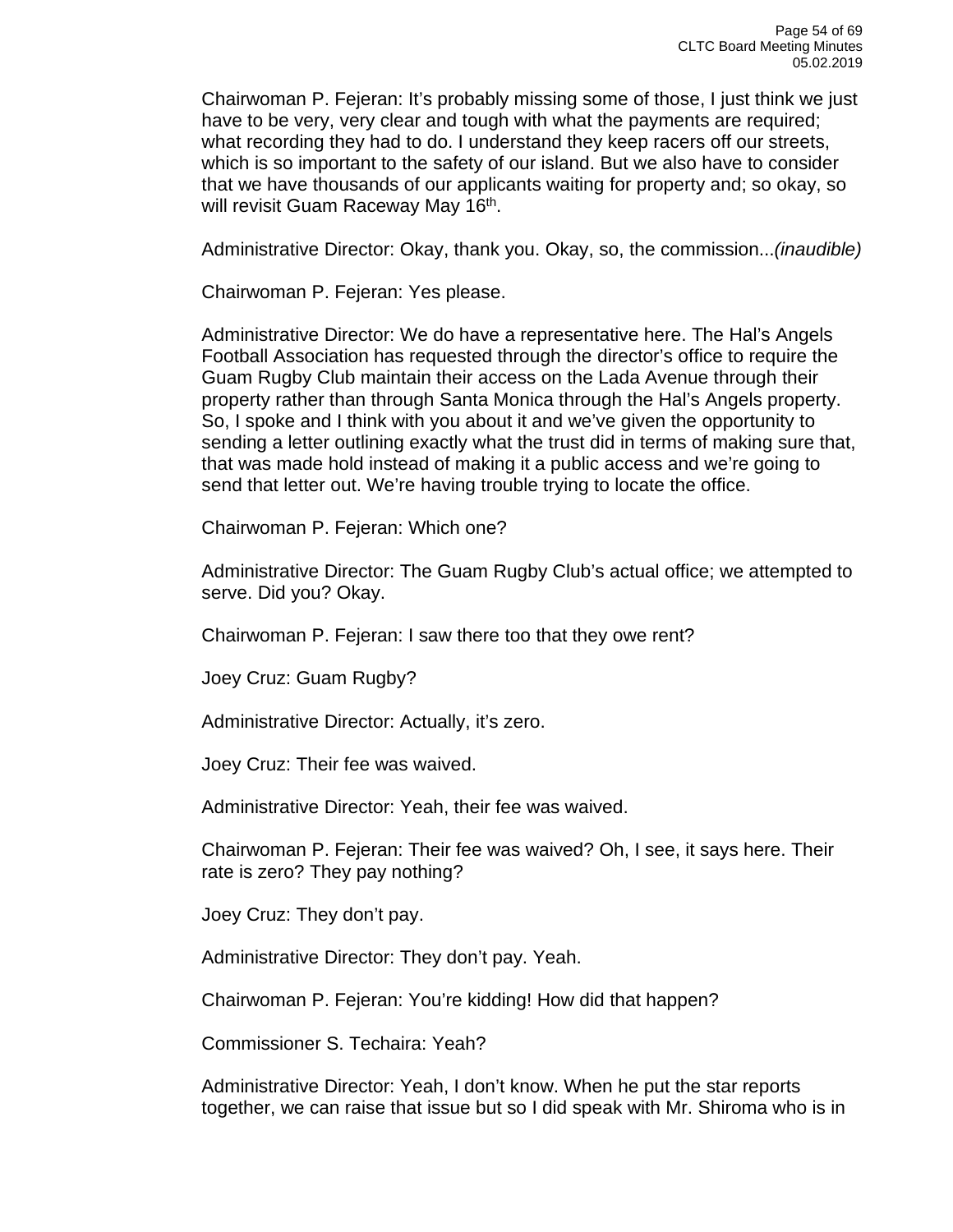Chairwoman P. Fejeran: It's probably missing some of those, I just think we just have to be very, very clear and tough with what the payments are required; what recording they had to do. I understand they keep racers off our streets, which is so important to the safety of our island. But we also have to consider that we have thousands of our applicants waiting for property and; so okay, so will revisit Guam Raceway May 16<sup>th</sup>.

Administrative Director: Okay, thank you. Okay, so, the commission...*(inaudible)*

Chairwoman P. Fejeran: Yes please.

Administrative Director: We do have a representative here. The Hal's Angels Football Association has requested through the director's office to require the Guam Rugby Club maintain their access on the Lada Avenue through their property rather than through Santa Monica through the Hal's Angels property. So, I spoke and I think with you about it and we've given the opportunity to sending a letter outlining exactly what the trust did in terms of making sure that, that was made hold instead of making it a public access and we're going to send that letter out. We're having trouble trying to locate the office.

Chairwoman P. Fejeran: Which one?

Administrative Director: The Guam Rugby Club's actual office; we attempted to serve. Did you? Okay.

Chairwoman P. Fejeran: I saw there too that they owe rent?

Joey Cruz: Guam Rugby?

Administrative Director: Actually, it's zero.

Joey Cruz: Their fee was waived.

Administrative Director: Yeah, their fee was waived.

Chairwoman P. Fejeran: Their fee was waived? Oh, I see, it says here. Their rate is zero? They pay nothing?

Joey Cruz: They don't pay.

Administrative Director: They don't pay. Yeah.

Chairwoman P. Fejeran: You're kidding! How did that happen?

Commissioner S. Techaira: Yeah?

Administrative Director: Yeah, I don't know. When he put the star reports together, we can raise that issue but so I did speak with Mr. Shiroma who is in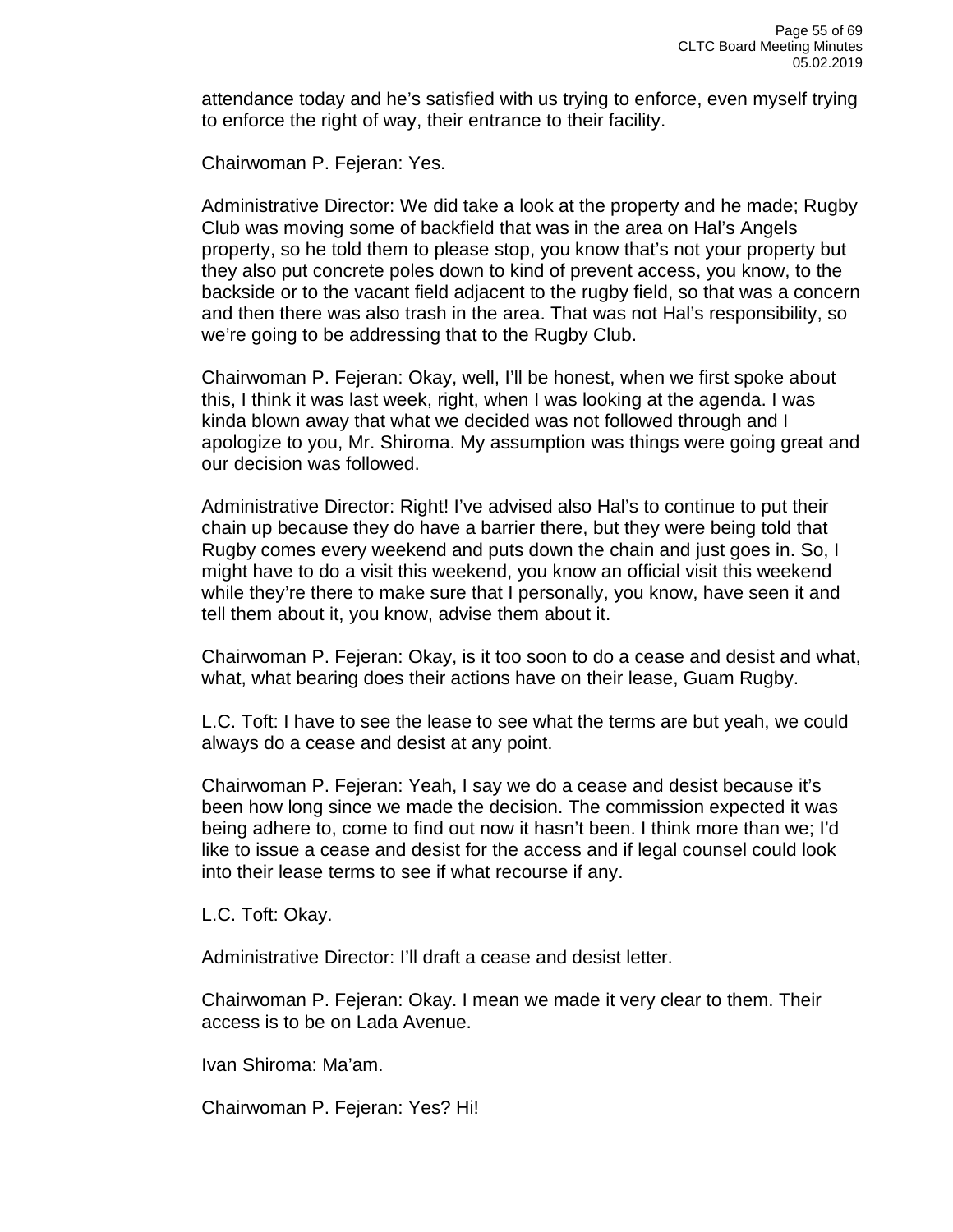attendance today and he's satisfied with us trying to enforce, even myself trying to enforce the right of way, their entrance to their facility.

Chairwoman P. Fejeran: Yes.

Administrative Director: We did take a look at the property and he made; Rugby Club was moving some of backfield that was in the area on Hal's Angels property, so he told them to please stop, you know that's not your property but they also put concrete poles down to kind of prevent access, you know, to the backside or to the vacant field adjacent to the rugby field, so that was a concern and then there was also trash in the area. That was not Hal's responsibility, so we're going to be addressing that to the Rugby Club.

Chairwoman P. Fejeran: Okay, well, I'll be honest, when we first spoke about this, I think it was last week, right, when I was looking at the agenda. I was kinda blown away that what we decided was not followed through and I apologize to you, Mr. Shiroma. My assumption was things were going great and our decision was followed.

Administrative Director: Right! I've advised also Hal's to continue to put their chain up because they do have a barrier there, but they were being told that Rugby comes every weekend and puts down the chain and just goes in. So, I might have to do a visit this weekend, you know an official visit this weekend while they're there to make sure that I personally, you know, have seen it and tell them about it, you know, advise them about it.

Chairwoman P. Fejeran: Okay, is it too soon to do a cease and desist and what, what, what bearing does their actions have on their lease, Guam Rugby.

L.C. Toft: I have to see the lease to see what the terms are but yeah, we could always do a cease and desist at any point.

Chairwoman P. Fejeran: Yeah, I say we do a cease and desist because it's been how long since we made the decision. The commission expected it was being adhere to, come to find out now it hasn't been. I think more than we; I'd like to issue a cease and desist for the access and if legal counsel could look into their lease terms to see if what recourse if any.

L.C. Toft: Okay.

Administrative Director: I'll draft a cease and desist letter.

Chairwoman P. Fejeran: Okay. I mean we made it very clear to them. Their access is to be on Lada Avenue.

Ivan Shiroma: Ma'am.

Chairwoman P. Fejeran: Yes? Hi!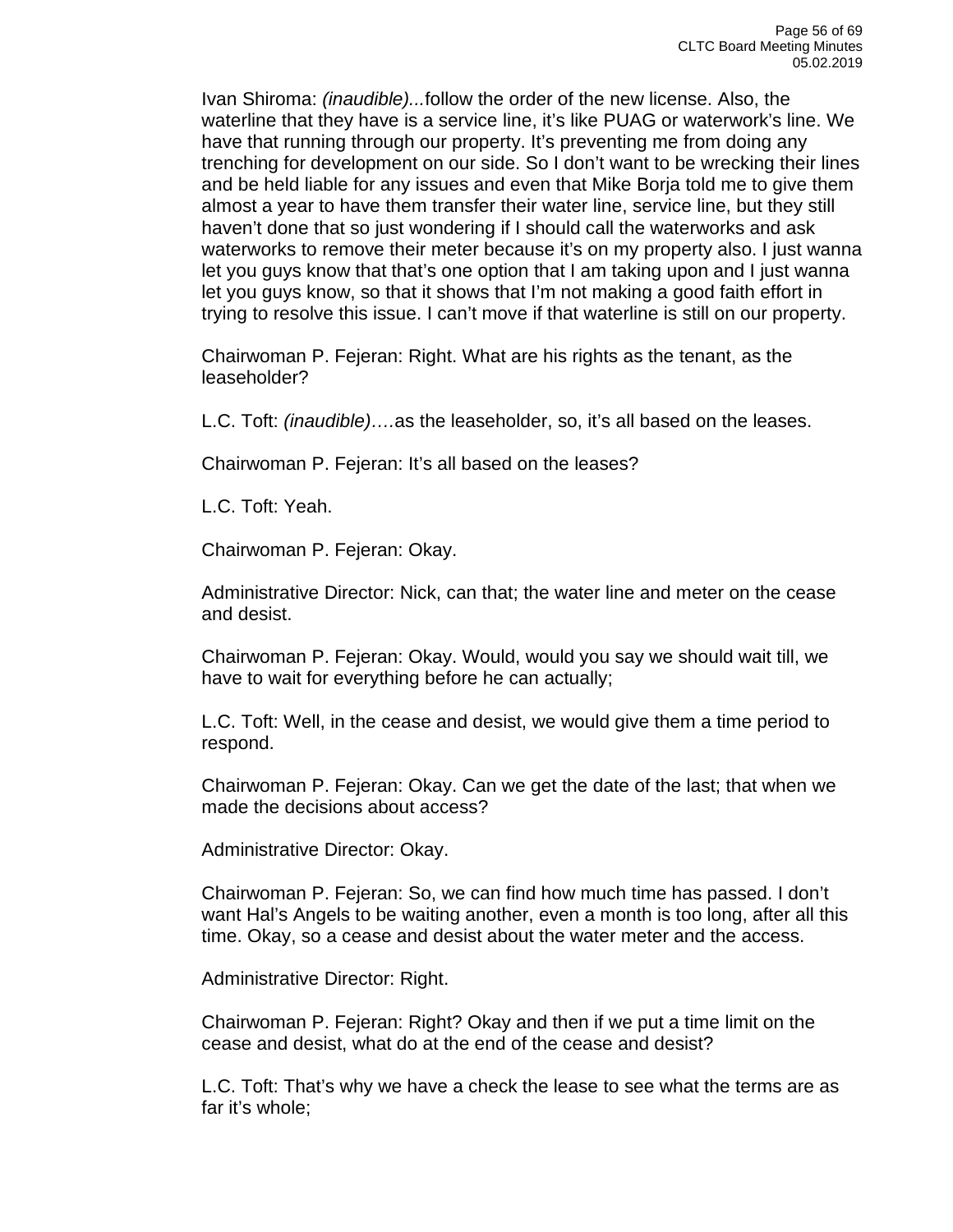Ivan Shiroma: *(inaudible)...*follow the order of the new license. Also, the waterline that they have is a service line, it's like PUAG or waterwork's line. We have that running through our property. It's preventing me from doing any trenching for development on our side. So I don't want to be wrecking their lines and be held liable for any issues and even that Mike Borja told me to give them almost a year to have them transfer their water line, service line, but they still haven't done that so just wondering if I should call the waterworks and ask waterworks to remove their meter because it's on my property also. I just wanna let you guys know that that's one option that I am taking upon and I just wanna let you guys know, so that it shows that I'm not making a good faith effort in trying to resolve this issue. I can't move if that waterline is still on our property.

Chairwoman P. Fejeran: Right. What are his rights as the tenant, as the leaseholder?

L.C. Toft: *(inaudible)….*as the leaseholder, so, it's all based on the leases.

Chairwoman P. Fejeran: It's all based on the leases?

L.C. Toft: Yeah.

Chairwoman P. Fejeran: Okay.

Administrative Director: Nick, can that; the water line and meter on the cease and desist.

Chairwoman P. Fejeran: Okay. Would, would you say we should wait till, we have to wait for everything before he can actually;

L.C. Toft: Well, in the cease and desist, we would give them a time period to respond.

Chairwoman P. Fejeran: Okay. Can we get the date of the last; that when we made the decisions about access?

Administrative Director: Okay.

Chairwoman P. Fejeran: So, we can find how much time has passed. I don't want Hal's Angels to be waiting another, even a month is too long, after all this time. Okay, so a cease and desist about the water meter and the access.

Administrative Director: Right.

Chairwoman P. Fejeran: Right? Okay and then if we put a time limit on the cease and desist, what do at the end of the cease and desist?

L.C. Toft: That's why we have a check the lease to see what the terms are as far it's whole;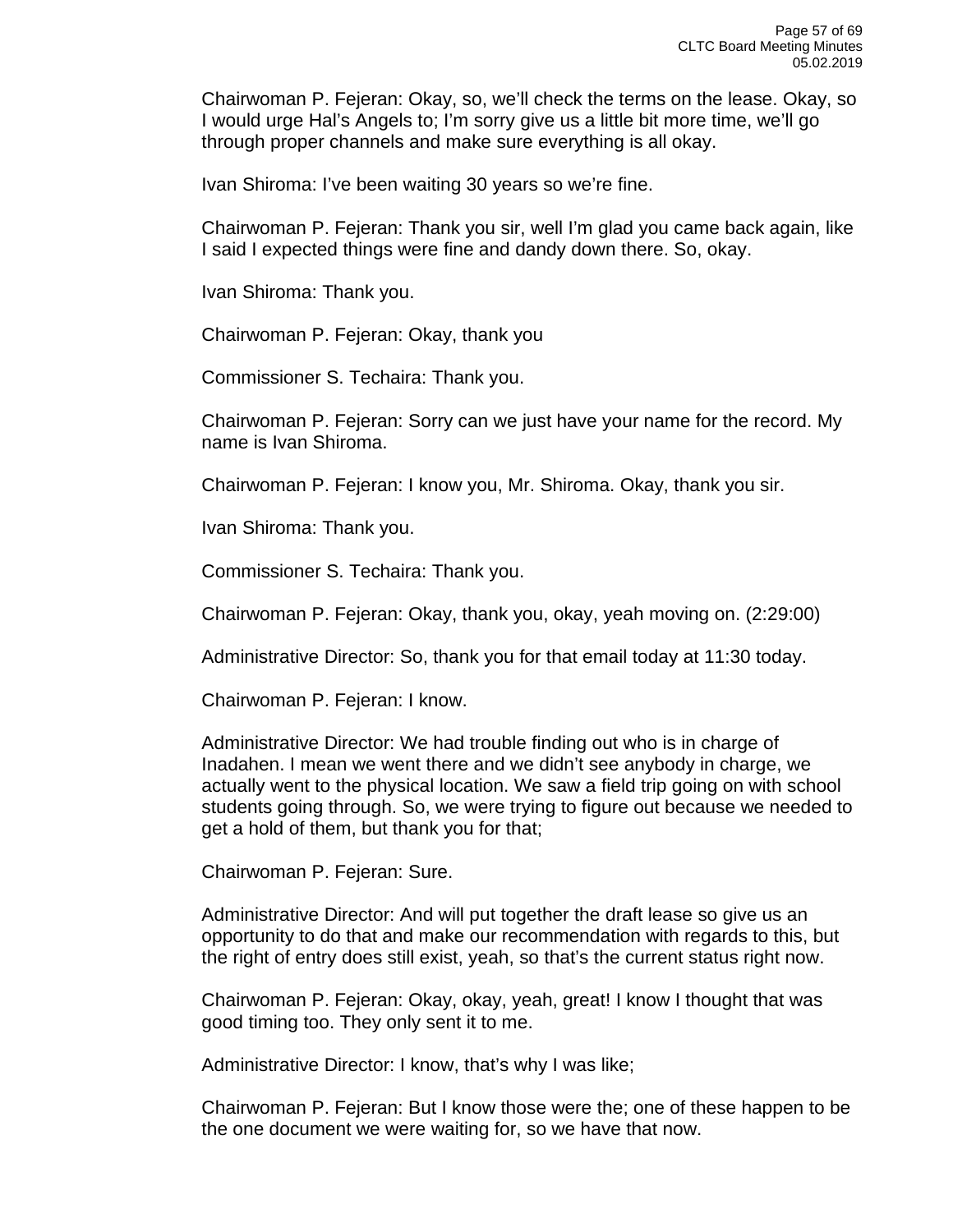Chairwoman P. Fejeran: Okay, so, we'll check the terms on the lease. Okay, so I would urge Hal's Angels to; I'm sorry give us a little bit more time, we'll go through proper channels and make sure everything is all okay.

Ivan Shiroma: I've been waiting 30 years so we're fine.

Chairwoman P. Fejeran: Thank you sir, well I'm glad you came back again, like I said I expected things were fine and dandy down there. So, okay.

Ivan Shiroma: Thank you.

Chairwoman P. Fejeran: Okay, thank you

Commissioner S. Techaira: Thank you.

Chairwoman P. Fejeran: Sorry can we just have your name for the record. My name is Ivan Shiroma.

Chairwoman P. Fejeran: I know you, Mr. Shiroma. Okay, thank you sir.

Ivan Shiroma: Thank you.

Commissioner S. Techaira: Thank you.

Chairwoman P. Fejeran: Okay, thank you, okay, yeah moving on. (2:29:00)

Administrative Director: So, thank you for that email today at 11:30 today.

Chairwoman P. Fejeran: I know.

Administrative Director: We had trouble finding out who is in charge of Inadahen. I mean we went there and we didn't see anybody in charge, we actually went to the physical location. We saw a field trip going on with school students going through. So, we were trying to figure out because we needed to get a hold of them, but thank you for that;

Chairwoman P. Fejeran: Sure.

Administrative Director: And will put together the draft lease so give us an opportunity to do that and make our recommendation with regards to this, but the right of entry does still exist, yeah, so that's the current status right now.

Chairwoman P. Fejeran: Okay, okay, yeah, great! I know I thought that was good timing too. They only sent it to me.

Administrative Director: I know, that's why I was like;

Chairwoman P. Fejeran: But I know those were the; one of these happen to be the one document we were waiting for, so we have that now.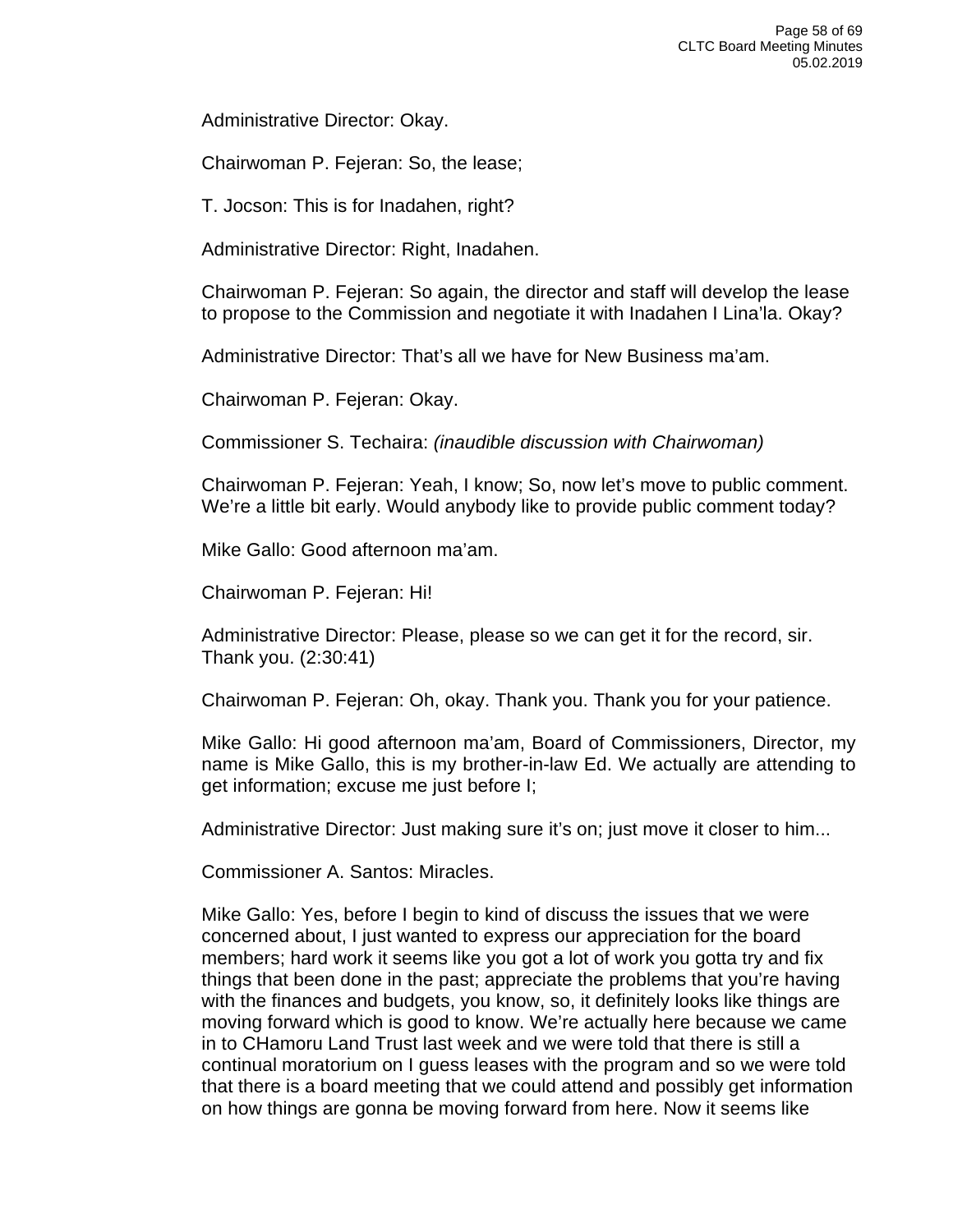Administrative Director: Okay.

Chairwoman P. Fejeran: So, the lease;

T. Jocson: This is for Inadahen, right?

Administrative Director: Right, Inadahen.

Chairwoman P. Fejeran: So again, the director and staff will develop the lease to propose to the Commission and negotiate it with Inadahen I Lina'la. Okay?

Administrative Director: That's all we have for New Business ma'am.

Chairwoman P. Fejeran: Okay.

Commissioner S. Techaira: *(inaudible discussion with Chairwoman)*

Chairwoman P. Fejeran: Yeah, I know; So, now let's move to public comment. We're a little bit early. Would anybody like to provide public comment today?

Mike Gallo: Good afternoon ma'am.

Chairwoman P. Fejeran: Hi!

Administrative Director: Please, please so we can get it for the record, sir. Thank you. (2:30:41)

Chairwoman P. Fejeran: Oh, okay. Thank you. Thank you for your patience.

Mike Gallo: Hi good afternoon ma'am, Board of Commissioners, Director, my name is Mike Gallo, this is my brother-in-law Ed. We actually are attending to get information; excuse me just before I;

Administrative Director: Just making sure it's on; just move it closer to him...

Commissioner A. Santos: Miracles.

Mike Gallo: Yes, before I begin to kind of discuss the issues that we were concerned about, I just wanted to express our appreciation for the board members; hard work it seems like you got a lot of work you gotta try and fix things that been done in the past; appreciate the problems that you're having with the finances and budgets, you know, so, it definitely looks like things are moving forward which is good to know. We're actually here because we came in to CHamoru Land Trust last week and we were told that there is still a continual moratorium on I guess leases with the program and so we were told that there is a board meeting that we could attend and possibly get information on how things are gonna be moving forward from here. Now it seems like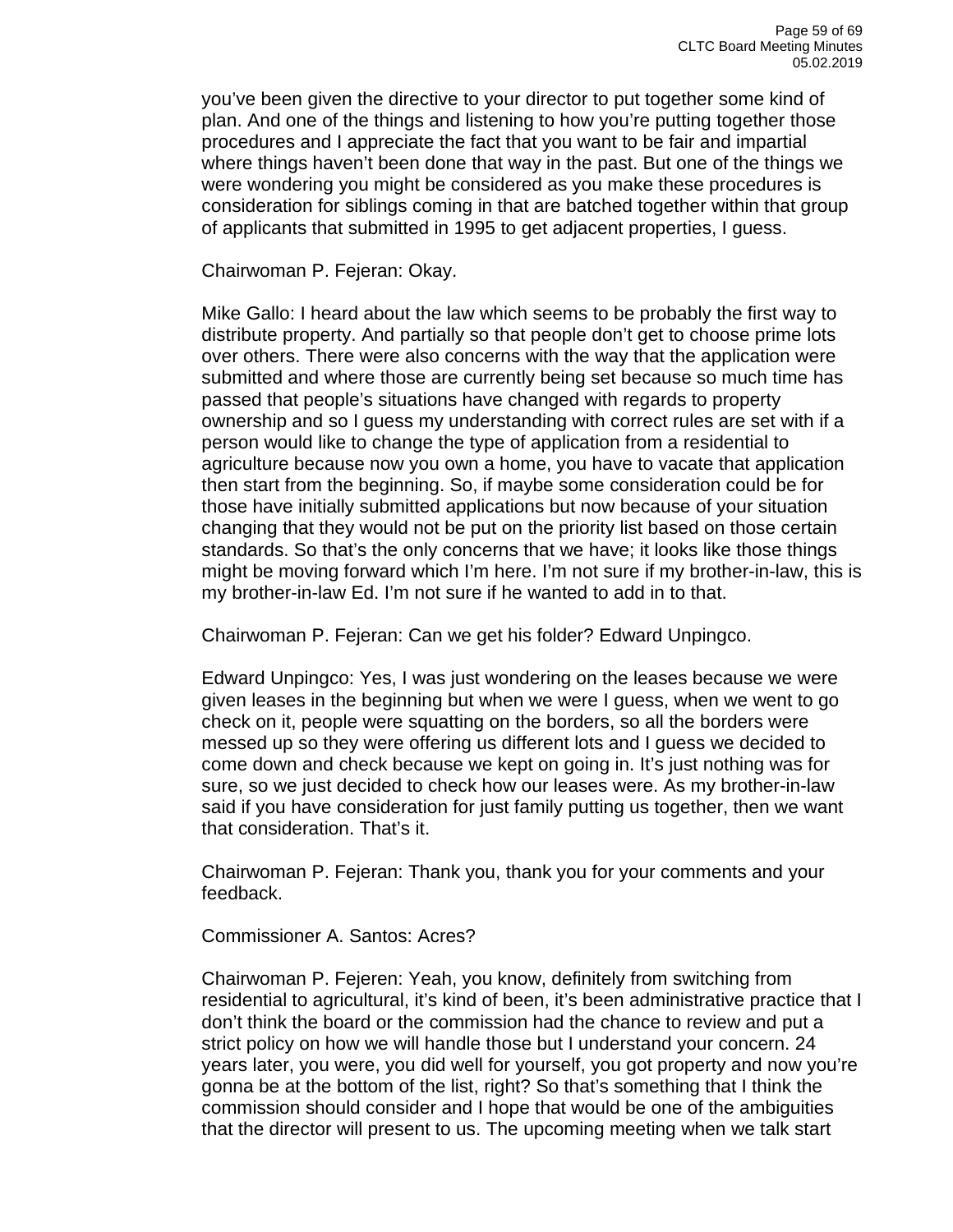you've been given the directive to your director to put together some kind of plan. And one of the things and listening to how you're putting together those procedures and I appreciate the fact that you want to be fair and impartial where things haven't been done that way in the past. But one of the things we were wondering you might be considered as you make these procedures is consideration for siblings coming in that are batched together within that group of applicants that submitted in 1995 to get adjacent properties, I guess.

Chairwoman P. Fejeran: Okay.

Mike Gallo: I heard about the law which seems to be probably the first way to distribute property. And partially so that people don't get to choose prime lots over others. There were also concerns with the way that the application were submitted and where those are currently being set because so much time has passed that people's situations have changed with regards to property ownership and so I guess my understanding with correct rules are set with if a person would like to change the type of application from a residential to agriculture because now you own a home, you have to vacate that application then start from the beginning. So, if maybe some consideration could be for those have initially submitted applications but now because of your situation changing that they would not be put on the priority list based on those certain standards. So that's the only concerns that we have; it looks like those things might be moving forward which I'm here. I'm not sure if my brother-in-law, this is my brother-in-law Ed. I'm not sure if he wanted to add in to that.

Chairwoman P. Fejeran: Can we get his folder? Edward Unpingco.

Edward Unpingco: Yes, I was just wondering on the leases because we were given leases in the beginning but when we were I guess, when we went to go check on it, people were squatting on the borders, so all the borders were messed up so they were offering us different lots and I guess we decided to come down and check because we kept on going in. It's just nothing was for sure, so we just decided to check how our leases were. As my brother-in-law said if you have consideration for just family putting us together, then we want that consideration. That's it.

Chairwoman P. Fejeran: Thank you, thank you for your comments and your feedback.

Commissioner A. Santos: Acres?

Chairwoman P. Fejeren: Yeah, you know, definitely from switching from residential to agricultural, it's kind of been, it's been administrative practice that I don't think the board or the commission had the chance to review and put a strict policy on how we will handle those but I understand your concern. 24 years later, you were, you did well for yourself, you got property and now you're gonna be at the bottom of the list, right? So that's something that I think the commission should consider and I hope that would be one of the ambiguities that the director will present to us. The upcoming meeting when we talk start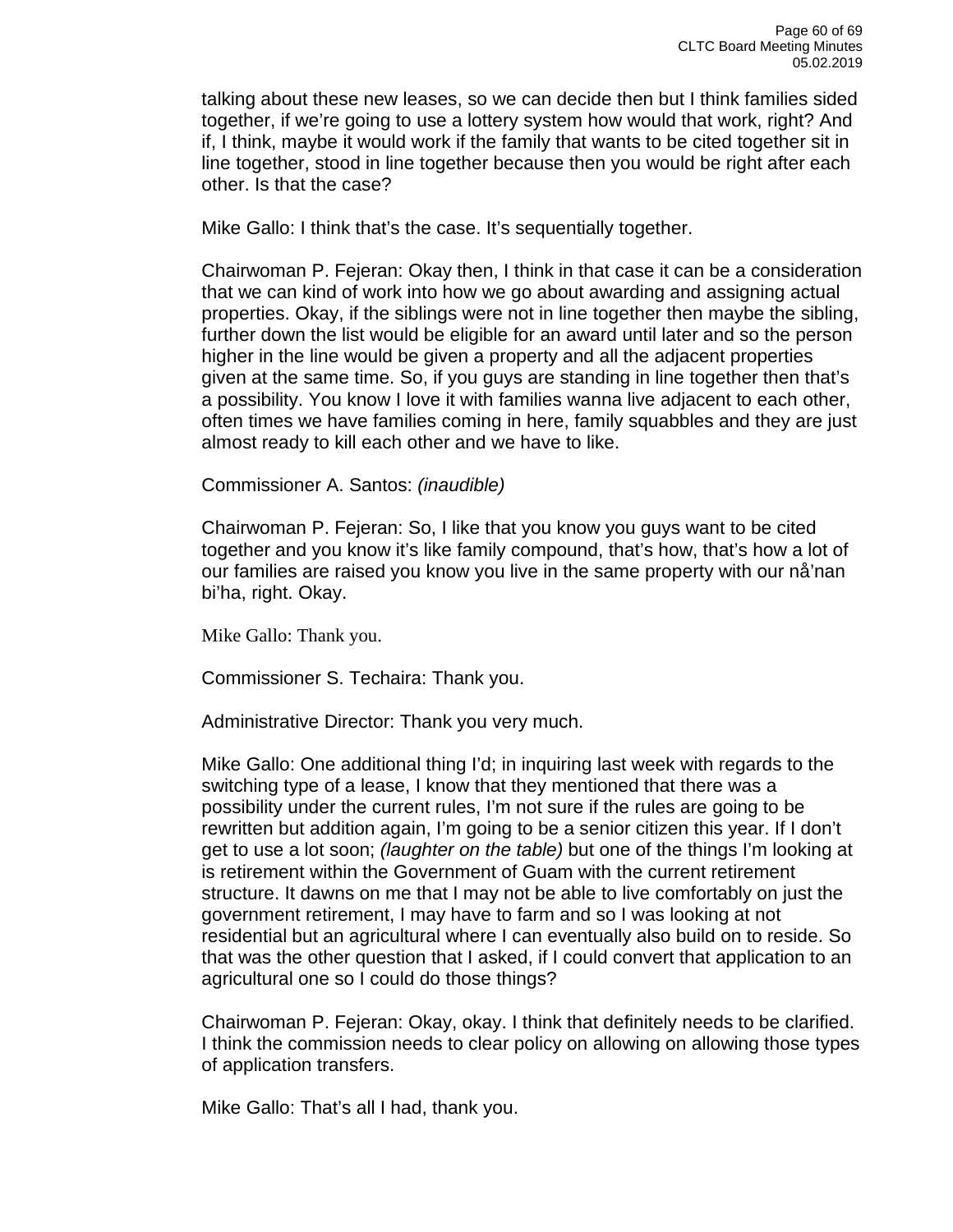talking about these new leases, so we can decide then but I think families sided together, if we're going to use a lottery system how would that work, right? And if, I think, maybe it would work if the family that wants to be cited together sit in line together, stood in line together because then you would be right after each other. Is that the case?

Mike Gallo: I think that's the case. It's sequentially together.

Chairwoman P. Fejeran: Okay then, I think in that case it can be a consideration that we can kind of work into how we go about awarding and assigning actual properties. Okay, if the siblings were not in line together then maybe the sibling, further down the list would be eligible for an award until later and so the person higher in the line would be given a property and all the adjacent properties given at the same time. So, if you guys are standing in line together then that's a possibility. You know I love it with families wanna live adjacent to each other, often times we have families coming in here, family squabbles and they are just almost ready to kill each other and we have to like.

Commissioner A. Santos: *(inaudible)*

Chairwoman P. Fejeran: So, I like that you know you guys want to be cited together and you know it's like family compound, that's how, that's how a lot of our families are raised you know you live in the same property with our nå'nan bi'ha, right. Okay.

Mike Gallo: Thank you.

Commissioner S. Techaira: Thank you.

Administrative Director: Thank you very much.

Mike Gallo: One additional thing I'd; in inquiring last week with regards to the switching type of a lease, I know that they mentioned that there was a possibility under the current rules, I'm not sure if the rules are going to be rewritten but addition again, I'm going to be a senior citizen this year. If I don't get to use a lot soon; *(laughter on the table)* but one of the things I'm looking at is retirement within the Government of Guam with the current retirement structure. It dawns on me that I may not be able to live comfortably on just the government retirement, I may have to farm and so I was looking at not residential but an agricultural where I can eventually also build on to reside. So that was the other question that I asked, if I could convert that application to an agricultural one so I could do those things?

Chairwoman P. Fejeran: Okay, okay. I think that definitely needs to be clarified. I think the commission needs to clear policy on allowing on allowing those types of application transfers.

Mike Gallo: That's all I had, thank you.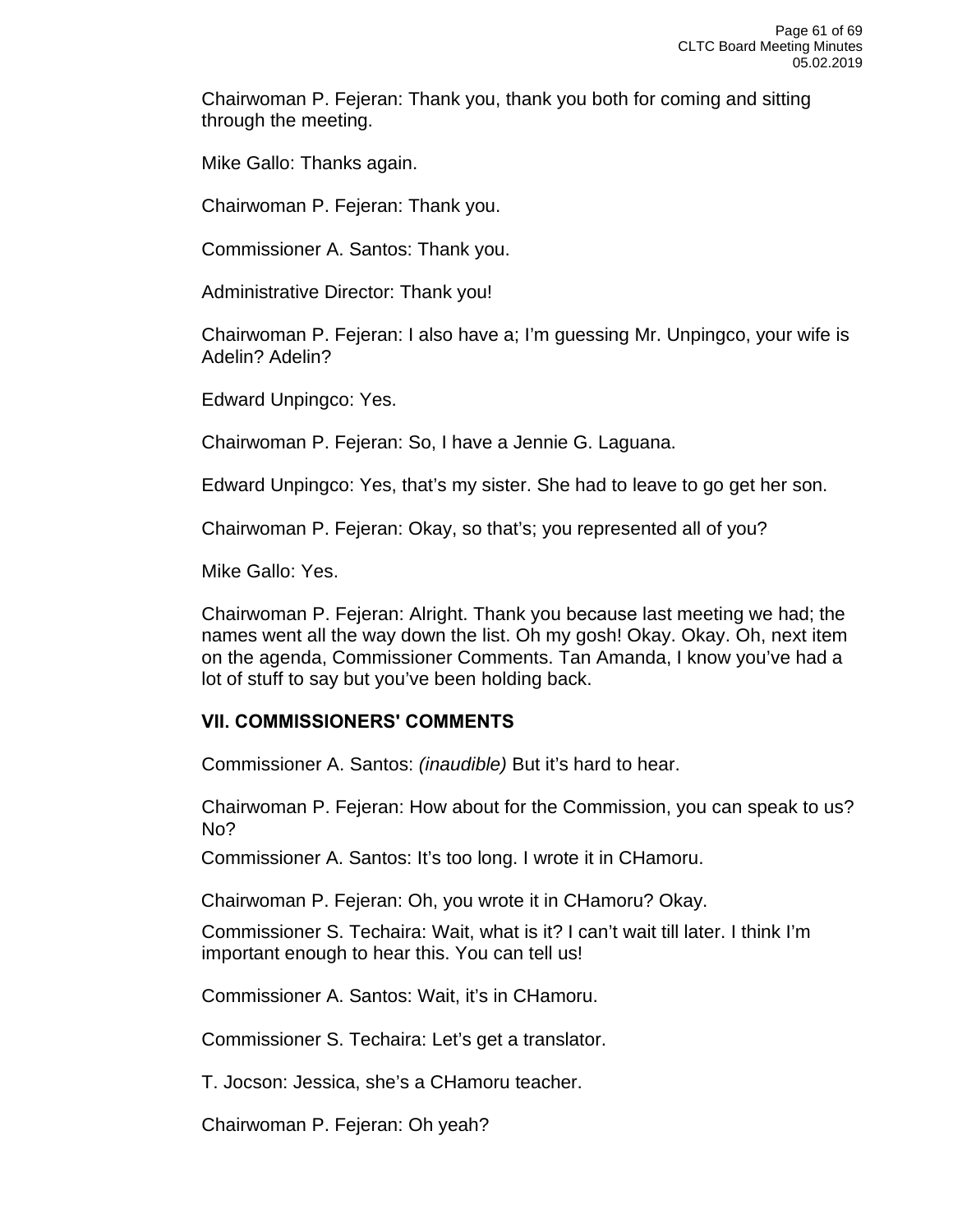Chairwoman P. Fejeran: Thank you, thank you both for coming and sitting through the meeting.

Mike Gallo: Thanks again.

Chairwoman P. Fejeran: Thank you.

Commissioner A. Santos: Thank you.

Administrative Director: Thank you!

Chairwoman P. Fejeran: I also have a; I'm guessing Mr. Unpingco, your wife is Adelin? Adelin?

Edward Unpingco: Yes.

Chairwoman P. Fejeran: So, I have a Jennie G. Laguana.

Edward Unpingco: Yes, that's my sister. She had to leave to go get her son.

Chairwoman P. Fejeran: Okay, so that's; you represented all of you?

Mike Gallo: Yes.

Chairwoman P. Fejeran: Alright. Thank you because last meeting we had; the names went all the way down the list. Oh my gosh! Okay. Okay. Oh, next item on the agenda, Commissioner Comments. Tan Amanda, I know you've had a lot of stuff to say but you've been holding back.

#### **VII. COMMISSIONERS' COMMENTS**

Commissioner A. Santos: *(inaudible)* But it's hard to hear.

Chairwoman P. Fejeran: How about for the Commission, you can speak to us? No?

Commissioner A. Santos: It's too long. I wrote it in CHamoru.

Chairwoman P. Fejeran: Oh, you wrote it in CHamoru? Okay.

Commissioner S. Techaira: Wait, what is it? I can't wait till later. I think I'm important enough to hear this. You can tell us!

Commissioner A. Santos: Wait, it's in CHamoru.

Commissioner S. Techaira: Let's get a translator.

T. Jocson: Jessica, she's a CHamoru teacher.

Chairwoman P. Fejeran: Oh yeah?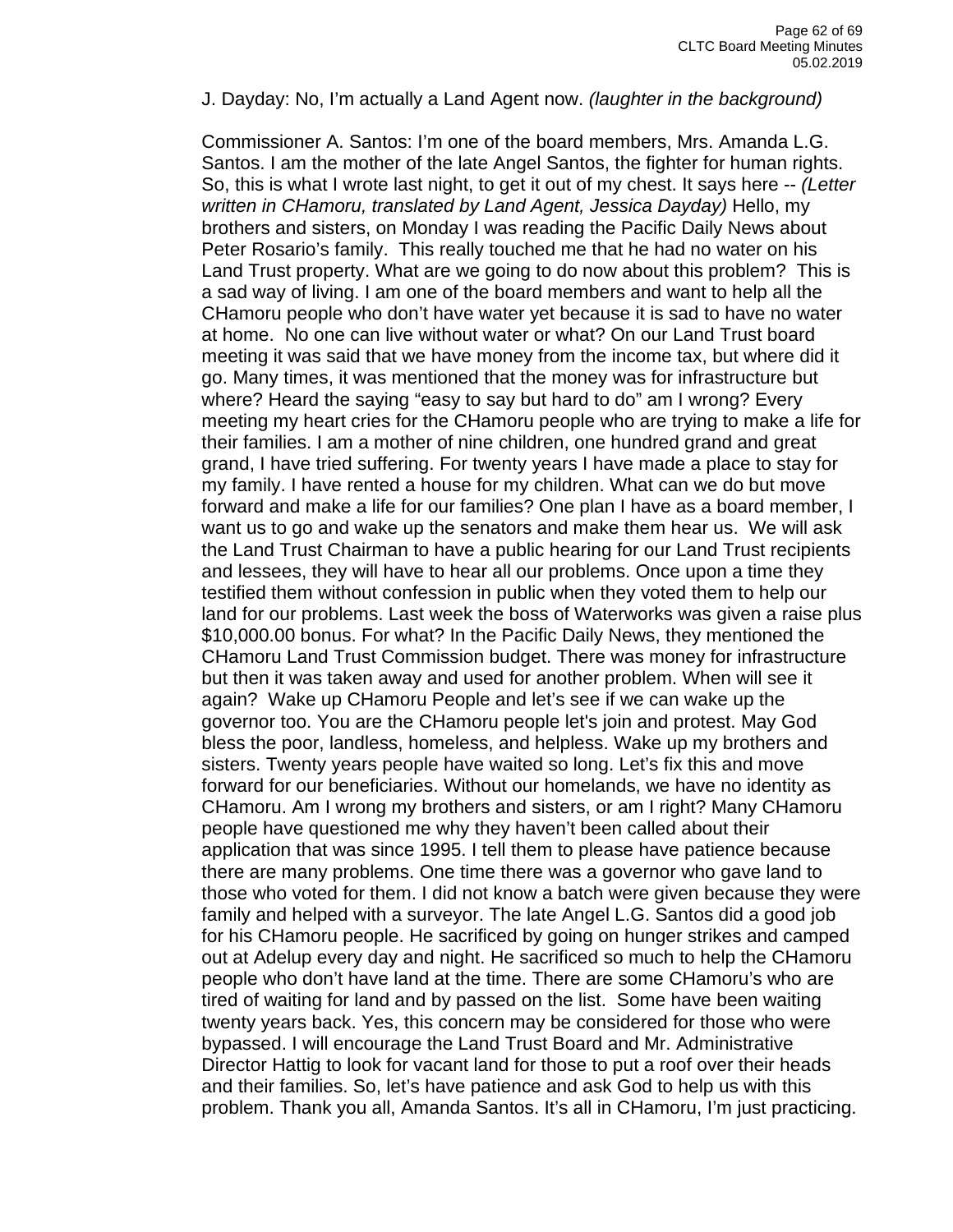J. Dayday: No, I'm actually a Land Agent now. *(laughter in the background)*

Commissioner A. Santos: I'm one of the board members, Mrs. Amanda L.G. Santos. I am the mother of the late Angel Santos, the fighter for human rights. So, this is what I wrote last night, to get it out of my chest. It says here -- *(Letter written in CHamoru, translated by Land Agent, Jessica Dayday)* Hello, my brothers and sisters, on Monday I was reading the Pacific Daily News about Peter Rosario's family. This really touched me that he had no water on his Land Trust property. What are we going to do now about this problem? This is a sad way of living. I am one of the board members and want to help all the CHamoru people who don't have water yet because it is sad to have no water at home. No one can live without water or what? On our Land Trust board meeting it was said that we have money from the income tax, but where did it go. Many times, it was mentioned that the money was for infrastructure but where? Heard the saying "easy to say but hard to do" am I wrong? Every meeting my heart cries for the CHamoru people who are trying to make a life for their families. I am a mother of nine children, one hundred grand and great grand, I have tried suffering. For twenty years I have made a place to stay for my family. I have rented a house for my children. What can we do but move forward and make a life for our families? One plan I have as a board member, I want us to go and wake up the senators and make them hear us. We will ask the Land Trust Chairman to have a public hearing for our Land Trust recipients and lessees, they will have to hear all our problems. Once upon a time they testified them without confession in public when they voted them to help our land for our problems. Last week the boss of Waterworks was given a raise plus \$10,000.00 bonus. For what? In the Pacific Daily News, they mentioned the CHamoru Land Trust Commission budget. There was money for infrastructure but then it was taken away and used for another problem. When will see it again? Wake up CHamoru People and let's see if we can wake up the governor too. You are the CHamoru people let's join and protest. May God bless the poor, landless, homeless, and helpless. Wake up my brothers and sisters. Twenty years people have waited so long. Let's fix this and move forward for our beneficiaries. Without our homelands, we have no identity as CHamoru. Am I wrong my brothers and sisters, or am I right? Many CHamoru people have questioned me why they haven't been called about their application that was since 1995. I tell them to please have patience because there are many problems. One time there was a governor who gave land to those who voted for them. I did not know a batch were given because they were family and helped with a surveyor. The late Angel L.G. Santos did a good job for his CHamoru people. He sacrificed by going on hunger strikes and camped out at Adelup every day and night. He sacrificed so much to help the CHamoru people who don't have land at the time. There are some CHamoru's who are tired of waiting for land and by passed on the list. Some have been waiting twenty years back. Yes, this concern may be considered for those who were bypassed. I will encourage the Land Trust Board and Mr. Administrative Director Hattig to look for vacant land for those to put a roof over their heads and their families. So, let's have patience and ask God to help us with this problem. Thank you all, Amanda Santos. It's all in CHamoru, I'm just practicing.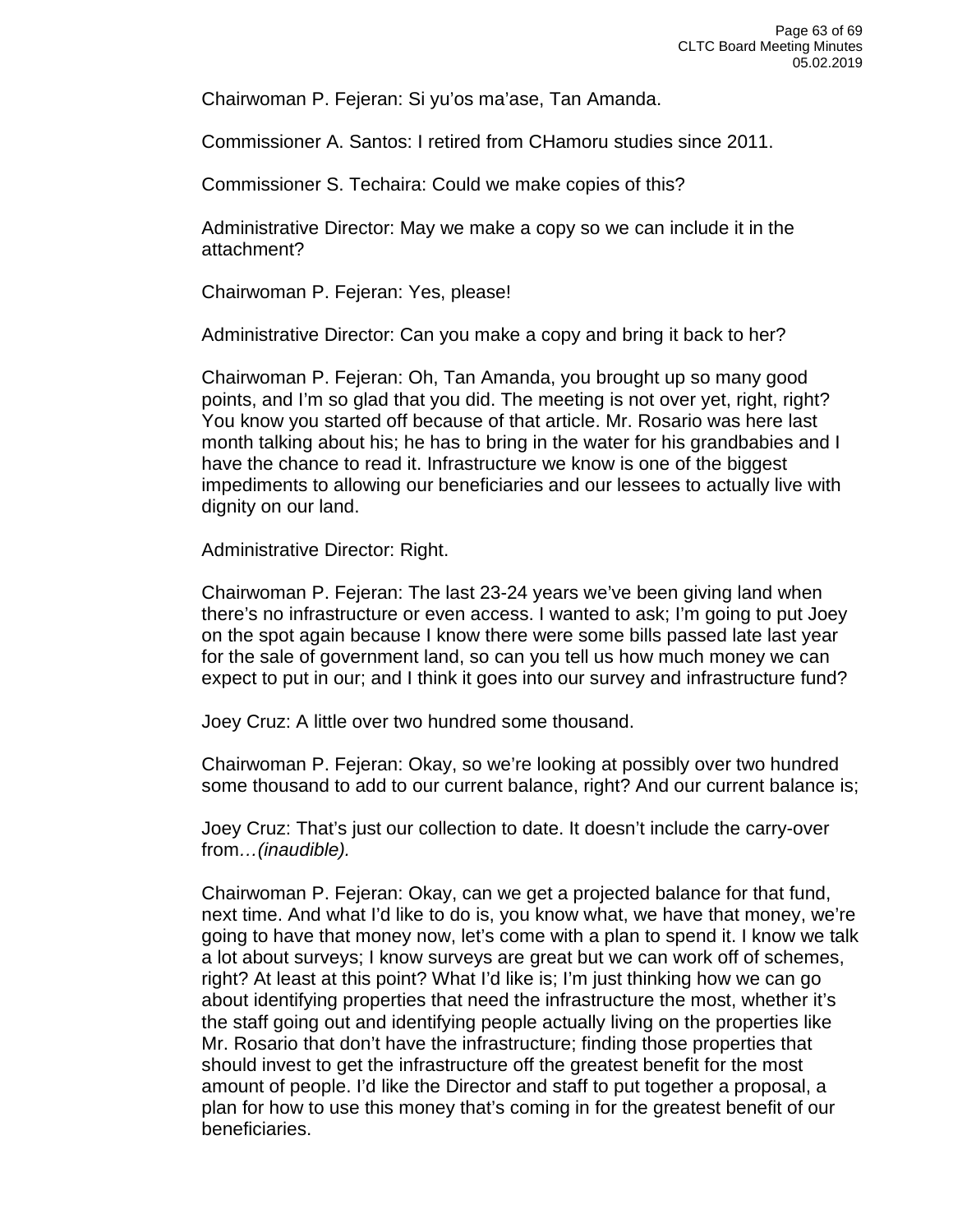Chairwoman P. Fejeran: Si yu'os ma'ase, Tan Amanda.

Commissioner A. Santos: I retired from CHamoru studies since 2011.

Commissioner S. Techaira: Could we make copies of this?

Administrative Director: May we make a copy so we can include it in the attachment?

Chairwoman P. Fejeran: Yes, please!

Administrative Director: Can you make a copy and bring it back to her?

Chairwoman P. Fejeran: Oh, Tan Amanda, you brought up so many good points, and I'm so glad that you did. The meeting is not over yet, right, right? You know you started off because of that article. Mr. Rosario was here last month talking about his; he has to bring in the water for his grandbabies and I have the chance to read it. Infrastructure we know is one of the biggest impediments to allowing our beneficiaries and our lessees to actually live with dignity on our land.

Administrative Director: Right.

Chairwoman P. Fejeran: The last 23-24 years we've been giving land when there's no infrastructure or even access. I wanted to ask; I'm going to put Joey on the spot again because I know there were some bills passed late last year for the sale of government land, so can you tell us how much money we can expect to put in our; and I think it goes into our survey and infrastructure fund?

Joey Cruz: A little over two hundred some thousand.

Chairwoman P. Fejeran: Okay, so we're looking at possibly over two hundred some thousand to add to our current balance, right? And our current balance is;

Joey Cruz: That's just our collection to date. It doesn't include the carry-over from*…(inaudible).*

Chairwoman P. Fejeran: Okay, can we get a projected balance for that fund, next time. And what I'd like to do is, you know what, we have that money, we're going to have that money now, let's come with a plan to spend it. I know we talk a lot about surveys; I know surveys are great but we can work off of schemes, right? At least at this point? What I'd like is; I'm just thinking how we can go about identifying properties that need the infrastructure the most, whether it's the staff going out and identifying people actually living on the properties like Mr. Rosario that don't have the infrastructure; finding those properties that should invest to get the infrastructure off the greatest benefit for the most amount of people. I'd like the Director and staff to put together a proposal, a plan for how to use this money that's coming in for the greatest benefit of our beneficiaries.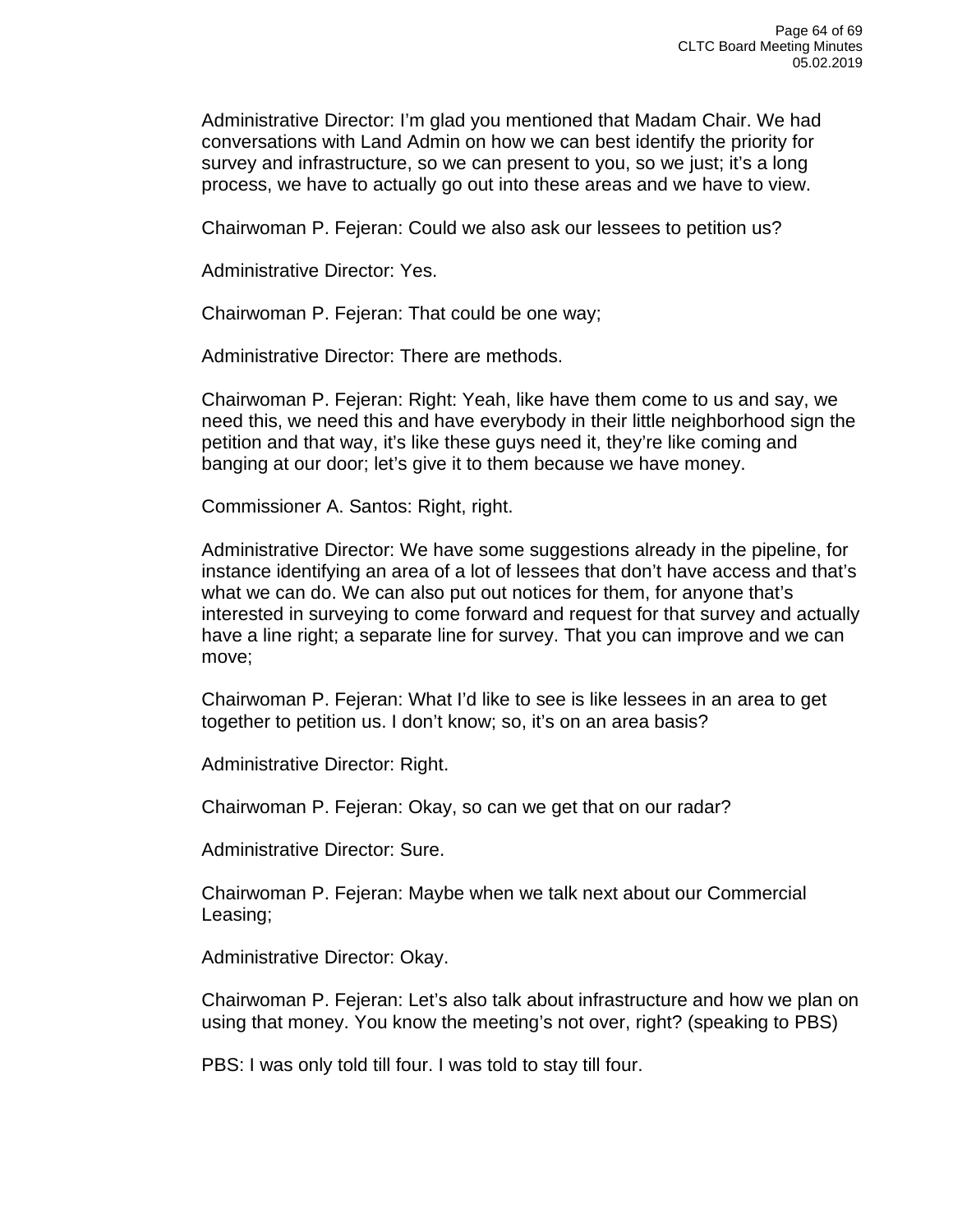Administrative Director: I'm glad you mentioned that Madam Chair. We had conversations with Land Admin on how we can best identify the priority for survey and infrastructure, so we can present to you, so we just; it's a long process, we have to actually go out into these areas and we have to view.

Chairwoman P. Fejeran: Could we also ask our lessees to petition us?

Administrative Director: Yes.

Chairwoman P. Fejeran: That could be one way;

Administrative Director: There are methods.

Chairwoman P. Fejeran: Right: Yeah, like have them come to us and say, we need this, we need this and have everybody in their little neighborhood sign the petition and that way, it's like these guys need it, they're like coming and banging at our door; let's give it to them because we have money.

Commissioner A. Santos: Right, right.

Administrative Director: We have some suggestions already in the pipeline, for instance identifying an area of a lot of lessees that don't have access and that's what we can do. We can also put out notices for them, for anyone that's interested in surveying to come forward and request for that survey and actually have a line right; a separate line for survey. That you can improve and we can move;

Chairwoman P. Fejeran: What I'd like to see is like lessees in an area to get together to petition us. I don't know; so, it's on an area basis?

Administrative Director: Right.

Chairwoman P. Fejeran: Okay, so can we get that on our radar?

Administrative Director: Sure.

Chairwoman P. Fejeran: Maybe when we talk next about our Commercial Leasing;

Administrative Director: Okay.

Chairwoman P. Fejeran: Let's also talk about infrastructure and how we plan on using that money. You know the meeting's not over, right? (speaking to PBS)

PBS: I was only told till four. I was told to stay till four.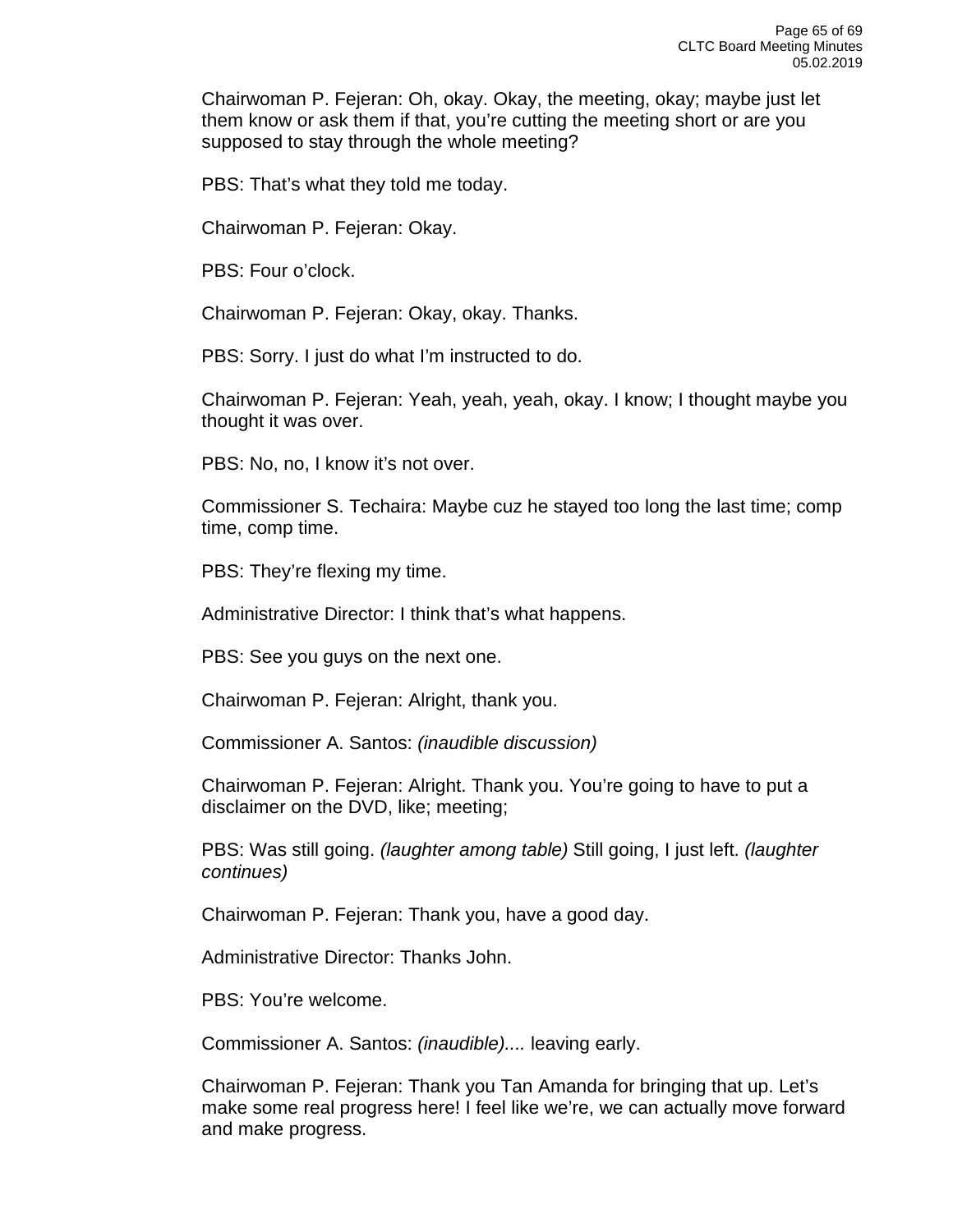Chairwoman P. Fejeran: Oh, okay. Okay, the meeting, okay; maybe just let them know or ask them if that, you're cutting the meeting short or are you supposed to stay through the whole meeting?

PBS: That's what they told me today.

Chairwoman P. Fejeran: Okay.

PBS: Four o'clock.

Chairwoman P. Fejeran: Okay, okay. Thanks.

PBS: Sorry. I just do what I'm instructed to do.

Chairwoman P. Fejeran: Yeah, yeah, yeah, okay. I know; I thought maybe you thought it was over.

PBS: No, no, I know it's not over.

Commissioner S. Techaira: Maybe cuz he stayed too long the last time; comp time, comp time.

PBS: They're flexing my time.

Administrative Director: I think that's what happens.

PBS: See you guys on the next one.

Chairwoman P. Fejeran: Alright, thank you.

Commissioner A. Santos: *(inaudible discussion)*

Chairwoman P. Fejeran: Alright. Thank you. You're going to have to put a disclaimer on the DVD, like; meeting;

PBS: Was still going. *(laughter among table)* Still going, I just left. *(laughter continues)*

Chairwoman P. Fejeran: Thank you, have a good day.

Administrative Director: Thanks John.

PBS: You're welcome.

Commissioner A. Santos: *(inaudible)....* leaving early.

Chairwoman P. Fejeran: Thank you Tan Amanda for bringing that up. Let's make some real progress here! I feel like we're, we can actually move forward and make progress.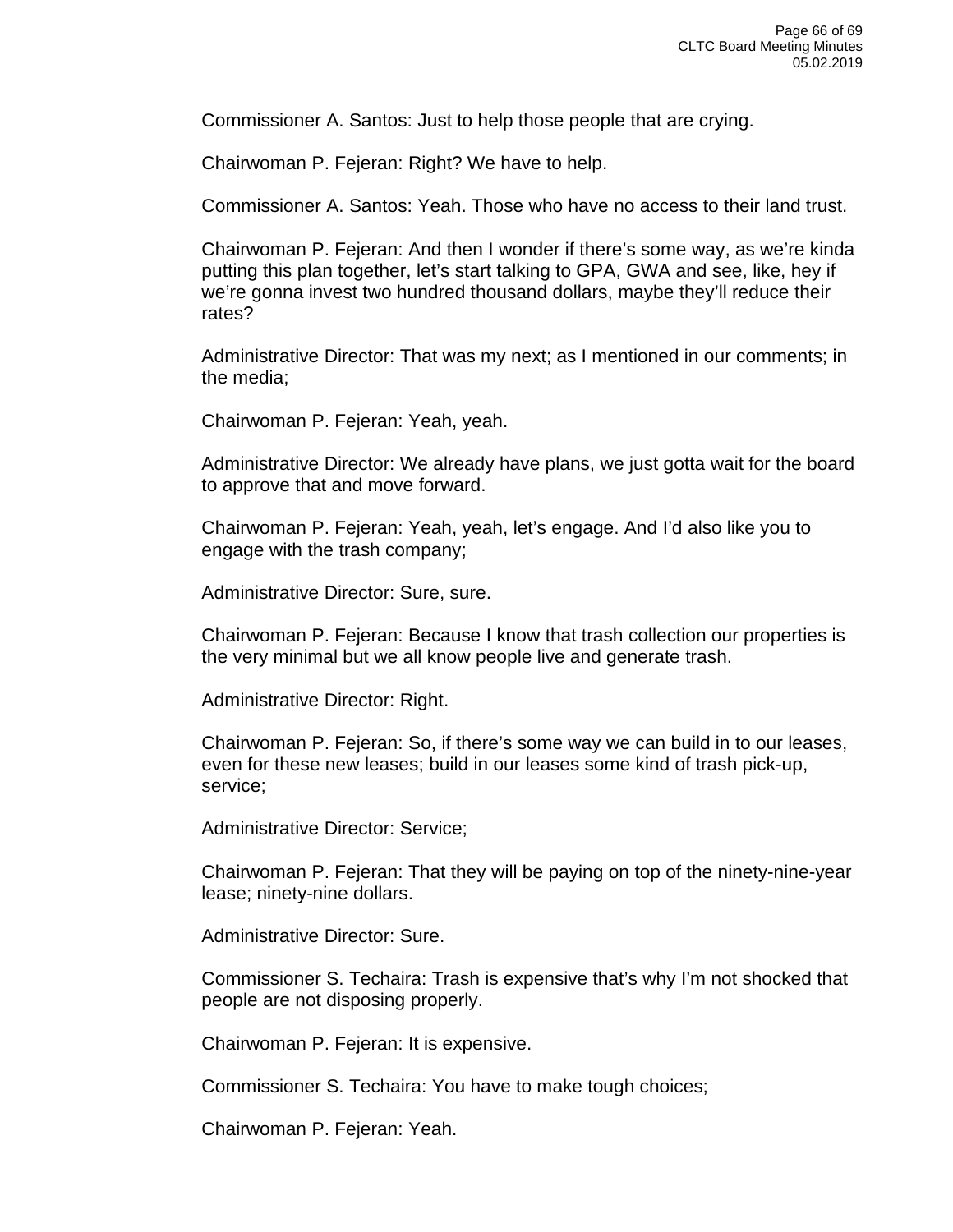Commissioner A. Santos: Just to help those people that are crying.

Chairwoman P. Fejeran: Right? We have to help.

Commissioner A. Santos: Yeah. Those who have no access to their land trust.

Chairwoman P. Fejeran: And then I wonder if there's some way, as we're kinda putting this plan together, let's start talking to GPA, GWA and see, like, hey if we're gonna invest two hundred thousand dollars, maybe they'll reduce their rates?

Administrative Director: That was my next; as I mentioned in our comments; in the media;

Chairwoman P. Fejeran: Yeah, yeah.

Administrative Director: We already have plans, we just gotta wait for the board to approve that and move forward.

Chairwoman P. Fejeran: Yeah, yeah, let's engage. And I'd also like you to engage with the trash company;

Administrative Director: Sure, sure.

Chairwoman P. Fejeran: Because I know that trash collection our properties is the very minimal but we all know people live and generate trash.

Administrative Director: Right.

Chairwoman P. Fejeran: So, if there's some way we can build in to our leases, even for these new leases; build in our leases some kind of trash pick-up, service;

Administrative Director: Service;

Chairwoman P. Fejeran: That they will be paying on top of the ninety-nine-year lease; ninety-nine dollars.

Administrative Director: Sure.

Commissioner S. Techaira: Trash is expensive that's why I'm not shocked that people are not disposing properly.

Chairwoman P. Fejeran: It is expensive.

Commissioner S. Techaira: You have to make tough choices;

Chairwoman P. Fejeran: Yeah.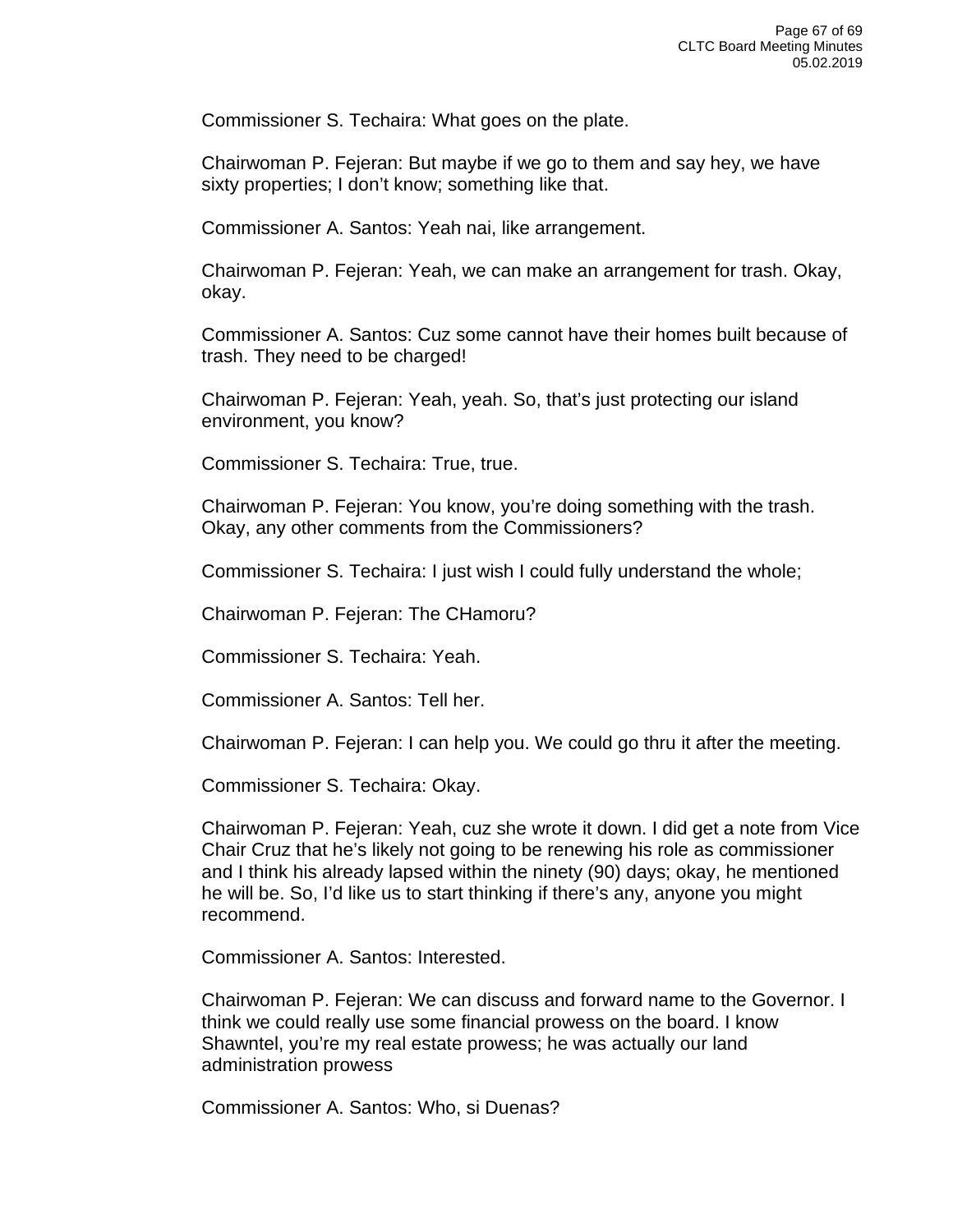Commissioner S. Techaira: What goes on the plate.

Chairwoman P. Fejeran: But maybe if we go to them and say hey, we have sixty properties; I don't know; something like that.

Commissioner A. Santos: Yeah nai, like arrangement.

Chairwoman P. Fejeran: Yeah, we can make an arrangement for trash. Okay, okay.

Commissioner A. Santos: Cuz some cannot have their homes built because of trash. They need to be charged!

Chairwoman P. Fejeran: Yeah, yeah. So, that's just protecting our island environment, you know?

Commissioner S. Techaira: True, true.

Chairwoman P. Fejeran: You know, you're doing something with the trash. Okay, any other comments from the Commissioners?

Commissioner S. Techaira: I just wish I could fully understand the whole;

Chairwoman P. Fejeran: The CHamoru?

Commissioner S. Techaira: Yeah.

Commissioner A. Santos: Tell her.

Chairwoman P. Fejeran: I can help you. We could go thru it after the meeting.

Commissioner S. Techaira: Okay.

Chairwoman P. Fejeran: Yeah, cuz she wrote it down. I did get a note from Vice Chair Cruz that he's likely not going to be renewing his role as commissioner and I think his already lapsed within the ninety (90) days; okay, he mentioned he will be. So, I'd like us to start thinking if there's any, anyone you might recommend.

Commissioner A. Santos: Interested.

Chairwoman P. Fejeran: We can discuss and forward name to the Governor. I think we could really use some financial prowess on the board. I know Shawntel, you're my real estate prowess; he was actually our land administration prowess

Commissioner A. Santos: Who, si Duenas?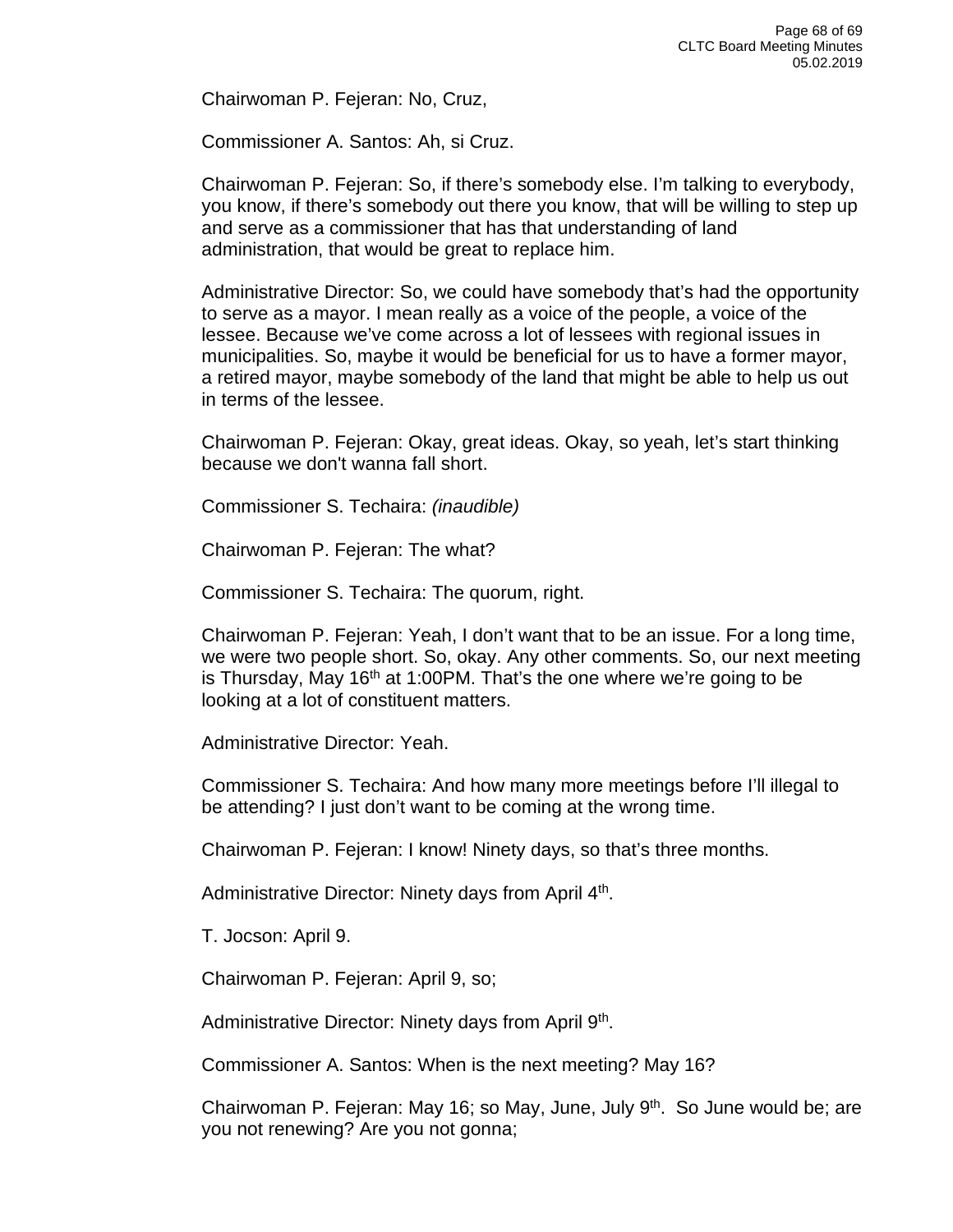Chairwoman P. Fejeran: No, Cruz,

Commissioner A. Santos: Ah, si Cruz.

Chairwoman P. Fejeran: So, if there's somebody else. I'm talking to everybody, you know, if there's somebody out there you know, that will be willing to step up and serve as a commissioner that has that understanding of land administration, that would be great to replace him.

Administrative Director: So, we could have somebody that's had the opportunity to serve as a mayor. I mean really as a voice of the people, a voice of the lessee. Because we've come across a lot of lessees with regional issues in municipalities. So, maybe it would be beneficial for us to have a former mayor, a retired mayor, maybe somebody of the land that might be able to help us out in terms of the lessee.

Chairwoman P. Fejeran: Okay, great ideas. Okay, so yeah, let's start thinking because we don't wanna fall short.

Commissioner S. Techaira: *(inaudible)*

Chairwoman P. Fejeran: The what?

Commissioner S. Techaira: The quorum, right.

Chairwoman P. Fejeran: Yeah, I don't want that to be an issue. For a long time, we were two people short. So, okay. Any other comments. So, our next meeting is Thursday, May 16<sup>th</sup> at 1:00PM. That's the one where we're going to be looking at a lot of constituent matters.

Administrative Director: Yeah.

Commissioner S. Techaira: And how many more meetings before I'll illegal to be attending? I just don't want to be coming at the wrong time.

Chairwoman P. Fejeran: I know! Ninety days, so that's three months.

Administrative Director: Ninety days from April 4<sup>th</sup>.

T. Jocson: April 9.

Chairwoman P. Fejeran: April 9, so;

Administrative Director: Ninety days from April 9<sup>th</sup>.

Commissioner A. Santos: When is the next meeting? May 16?

Chairwoman P. Fejeran: May 16; so May, June, July 9<sup>th</sup>. So June would be; are you not renewing? Are you not gonna;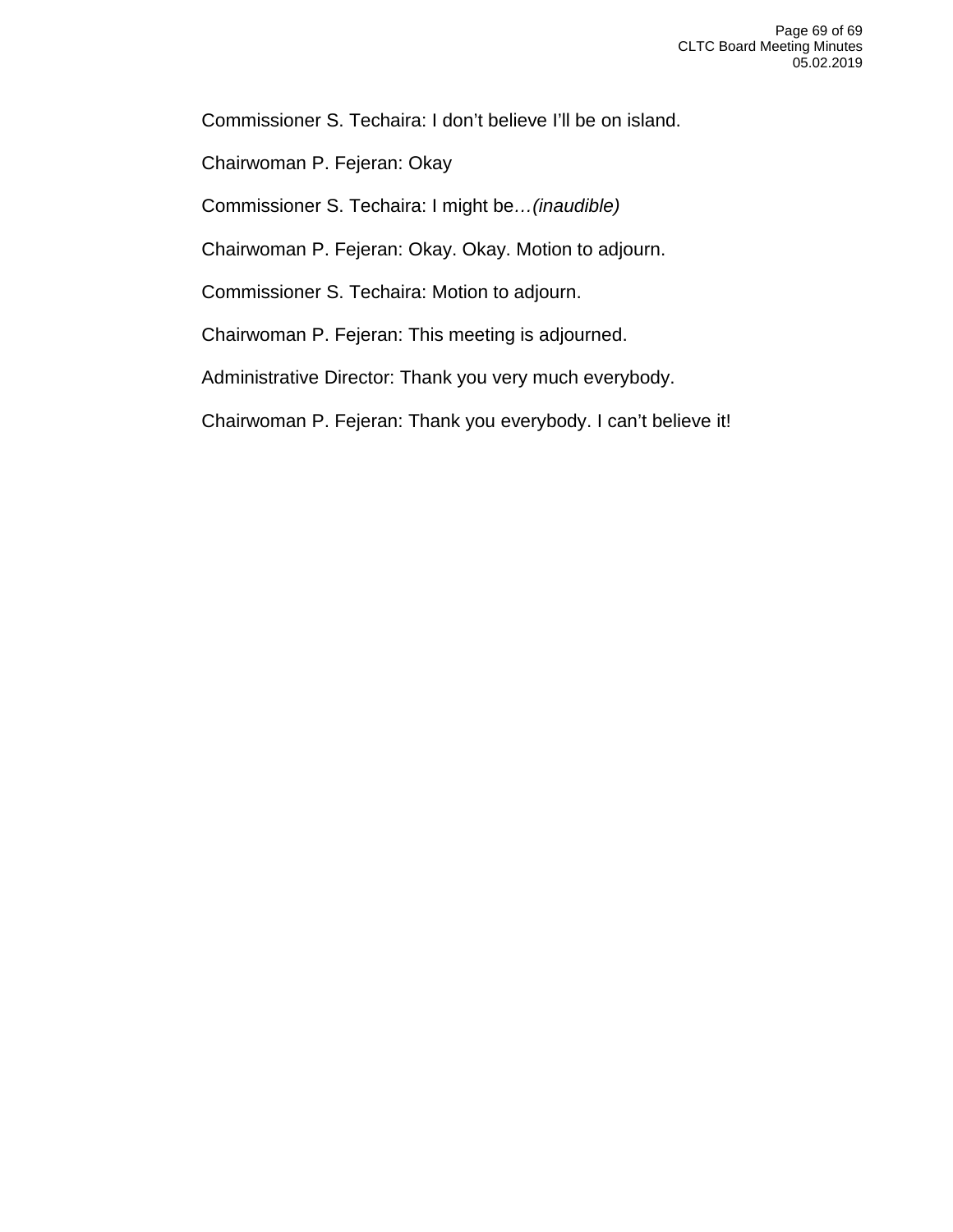Commissioner S. Techaira: I don't believe I'll be on island.

Chairwoman P. Fejeran: Okay

Commissioner S. Techaira: I might be*…(inaudible)*

Chairwoman P. Fejeran: Okay. Okay. Motion to adjourn.

Commissioner S. Techaira: Motion to adjourn.

Chairwoman P. Fejeran: This meeting is adjourned.

Administrative Director: Thank you very much everybody.

Chairwoman P. Fejeran: Thank you everybody. I can't believe it!